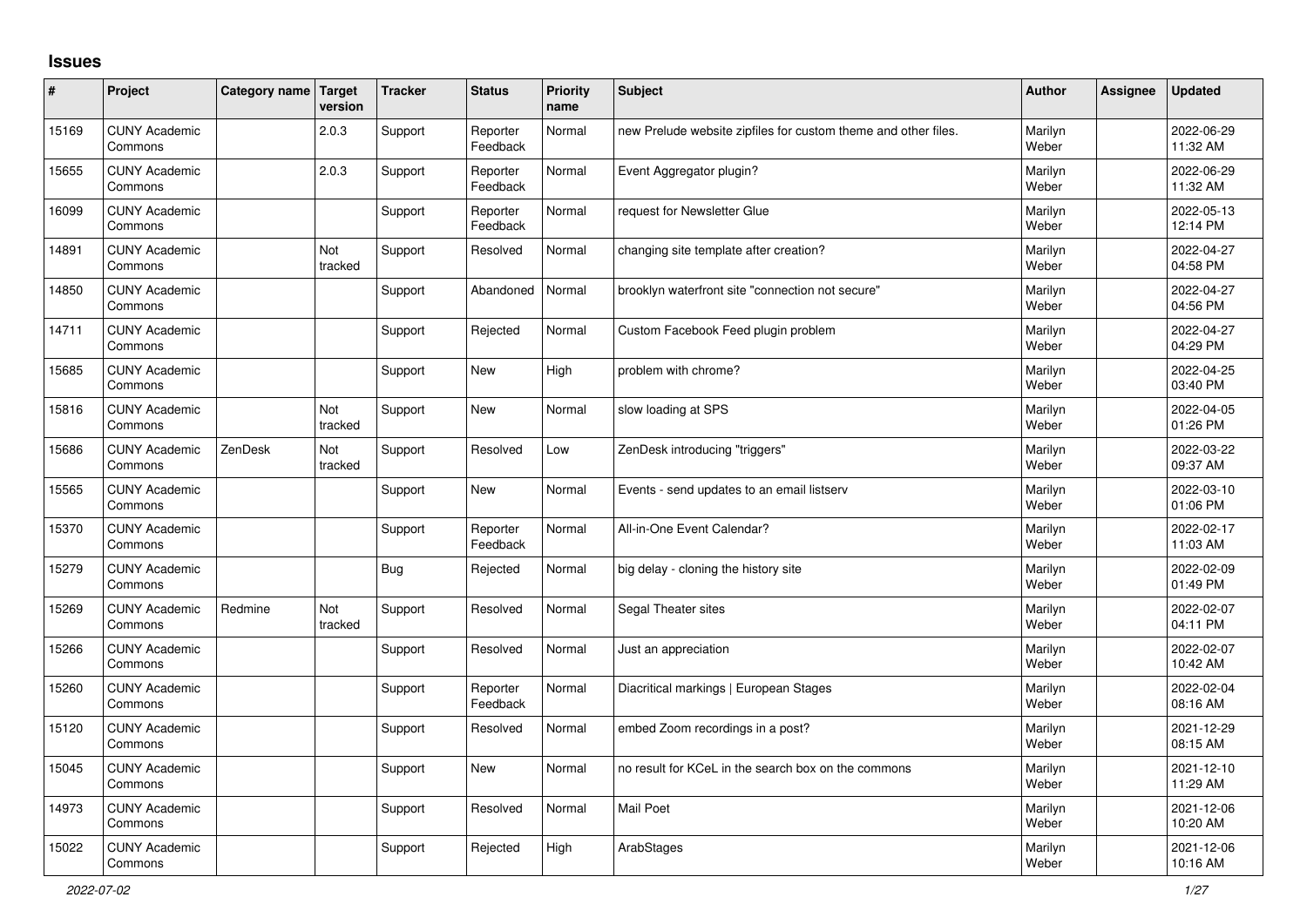## **Issues**

| ∦     | Project                         | Category name Target | version        | <b>Tracker</b> | <b>Status</b>        | <b>Priority</b><br>name | <b>Subject</b>                                                 | <b>Author</b>    | Assignee | <b>Updated</b>         |
|-------|---------------------------------|----------------------|----------------|----------------|----------------------|-------------------------|----------------------------------------------------------------|------------------|----------|------------------------|
| 15169 | <b>CUNY Academic</b><br>Commons |                      | 2.0.3          | Support        | Reporter<br>Feedback | Normal                  | new Prelude website zipfiles for custom theme and other files. | Marilyn<br>Weber |          | 2022-06-29<br>11:32 AM |
| 15655 | <b>CUNY Academic</b><br>Commons |                      | 2.0.3          | Support        | Reporter<br>Feedback | Normal                  | Event Aggregator plugin?                                       | Marilyn<br>Weber |          | 2022-06-29<br>11:32 AM |
| 16099 | <b>CUNY Academic</b><br>Commons |                      |                | Support        | Reporter<br>Feedback | Normal                  | request for Newsletter Glue                                    | Marilyn<br>Weber |          | 2022-05-13<br>12:14 PM |
| 14891 | <b>CUNY Academic</b><br>Commons |                      | Not<br>tracked | Support        | Resolved             | Normal                  | changing site template after creation?                         | Marilyn<br>Weber |          | 2022-04-27<br>04:58 PM |
| 14850 | <b>CUNY Academic</b><br>Commons |                      |                | Support        | Abandoned            | Normal                  | brooklyn waterfront site "connection not secure"               | Marilyn<br>Weber |          | 2022-04-27<br>04:56 PM |
| 14711 | <b>CUNY Academic</b><br>Commons |                      |                | Support        | Rejected             | Normal                  | Custom Facebook Feed plugin problem                            | Marilyn<br>Weber |          | 2022-04-27<br>04:29 PM |
| 15685 | <b>CUNY Academic</b><br>Commons |                      |                | Support        | <b>New</b>           | High                    | problem with chrome?                                           | Marilyn<br>Weber |          | 2022-04-25<br>03:40 PM |
| 15816 | <b>CUNY Academic</b><br>Commons |                      | Not<br>tracked | Support        | <b>New</b>           | Normal                  | slow loading at SPS                                            | Marilyn<br>Weber |          | 2022-04-05<br>01:26 PM |
| 15686 | <b>CUNY Academic</b><br>Commons | ZenDesk              | Not<br>tracked | Support        | Resolved             | Low                     | ZenDesk introducing "triggers"                                 | Marilyn<br>Weber |          | 2022-03-22<br>09:37 AM |
| 15565 | <b>CUNY Academic</b><br>Commons |                      |                | Support        | <b>New</b>           | Normal                  | Events - send updates to an email listserv                     | Marilyn<br>Weber |          | 2022-03-10<br>01:06 PM |
| 15370 | <b>CUNY Academic</b><br>Commons |                      |                | Support        | Reporter<br>Feedback | Normal                  | All-in-One Event Calendar?                                     | Marilyn<br>Weber |          | 2022-02-17<br>11:03 AM |
| 15279 | <b>CUNY Academic</b><br>Commons |                      |                | Bug            | Rejected             | Normal                  | big delay - cloning the history site                           | Marilyn<br>Weber |          | 2022-02-09<br>01:49 PM |
| 15269 | <b>CUNY Academic</b><br>Commons | Redmine              | Not<br>tracked | Support        | Resolved             | Normal                  | Segal Theater sites                                            | Marilyn<br>Weber |          | 2022-02-07<br>04:11 PM |
| 15266 | <b>CUNY Academic</b><br>Commons |                      |                | Support        | Resolved             | Normal                  | Just an appreciation                                           | Marilyn<br>Weber |          | 2022-02-07<br>10:42 AM |
| 15260 | <b>CUNY Academic</b><br>Commons |                      |                | Support        | Reporter<br>Feedback | Normal                  | Diacritical markings   European Stages                         | Marilyn<br>Weber |          | 2022-02-04<br>08:16 AM |
| 15120 | <b>CUNY Academic</b><br>Commons |                      |                | Support        | Resolved             | Normal                  | embed Zoom recordings in a post?                               | Marilyn<br>Weber |          | 2021-12-29<br>08:15 AM |
| 15045 | <b>CUNY Academic</b><br>Commons |                      |                | Support        | <b>New</b>           | Normal                  | no result for KCeL in the search box on the commons            | Marilyn<br>Weber |          | 2021-12-10<br>11:29 AM |
| 14973 | <b>CUNY Academic</b><br>Commons |                      |                | Support        | Resolved             | Normal                  | <b>Mail Poet</b>                                               | Marilyn<br>Weber |          | 2021-12-06<br>10:20 AM |
| 15022 | <b>CUNY Academic</b><br>Commons |                      |                | Support        | Rejected             | High                    | ArabStages                                                     | Marilyn<br>Weber |          | 2021-12-06<br>10:16 AM |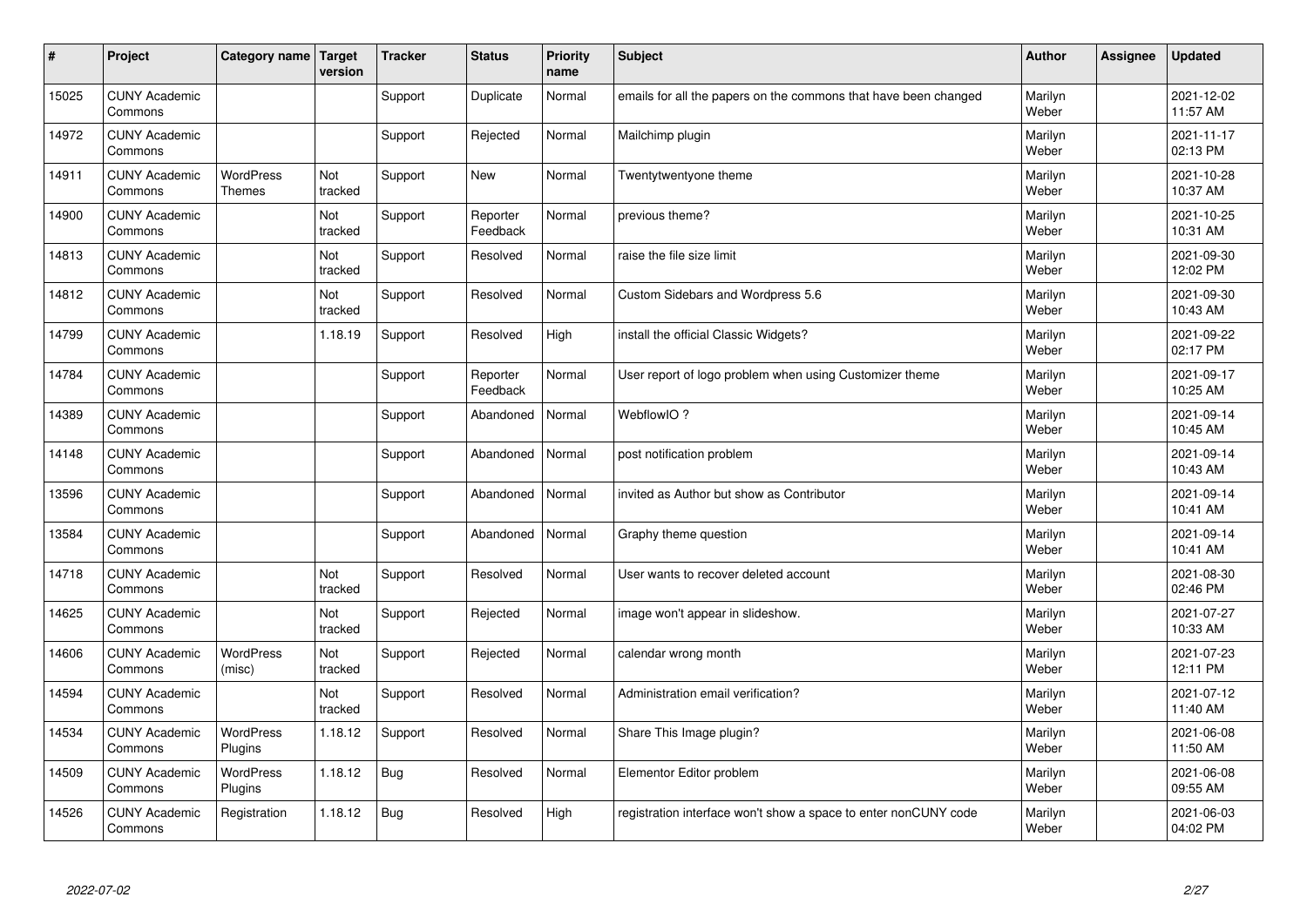| $\vert$ # | Project                         | Category name   Target            | version               | <b>Tracker</b> | <b>Status</b>        | <b>Priority</b><br>name | <b>Subject</b>                                                  | <b>Author</b>    | Assignee | <b>Updated</b>         |
|-----------|---------------------------------|-----------------------------------|-----------------------|----------------|----------------------|-------------------------|-----------------------------------------------------------------|------------------|----------|------------------------|
| 15025     | <b>CUNY Academic</b><br>Commons |                                   |                       | Support        | Duplicate            | Normal                  | emails for all the papers on the commons that have been changed | Marilyn<br>Weber |          | 2021-12-02<br>11:57 AM |
| 14972     | <b>CUNY Academic</b><br>Commons |                                   |                       | Support        | Rejected             | Normal                  | Mailchimp plugin                                                | Marilyn<br>Weber |          | 2021-11-17<br>02:13 PM |
| 14911     | <b>CUNY Academic</b><br>Commons | <b>WordPress</b><br><b>Themes</b> | Not<br>tracked        | Support        | <b>New</b>           | Normal                  | Twentytwentyone theme                                           | Marilyn<br>Weber |          | 2021-10-28<br>10:37 AM |
| 14900     | <b>CUNY Academic</b><br>Commons |                                   | Not<br>tracked        | Support        | Reporter<br>Feedback | Normal                  | previous theme?                                                 | Marilyn<br>Weber |          | 2021-10-25<br>10:31 AM |
| 14813     | <b>CUNY Academic</b><br>Commons |                                   | <b>Not</b><br>tracked | Support        | Resolved             | Normal                  | raise the file size limit                                       | Marilyn<br>Weber |          | 2021-09-30<br>12:02 PM |
| 14812     | <b>CUNY Academic</b><br>Commons |                                   | Not<br>tracked        | Support        | Resolved             | Normal                  | Custom Sidebars and Wordpress 5.6                               | Marilyn<br>Weber |          | 2021-09-30<br>10:43 AM |
| 14799     | <b>CUNY Academic</b><br>Commons |                                   | 1.18.19               | Support        | Resolved             | High                    | install the official Classic Widgets?                           | Marilyn<br>Weber |          | 2021-09-22<br>02:17 PM |
| 14784     | <b>CUNY Academic</b><br>Commons |                                   |                       | Support        | Reporter<br>Feedback | Normal                  | User report of logo problem when using Customizer theme         | Marilyn<br>Weber |          | 2021-09-17<br>10:25 AM |
| 14389     | <b>CUNY Academic</b><br>Commons |                                   |                       | Support        | Abandoned            | Normal                  | WebflowIO?                                                      | Marilyn<br>Weber |          | 2021-09-14<br>10:45 AM |
| 14148     | <b>CUNY Academic</b><br>Commons |                                   |                       | Support        | Abandoned            | Normal                  | post notification problem                                       | Marilyn<br>Weber |          | 2021-09-14<br>10:43 AM |
| 13596     | <b>CUNY Academic</b><br>Commons |                                   |                       | Support        | Abandoned            | Normal                  | invited as Author but show as Contributor                       | Marilyn<br>Weber |          | 2021-09-14<br>10:41 AM |
| 13584     | <b>CUNY Academic</b><br>Commons |                                   |                       | Support        | Abandoned            | Normal                  | Graphy theme question                                           | Marilyn<br>Weber |          | 2021-09-14<br>10:41 AM |
| 14718     | <b>CUNY Academic</b><br>Commons |                                   | Not<br>tracked        | Support        | Resolved             | Normal                  | User wants to recover deleted account                           | Marilyn<br>Weber |          | 2021-08-30<br>02:46 PM |
| 14625     | <b>CUNY Academic</b><br>Commons |                                   | Not<br>tracked        | Support        | Rejected             | Normal                  | image won't appear in slideshow.                                | Marilyn<br>Weber |          | 2021-07-27<br>10:33 AM |
| 14606     | <b>CUNY Academic</b><br>Commons | <b>WordPress</b><br>(misc)        | Not<br>tracked        | Support        | Rejected             | Normal                  | calendar wrong month                                            | Marilyn<br>Weber |          | 2021-07-23<br>12:11 PM |
| 14594     | <b>CUNY Academic</b><br>Commons |                                   | Not<br>tracked        | Support        | Resolved             | Normal                  | Administration email verification?                              | Marilyn<br>Weber |          | 2021-07-12<br>11:40 AM |
| 14534     | <b>CUNY Academic</b><br>Commons | WordPress<br>Plugins              | 1.18.12               | Support        | Resolved             | Normal                  | Share This Image plugin?                                        | Marilyn<br>Weber |          | 2021-06-08<br>11:50 AM |
| 14509     | <b>CUNY Academic</b><br>Commons | <b>WordPress</b><br>Plugins       | 1.18.12               | Bug            | Resolved             | Normal                  | Elementor Editor problem                                        | Marilyn<br>Weber |          | 2021-06-08<br>09:55 AM |
| 14526     | <b>CUNY Academic</b><br>Commons | Registration                      | 1.18.12               | Bug            | Resolved             | High                    | registration interface won't show a space to enter nonCUNY code | Marilyn<br>Weber |          | 2021-06-03<br>04:02 PM |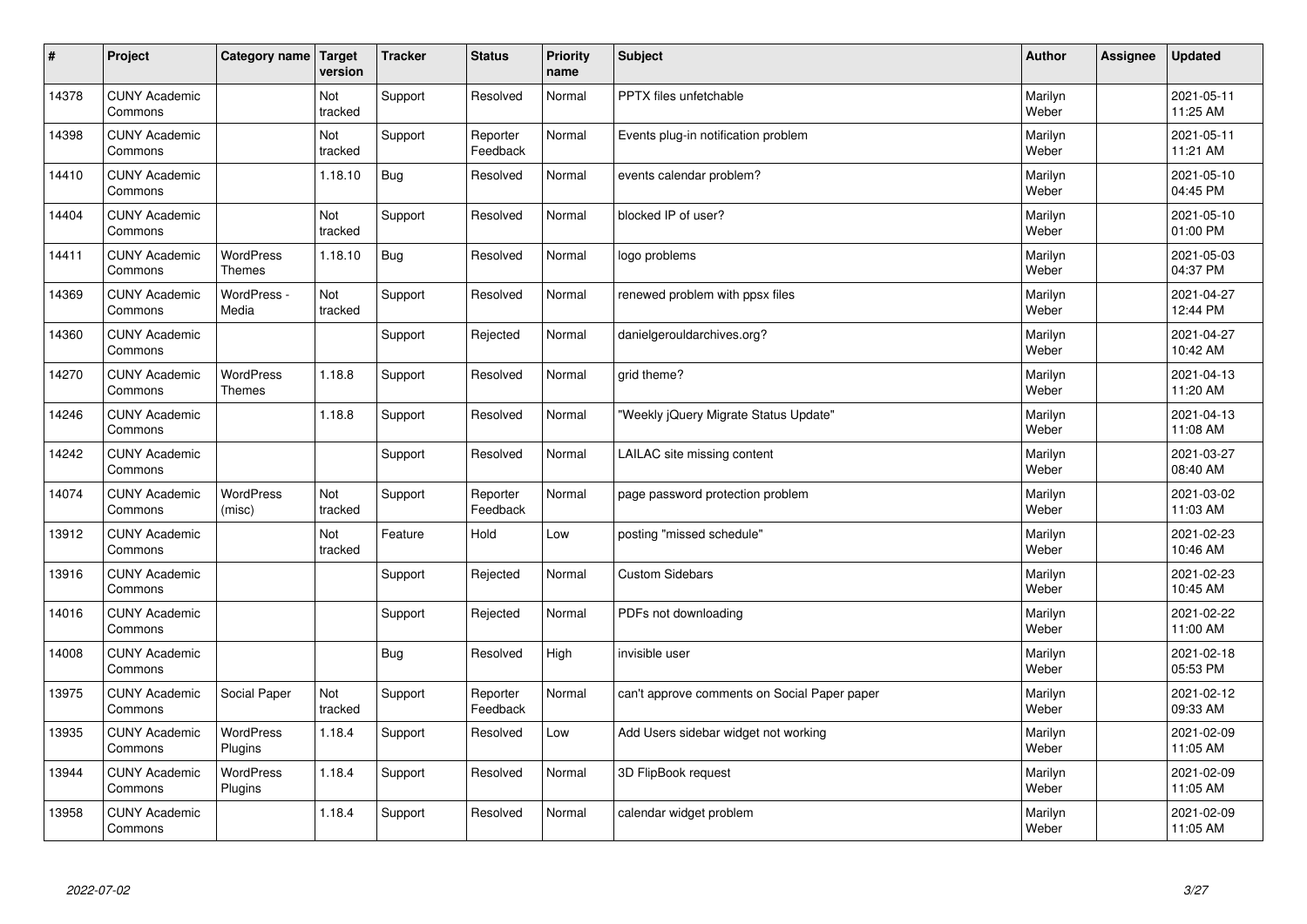| #     | Project                         | Category name   Target            | version        | <b>Tracker</b> | <b>Status</b>        | <b>Priority</b><br>name | <b>Subject</b>                               | <b>Author</b>    | Assignee | <b>Updated</b>         |
|-------|---------------------------------|-----------------------------------|----------------|----------------|----------------------|-------------------------|----------------------------------------------|------------------|----------|------------------------|
| 14378 | <b>CUNY Academic</b><br>Commons |                                   | Not<br>tracked | Support        | Resolved             | Normal                  | <b>PPTX</b> files unfetchable                | Marilyn<br>Weber |          | 2021-05-11<br>11:25 AM |
| 14398 | <b>CUNY Academic</b><br>Commons |                                   | Not<br>tracked | Support        | Reporter<br>Feedback | Normal                  | Events plug-in notification problem          | Marilyn<br>Weber |          | 2021-05-11<br>11:21 AM |
| 14410 | <b>CUNY Academic</b><br>Commons |                                   | 1.18.10        | Bug            | Resolved             | Normal                  | events calendar problem?                     | Marilyn<br>Weber |          | 2021-05-10<br>04:45 PM |
| 14404 | <b>CUNY Academic</b><br>Commons |                                   | Not<br>tracked | Support        | Resolved             | Normal                  | blocked IP of user?                          | Marilyn<br>Weber |          | 2021-05-10<br>01:00 PM |
| 14411 | <b>CUNY Academic</b><br>Commons | <b>WordPress</b><br><b>Themes</b> | 1.18.10        | Bug            | Resolved             | Normal                  | logo problems                                | Marilyn<br>Weber |          | 2021-05-03<br>04:37 PM |
| 14369 | <b>CUNY Academic</b><br>Commons | WordPress -<br>Media              | Not<br>tracked | Support        | Resolved             | Normal                  | renewed problem with ppsx files              | Marilyn<br>Weber |          | 2021-04-27<br>12:44 PM |
| 14360 | <b>CUNY Academic</b><br>Commons |                                   |                | Support        | Rejected             | Normal                  | danielgerouldarchives.org?                   | Marilyn<br>Weber |          | 2021-04-27<br>10:42 AM |
| 14270 | <b>CUNY Academic</b><br>Commons | WordPress<br><b>Themes</b>        | 1.18.8         | Support        | Resolved             | Normal                  | grid theme?                                  | Marilyn<br>Weber |          | 2021-04-13<br>11:20 AM |
| 14246 | <b>CUNY Academic</b><br>Commons |                                   | 1.18.8         | Support        | Resolved             | Normal                  | 'Weekly jQuery Migrate Status Update"        | Marilyn<br>Weber |          | 2021-04-13<br>11:08 AM |
| 14242 | <b>CUNY Academic</b><br>Commons |                                   |                | Support        | Resolved             | Normal                  | LAILAC site missing content                  | Marilyn<br>Weber |          | 2021-03-27<br>08:40 AM |
| 14074 | <b>CUNY Academic</b><br>Commons | <b>WordPress</b><br>(misc)        | Not<br>tracked | Support        | Reporter<br>Feedback | Normal                  | page password protection problem             | Marilyn<br>Weber |          | 2021-03-02<br>11:03 AM |
| 13912 | <b>CUNY Academic</b><br>Commons |                                   | Not<br>tracked | Feature        | Hold                 | Low                     | posting "missed schedule"                    | Marilyn<br>Weber |          | 2021-02-23<br>10:46 AM |
| 13916 | <b>CUNY Academic</b><br>Commons |                                   |                | Support        | Rejected             | Normal                  | <b>Custom Sidebars</b>                       | Marilyn<br>Weber |          | 2021-02-23<br>10:45 AM |
| 14016 | <b>CUNY Academic</b><br>Commons |                                   |                | Support        | Rejected             | Normal                  | PDFs not downloading                         | Marilyn<br>Weber |          | 2021-02-22<br>11:00 AM |
| 14008 | <b>CUNY Academic</b><br>Commons |                                   |                | Bug            | Resolved             | High                    | invisible user                               | Marilyn<br>Weber |          | 2021-02-18<br>05:53 PM |
| 13975 | <b>CUNY Academic</b><br>Commons | Social Paper                      | Not<br>tracked | Support        | Reporter<br>Feedback | Normal                  | can't approve comments on Social Paper paper | Marilyn<br>Weber |          | 2021-02-12<br>09:33 AM |
| 13935 | <b>CUNY Academic</b><br>Commons | WordPress<br>Plugins              | 1.18.4         | Support        | Resolved             | Low                     | Add Users sidebar widget not working         | Marilyn<br>Weber |          | 2021-02-09<br>11:05 AM |
| 13944 | <b>CUNY Academic</b><br>Commons | WordPress<br>Plugins              | 1.18.4         | Support        | Resolved             | Normal                  | 3D FlipBook request                          | Marilyn<br>Weber |          | 2021-02-09<br>11:05 AM |
| 13958 | <b>CUNY Academic</b><br>Commons |                                   | 1.18.4         | Support        | Resolved             | Normal                  | calendar widget problem                      | Marilyn<br>Weber |          | 2021-02-09<br>11:05 AM |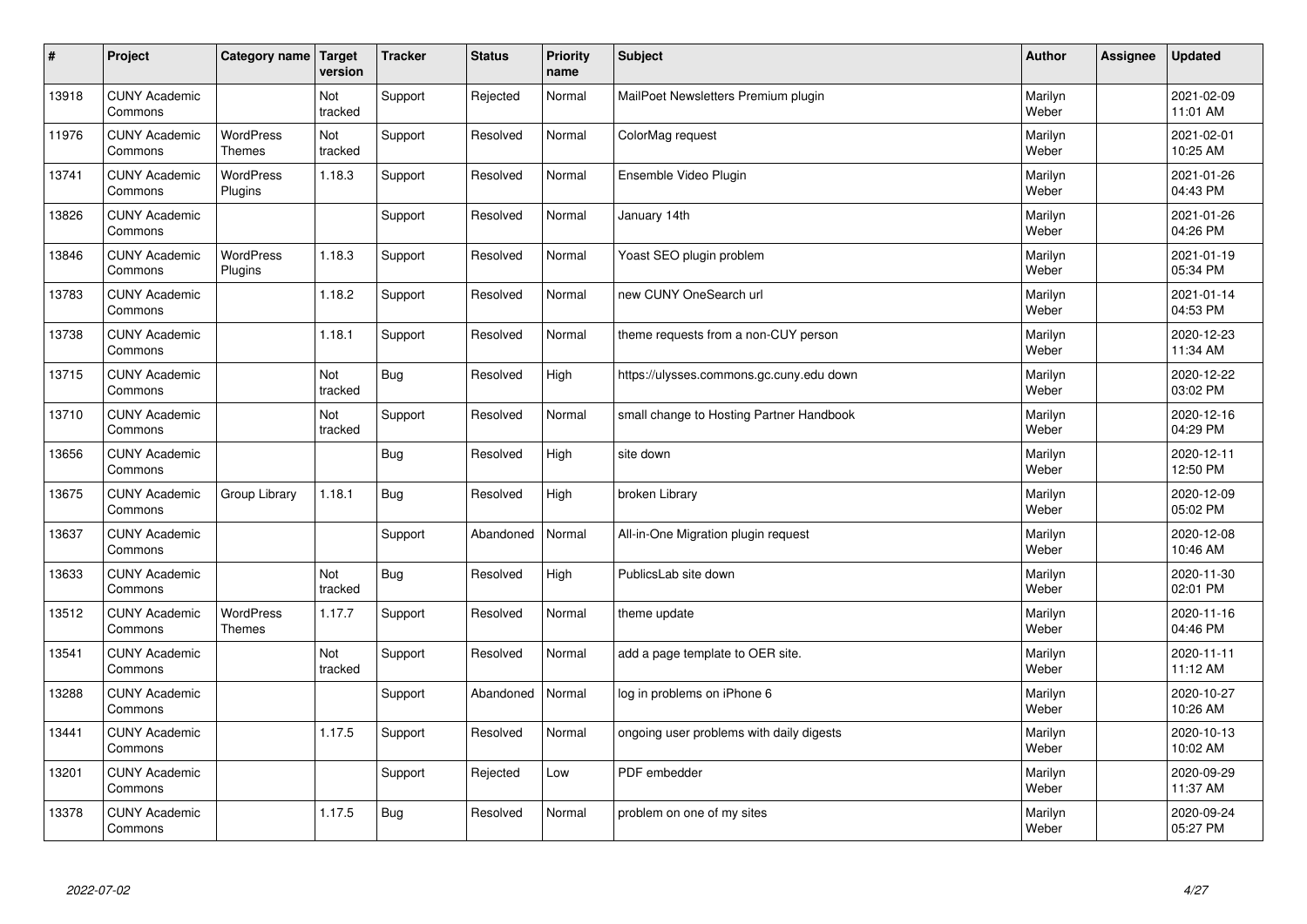| $\sharp$ | Project                         | Category name                     | Target<br>version | <b>Tracker</b> | <b>Status</b> | <b>Priority</b><br>name | <b>Subject</b>                           | <b>Author</b>    | Assignee | <b>Updated</b>         |
|----------|---------------------------------|-----------------------------------|-------------------|----------------|---------------|-------------------------|------------------------------------------|------------------|----------|------------------------|
| 13918    | <b>CUNY Academic</b><br>Commons |                                   | Not<br>tracked    | Support        | Rejected      | Normal                  | MailPoet Newsletters Premium plugin      | Marilyn<br>Weber |          | 2021-02-09<br>11:01 AM |
| 11976    | <b>CUNY Academic</b><br>Commons | <b>WordPress</b><br><b>Themes</b> | Not<br>tracked    | Support        | Resolved      | Normal                  | ColorMag request                         | Marilyn<br>Weber |          | 2021-02-01<br>10:25 AM |
| 13741    | <b>CUNY Academic</b><br>Commons | <b>WordPress</b><br>Plugins       | 1.18.3            | Support        | Resolved      | Normal                  | Ensemble Video Plugin                    | Marilyn<br>Weber |          | 2021-01-26<br>04:43 PM |
| 13826    | <b>CUNY Academic</b><br>Commons |                                   |                   | Support        | Resolved      | Normal                  | January 14th                             | Marilyn<br>Weber |          | 2021-01-26<br>04:26 PM |
| 13846    | <b>CUNY Academic</b><br>Commons | <b>WordPress</b><br>Plugins       | 1.18.3            | Support        | Resolved      | Normal                  | Yoast SEO plugin problem                 | Marilyn<br>Weber |          | 2021-01-19<br>05:34 PM |
| 13783    | <b>CUNY Academic</b><br>Commons |                                   | 1.18.2            | Support        | Resolved      | Normal                  | new CUNY OneSearch url                   | Marilyn<br>Weber |          | 2021-01-14<br>04:53 PM |
| 13738    | <b>CUNY Academic</b><br>Commons |                                   | 1.18.1            | Support        | Resolved      | Normal                  | theme requests from a non-CUY person     | Marilyn<br>Weber |          | 2020-12-23<br>11:34 AM |
| 13715    | <b>CUNY Academic</b><br>Commons |                                   | Not<br>tracked    | <b>Bug</b>     | Resolved      | High                    | https://ulysses.commons.gc.cuny.edu down | Marilyn<br>Weber |          | 2020-12-22<br>03:02 PM |
| 13710    | <b>CUNY Academic</b><br>Commons |                                   | Not<br>tracked    | Support        | Resolved      | Normal                  | small change to Hosting Partner Handbook | Marilyn<br>Weber |          | 2020-12-16<br>04:29 PM |
| 13656    | <b>CUNY Academic</b><br>Commons |                                   |                   | Bug            | Resolved      | High                    | site down                                | Marilyn<br>Weber |          | 2020-12-11<br>12:50 PM |
| 13675    | <b>CUNY Academic</b><br>Commons | Group Library                     | 1.18.1            | Bug            | Resolved      | High                    | broken Library                           | Marilyn<br>Weber |          | 2020-12-09<br>05:02 PM |
| 13637    | <b>CUNY Academic</b><br>Commons |                                   |                   | Support        | Abandoned     | Normal                  | All-in-One Migration plugin request      | Marilyn<br>Weber |          | 2020-12-08<br>10:46 AM |
| 13633    | <b>CUNY Academic</b><br>Commons |                                   | Not<br>tracked    | <b>Bug</b>     | Resolved      | High                    | PublicsLab site down                     | Marilyn<br>Weber |          | 2020-11-30<br>02:01 PM |
| 13512    | <b>CUNY Academic</b><br>Commons | <b>WordPress</b><br><b>Themes</b> | 1.17.7            | Support        | Resolved      | Normal                  | theme update                             | Marilyn<br>Weber |          | 2020-11-16<br>04:46 PM |
| 13541    | <b>CUNY Academic</b><br>Commons |                                   | Not<br>tracked    | Support        | Resolved      | Normal                  | add a page template to OER site.         | Marilyn<br>Weber |          | 2020-11-11<br>11:12 AM |
| 13288    | <b>CUNY Academic</b><br>Commons |                                   |                   | Support        | Abandoned     | Normal                  | log in problems on iPhone 6              | Marilyn<br>Weber |          | 2020-10-27<br>10:26 AM |
| 13441    | <b>CUNY Academic</b><br>Commons |                                   | 1.17.5            | Support        | Resolved      | Normal                  | ongoing user problems with daily digests | Marilyn<br>Weber |          | 2020-10-13<br>10:02 AM |
| 13201    | <b>CUNY Academic</b><br>Commons |                                   |                   | Support        | Rejected      | Low                     | PDF embedder                             | Marilyn<br>Weber |          | 2020-09-29<br>11:37 AM |
| 13378    | <b>CUNY Academic</b><br>Commons |                                   | 1.17.5            | <b>Bug</b>     | Resolved      | Normal                  | problem on one of my sites               | Marilyn<br>Weber |          | 2020-09-24<br>05:27 PM |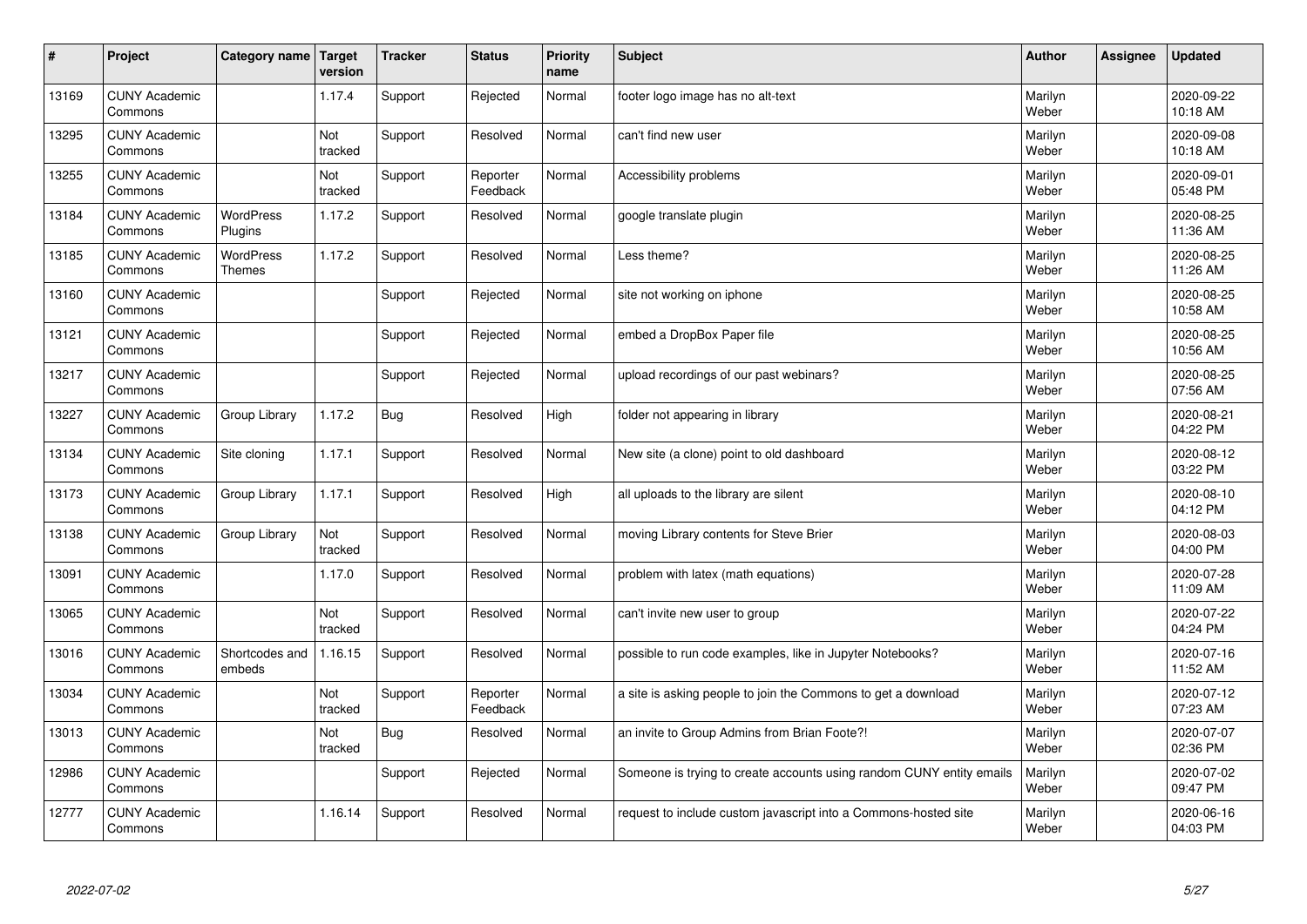| $\sharp$ | Project                         | Category name   Target            | version        | <b>Tracker</b> | <b>Status</b>        | <b>Priority</b><br>name | <b>Subject</b>                                                       | <b>Author</b>    | <b>Assignee</b> | <b>Updated</b>         |
|----------|---------------------------------|-----------------------------------|----------------|----------------|----------------------|-------------------------|----------------------------------------------------------------------|------------------|-----------------|------------------------|
| 13169    | <b>CUNY Academic</b><br>Commons |                                   | 1.17.4         | Support        | Rejected             | Normal                  | footer logo image has no alt-text                                    | Marilyn<br>Weber |                 | 2020-09-22<br>10:18 AM |
| 13295    | <b>CUNY Academic</b><br>Commons |                                   | Not<br>tracked | Support        | Resolved             | Normal                  | can't find new user                                                  | Marilyn<br>Weber |                 | 2020-09-08<br>10:18 AM |
| 13255    | <b>CUNY Academic</b><br>Commons |                                   | Not<br>tracked | Support        | Reporter<br>Feedback | Normal                  | Accessibility problems                                               | Marilyn<br>Weber |                 | 2020-09-01<br>05:48 PM |
| 13184    | <b>CUNY Academic</b><br>Commons | <b>WordPress</b><br>Plugins       | 1.17.2         | Support        | Resolved             | Normal                  | google translate plugin                                              | Marilyn<br>Weber |                 | 2020-08-25<br>11:36 AM |
| 13185    | <b>CUNY Academic</b><br>Commons | <b>WordPress</b><br><b>Themes</b> | 1.17.2         | Support        | Resolved             | Normal                  | Less theme?                                                          | Marilyn<br>Weber |                 | 2020-08-25<br>11:26 AM |
| 13160    | <b>CUNY Academic</b><br>Commons |                                   |                | Support        | Rejected             | Normal                  | site not working on iphone                                           | Marilyn<br>Weber |                 | 2020-08-25<br>10:58 AM |
| 13121    | <b>CUNY Academic</b><br>Commons |                                   |                | Support        | Rejected             | Normal                  | embed a DropBox Paper file                                           | Marilyn<br>Weber |                 | 2020-08-25<br>10:56 AM |
| 13217    | <b>CUNY Academic</b><br>Commons |                                   |                | Support        | Rejected             | Normal                  | upload recordings of our past webinars?                              | Marilyn<br>Weber |                 | 2020-08-25<br>07:56 AM |
| 13227    | <b>CUNY Academic</b><br>Commons | Group Library                     | 1.17.2         | <b>Bug</b>     | Resolved             | High                    | folder not appearing in library                                      | Marilyn<br>Weber |                 | 2020-08-21<br>04:22 PM |
| 13134    | <b>CUNY Academic</b><br>Commons | Site cloning                      | 1.17.1         | Support        | Resolved             | Normal                  | New site (a clone) point to old dashboard                            | Marilyn<br>Weber |                 | 2020-08-12<br>03:22 PM |
| 13173    | <b>CUNY Academic</b><br>Commons | Group Library                     | 1.17.1         | Support        | Resolved             | High                    | all uploads to the library are silent                                | Marilyn<br>Weber |                 | 2020-08-10<br>04:12 PM |
| 13138    | <b>CUNY Academic</b><br>Commons | Group Library                     | Not<br>tracked | Support        | Resolved             | Normal                  | moving Library contents for Steve Brier                              | Marilyn<br>Weber |                 | 2020-08-03<br>04:00 PM |
| 13091    | <b>CUNY Academic</b><br>Commons |                                   | 1.17.0         | Support        | Resolved             | Normal                  | problem with latex (math equations)                                  | Marilyn<br>Weber |                 | 2020-07-28<br>11:09 AM |
| 13065    | <b>CUNY Academic</b><br>Commons |                                   | Not<br>tracked | Support        | Resolved             | Normal                  | can't invite new user to group                                       | Marilyn<br>Weber |                 | 2020-07-22<br>04:24 PM |
| 13016    | <b>CUNY Academic</b><br>Commons | Shortcodes and<br>embeds          | 1.16.15        | Support        | Resolved             | Normal                  | possible to run code examples, like in Jupyter Notebooks?            | Marilyn<br>Weber |                 | 2020-07-16<br>11:52 AM |
| 13034    | <b>CUNY Academic</b><br>Commons |                                   | Not<br>tracked | Support        | Reporter<br>Feedback | Normal                  | a site is asking people to join the Commons to get a download        | Marilyn<br>Weber |                 | 2020-07-12<br>07:23 AM |
| 13013    | <b>CUNY Academic</b><br>Commons |                                   | Not<br>tracked | <b>Bug</b>     | Resolved             | Normal                  | an invite to Group Admins from Brian Foote?!                         | Marilyn<br>Weber |                 | 2020-07-07<br>02:36 PM |
| 12986    | <b>CUNY Academic</b><br>Commons |                                   |                | Support        | Rejected             | Normal                  | Someone is trying to create accounts using random CUNY entity emails | Marilyn<br>Weber |                 | 2020-07-02<br>09:47 PM |
| 12777    | <b>CUNY Academic</b><br>Commons |                                   | 1.16.14        | Support        | Resolved             | Normal                  | request to include custom javascript into a Commons-hosted site      | Marilyn<br>Weber |                 | 2020-06-16<br>04:03 PM |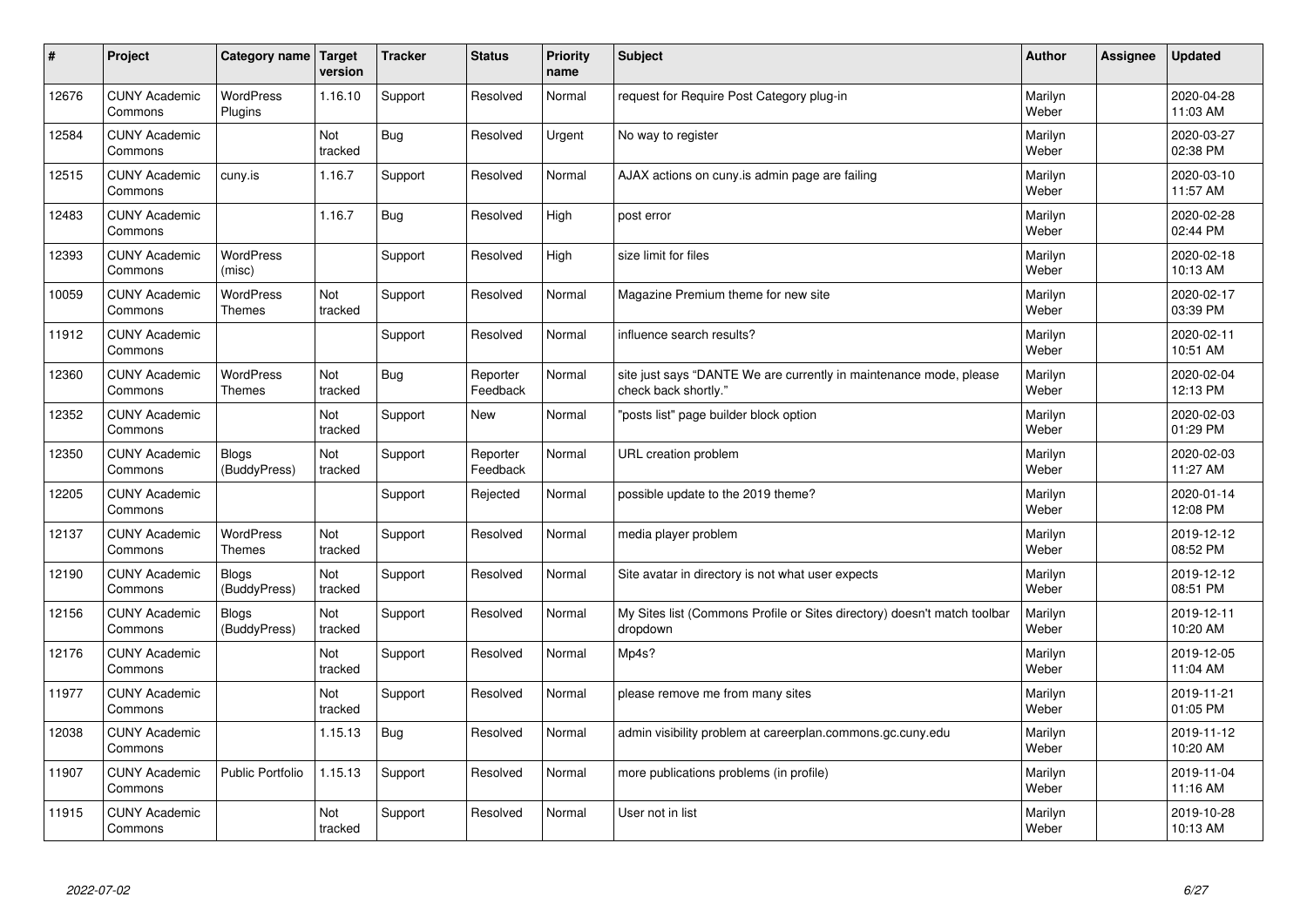| #     | Project                         | Category name                     | <b>Target</b><br>version | <b>Tracker</b> | <b>Status</b>        | Priority<br>name | <b>Subject</b>                                                                             | <b>Author</b>    | Assignee | <b>Updated</b>         |
|-------|---------------------------------|-----------------------------------|--------------------------|----------------|----------------------|------------------|--------------------------------------------------------------------------------------------|------------------|----------|------------------------|
| 12676 | <b>CUNY Academic</b><br>Commons | <b>WordPress</b><br>Plugins       | 1.16.10                  | Support        | Resolved             | Normal           | request for Require Post Category plug-in                                                  | Marilyn<br>Weber |          | 2020-04-28<br>11:03 AM |
| 12584 | <b>CUNY Academic</b><br>Commons |                                   | Not<br>tracked           | <b>Bug</b>     | Resolved             | Urgent           | No way to register                                                                         | Marilyn<br>Weber |          | 2020-03-27<br>02:38 PM |
| 12515 | <b>CUNY Academic</b><br>Commons | cuny.is                           | 1.16.7                   | Support        | Resolved             | Normal           | AJAX actions on cuny is admin page are failing                                             | Marilyn<br>Weber |          | 2020-03-10<br>11:57 AM |
| 12483 | <b>CUNY Academic</b><br>Commons |                                   | 1.16.7                   | <b>Bug</b>     | Resolved             | High             | post error                                                                                 | Marilyn<br>Weber |          | 2020-02-28<br>02:44 PM |
| 12393 | <b>CUNY Academic</b><br>Commons | <b>WordPress</b><br>(misc)        |                          | Support        | Resolved             | High             | size limit for files                                                                       | Marilyn<br>Weber |          | 2020-02-18<br>10:13 AM |
| 10059 | <b>CUNY Academic</b><br>Commons | <b>WordPress</b><br><b>Themes</b> | Not<br>tracked           | Support        | Resolved             | Normal           | Magazine Premium theme for new site                                                        | Marilyn<br>Weber |          | 2020-02-17<br>03:39 PM |
| 11912 | <b>CUNY Academic</b><br>Commons |                                   |                          | Support        | Resolved             | Normal           | influence search results?                                                                  | Marilyn<br>Weber |          | 2020-02-11<br>10:51 AM |
| 12360 | <b>CUNY Academic</b><br>Commons | WordPress<br><b>Themes</b>        | Not<br>tracked           | Bug            | Reporter<br>Feedback | Normal           | site just says "DANTE We are currently in maintenance mode, please<br>check back shortly." | Marilyn<br>Weber |          | 2020-02-04<br>12:13 PM |
| 12352 | <b>CUNY Academic</b><br>Commons |                                   | Not<br>tracked           | Support        | New                  | Normal           | "posts list" page builder block option                                                     | Marilyn<br>Weber |          | 2020-02-03<br>01:29 PM |
| 12350 | <b>CUNY Academic</b><br>Commons | <b>Blogs</b><br>(BuddyPress)      | Not<br>tracked           | Support        | Reporter<br>Feedback | Normal           | URL creation problem                                                                       | Marilyn<br>Weber |          | 2020-02-03<br>11:27 AM |
| 12205 | <b>CUNY Academic</b><br>Commons |                                   |                          | Support        | Rejected             | Normal           | possible update to the 2019 theme?                                                         | Marilyn<br>Weber |          | 2020-01-14<br>12:08 PM |
| 12137 | <b>CUNY Academic</b><br>Commons | WordPress<br><b>Themes</b>        | Not<br>tracked           | Support        | Resolved             | Normal           | media player problem                                                                       | Marilyn<br>Weber |          | 2019-12-12<br>08:52 PM |
| 12190 | <b>CUNY Academic</b><br>Commons | <b>Blogs</b><br>(BuddyPress)      | Not<br>tracked           | Support        | Resolved             | Normal           | Site avatar in directory is not what user expects                                          | Marilyn<br>Weber |          | 2019-12-12<br>08:51 PM |
| 12156 | <b>CUNY Academic</b><br>Commons | <b>Blogs</b><br>(BuddyPress)      | Not<br>tracked           | Support        | Resolved             | Normal           | My Sites list (Commons Profile or Sites directory) doesn't match toolbar<br>dropdown       | Marilyn<br>Weber |          | 2019-12-11<br>10:20 AM |
| 12176 | <b>CUNY Academic</b><br>Commons |                                   | Not<br>tracked           | Support        | Resolved             | Normal           | Mp4s?                                                                                      | Marilyn<br>Weber |          | 2019-12-05<br>11:04 AM |
| 11977 | <b>CUNY Academic</b><br>Commons |                                   | Not<br>tracked           | Support        | Resolved             | Normal           | please remove me from many sites                                                           | Marilyn<br>Weber |          | 2019-11-21<br>01:05 PM |
| 12038 | <b>CUNY Academic</b><br>Commons |                                   | 1.15.13                  | Bug            | Resolved             | Normal           | admin visibility problem at careerplan.commons.gc.cuny.edu                                 | Marilyn<br>Weber |          | 2019-11-12<br>10:20 AM |
| 11907 | <b>CUNY Academic</b><br>Commons | Public Portfolio                  | 1.15.13                  | Support        | Resolved             | Normal           | more publications problems (in profile)                                                    | Marilyn<br>Weber |          | 2019-11-04<br>11:16 AM |
| 11915 | <b>CUNY Academic</b><br>Commons |                                   | Not<br>tracked           | Support        | Resolved             | Normal           | User not in list                                                                           | Marilyn<br>Weber |          | 2019-10-28<br>10:13 AM |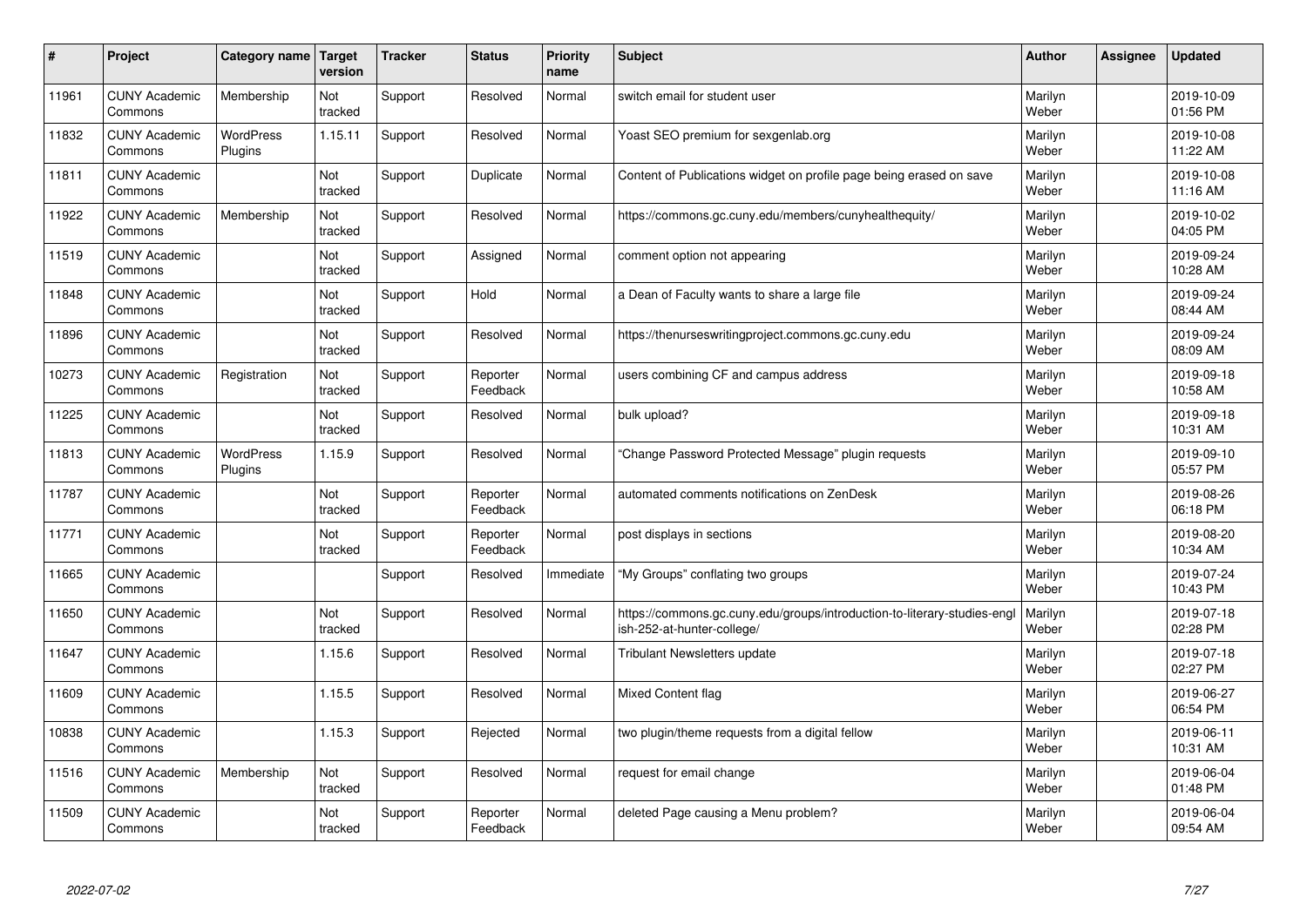| #     | Project                         | Category name               | Target<br>version | <b>Tracker</b> | <b>Status</b>        | <b>Priority</b><br>name | <b>Subject</b>                                                                                         | <b>Author</b>    | Assignee | <b>Updated</b>         |
|-------|---------------------------------|-----------------------------|-------------------|----------------|----------------------|-------------------------|--------------------------------------------------------------------------------------------------------|------------------|----------|------------------------|
| 11961 | <b>CUNY Academic</b><br>Commons | Membership                  | Not<br>tracked    | Support        | Resolved             | Normal                  | switch email for student user                                                                          | Marilyn<br>Weber |          | 2019-10-09<br>01:56 PM |
| 11832 | <b>CUNY Academic</b><br>Commons | <b>WordPress</b><br>Plugins | 1.15.11           | Support        | Resolved             | Normal                  | Yoast SEO premium for sexgenlab.org                                                                    | Marilyn<br>Weber |          | 2019-10-08<br>11:22 AM |
| 11811 | <b>CUNY Academic</b><br>Commons |                             | Not<br>tracked    | Support        | Duplicate            | Normal                  | Content of Publications widget on profile page being erased on save                                    | Marilyn<br>Weber |          | 2019-10-08<br>11:16 AM |
| 11922 | <b>CUNY Academic</b><br>Commons | Membership                  | Not<br>tracked    | Support        | Resolved             | Normal                  | https://commons.gc.cuny.edu/members/cunyhealthequity/                                                  | Marilyn<br>Weber |          | 2019-10-02<br>04:05 PM |
| 11519 | <b>CUNY Academic</b><br>Commons |                             | Not<br>tracked    | Support        | Assigned             | Normal                  | comment option not appearing                                                                           | Marilyn<br>Weber |          | 2019-09-24<br>10:28 AM |
| 11848 | <b>CUNY Academic</b><br>Commons |                             | Not<br>tracked    | Support        | Hold                 | Normal                  | a Dean of Faculty wants to share a large file                                                          | Marilyn<br>Weber |          | 2019-09-24<br>08:44 AM |
| 11896 | <b>CUNY Academic</b><br>Commons |                             | Not<br>tracked    | Support        | Resolved             | Normal                  | https://thenurseswritingproject.commons.gc.cuny.edu                                                    | Marilyn<br>Weber |          | 2019-09-24<br>08:09 AM |
| 10273 | <b>CUNY Academic</b><br>Commons | Registration                | Not<br>tracked    | Support        | Reporter<br>Feedback | Normal                  | users combining CF and campus address                                                                  | Marilyn<br>Weber |          | 2019-09-18<br>10:58 AM |
| 11225 | <b>CUNY Academic</b><br>Commons |                             | Not<br>tracked    | Support        | Resolved             | Normal                  | bulk upload?                                                                                           | Marilyn<br>Weber |          | 2019-09-18<br>10:31 AM |
| 11813 | <b>CUNY Academic</b><br>Commons | WordPress<br>Plugins        | 1.15.9            | Support        | Resolved             | Normal                  | 'Change Password Protected Message" plugin requests                                                    | Marilyn<br>Weber |          | 2019-09-10<br>05:57 PM |
| 11787 | <b>CUNY Academic</b><br>Commons |                             | Not<br>tracked    | Support        | Reporter<br>Feedback | Normal                  | automated comments notifications on ZenDesk                                                            | Marilyn<br>Weber |          | 2019-08-26<br>06:18 PM |
| 11771 | <b>CUNY Academic</b><br>Commons |                             | Not<br>tracked    | Support        | Reporter<br>Feedback | Normal                  | post displays in sections                                                                              | Marilyn<br>Weber |          | 2019-08-20<br>10:34 AM |
| 11665 | <b>CUNY Academic</b><br>Commons |                             |                   | Support        | Resolved             | Immediate               | "My Groups" conflating two groups                                                                      | Marilyn<br>Weber |          | 2019-07-24<br>10:43 PM |
| 11650 | <b>CUNY Academic</b><br>Commons |                             | Not<br>tracked    | Support        | Resolved             | Normal                  | https://commons.gc.cuny.edu/groups/introduction-to-literary-studies-engl<br>ish-252-at-hunter-college/ | Marilyn<br>Weber |          | 2019-07-18<br>02:28 PM |
| 11647 | <b>CUNY Academic</b><br>Commons |                             | 1.15.6            | Support        | Resolved             | Normal                  | Tribulant Newsletters update                                                                           | Marilyn<br>Weber |          | 2019-07-18<br>02:27 PM |
| 11609 | <b>CUNY Academic</b><br>Commons |                             | 1.15.5            | Support        | Resolved             | Normal                  | <b>Mixed Content flag</b>                                                                              | Marilyn<br>Weber |          | 2019-06-27<br>06:54 PM |
| 10838 | <b>CUNY Academic</b><br>Commons |                             | 1.15.3            | Support        | Rejected             | Normal                  | two plugin/theme requests from a digital fellow                                                        | Marilyn<br>Weber |          | 2019-06-11<br>10:31 AM |
| 11516 | <b>CUNY Academic</b><br>Commons | Membership                  | Not<br>tracked    | Support        | Resolved             | Normal                  | request for email change                                                                               | Marilyn<br>Weber |          | 2019-06-04<br>01:48 PM |
| 11509 | <b>CUNY Academic</b><br>Commons |                             | Not<br>tracked    | Support        | Reporter<br>Feedback | Normal                  | deleted Page causing a Menu problem?                                                                   | Marilyn<br>Weber |          | 2019-06-04<br>09:54 AM |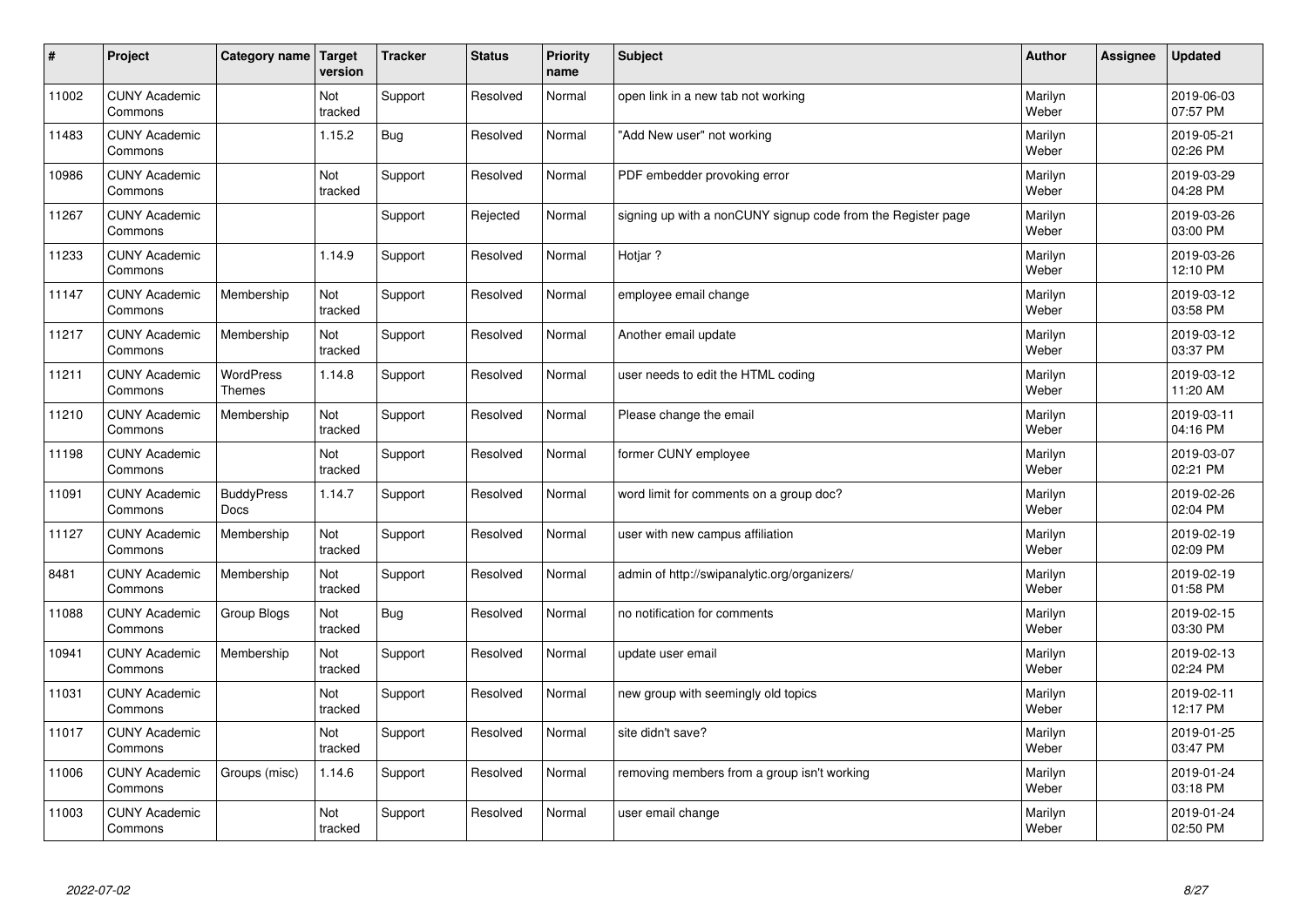| $\sharp$ | Project                         | Category name                     | Target<br>version | <b>Tracker</b> | <b>Status</b> | <b>Priority</b><br>name | <b>Subject</b>                                               | <b>Author</b>    | Assignee | <b>Updated</b>         |
|----------|---------------------------------|-----------------------------------|-------------------|----------------|---------------|-------------------------|--------------------------------------------------------------|------------------|----------|------------------------|
| 11002    | <b>CUNY Academic</b><br>Commons |                                   | Not<br>tracked    | Support        | Resolved      | Normal                  | open link in a new tab not working                           | Marilyn<br>Weber |          | 2019-06-03<br>07:57 PM |
| 11483    | <b>CUNY Academic</b><br>Commons |                                   | 1.15.2            | Bug            | Resolved      | Normal                  | 'Add New user" not working                                   | Marilyn<br>Weber |          | 2019-05-21<br>02:26 PM |
| 10986    | <b>CUNY Academic</b><br>Commons |                                   | Not<br>tracked    | Support        | Resolved      | Normal                  | PDF embedder provoking error                                 | Marilyn<br>Weber |          | 2019-03-29<br>04:28 PM |
| 11267    | <b>CUNY Academic</b><br>Commons |                                   |                   | Support        | Rejected      | Normal                  | signing up with a nonCUNY signup code from the Register page | Marilyn<br>Weber |          | 2019-03-26<br>03:00 PM |
| 11233    | <b>CUNY Academic</b><br>Commons |                                   | 1.14.9            | Support        | Resolved      | Normal                  | Hotiar?                                                      | Marilyn<br>Weber |          | 2019-03-26<br>12:10 PM |
| 11147    | <b>CUNY Academic</b><br>Commons | Membership                        | Not<br>tracked    | Support        | Resolved      | Normal                  | employee email change                                        | Marilyn<br>Weber |          | 2019-03-12<br>03:58 PM |
| 11217    | <b>CUNY Academic</b><br>Commons | Membership                        | Not<br>tracked    | Support        | Resolved      | Normal                  | Another email update                                         | Marilyn<br>Weber |          | 2019-03-12<br>03:37 PM |
| 11211    | <b>CUNY Academic</b><br>Commons | <b>WordPress</b><br><b>Themes</b> | 1.14.8            | Support        | Resolved      | Normal                  | user needs to edit the HTML coding                           | Marilyn<br>Weber |          | 2019-03-12<br>11:20 AM |
| 11210    | <b>CUNY Academic</b><br>Commons | Membership                        | Not<br>tracked    | Support        | Resolved      | Normal                  | Please change the email                                      | Marilyn<br>Weber |          | 2019-03-11<br>04:16 PM |
| 11198    | <b>CUNY Academic</b><br>Commons |                                   | Not<br>tracked    | Support        | Resolved      | Normal                  | former CUNY employee                                         | Marilyn<br>Weber |          | 2019-03-07<br>02:21 PM |
| 11091    | <b>CUNY Academic</b><br>Commons | <b>BuddyPress</b><br>Docs         | 1.14.7            | Support        | Resolved      | Normal                  | word limit for comments on a group doc?                      | Marilyn<br>Weber |          | 2019-02-26<br>02:04 PM |
| 11127    | <b>CUNY Academic</b><br>Commons | Membership                        | Not<br>tracked    | Support        | Resolved      | Normal                  | user with new campus affiliation                             | Marilyn<br>Weber |          | 2019-02-19<br>02:09 PM |
| 8481     | <b>CUNY Academic</b><br>Commons | Membership                        | Not<br>tracked    | Support        | Resolved      | Normal                  | admin of http://swipanalytic.org/organizers/                 | Marilyn<br>Weber |          | 2019-02-19<br>01:58 PM |
| 11088    | <b>CUNY Academic</b><br>Commons | Group Blogs                       | Not<br>tracked    | Bug            | Resolved      | Normal                  | no notification for comments                                 | Marilyn<br>Weber |          | 2019-02-15<br>03:30 PM |
| 10941    | <b>CUNY Academic</b><br>Commons | Membership                        | Not<br>tracked    | Support        | Resolved      | Normal                  | update user email                                            | Marilyn<br>Weber |          | 2019-02-13<br>02:24 PM |
| 11031    | <b>CUNY Academic</b><br>Commons |                                   | Not<br>tracked    | Support        | Resolved      | Normal                  | new group with seemingly old topics                          | Marilyn<br>Weber |          | 2019-02-11<br>12:17 PM |
| 11017    | <b>CUNY Academic</b><br>Commons |                                   | Not<br>tracked    | Support        | Resolved      | Normal                  | site didn't save?                                            | Marilyn<br>Weber |          | 2019-01-25<br>03:47 PM |
| 11006    | <b>CUNY Academic</b><br>Commons | Groups (misc)                     | 1.14.6            | Support        | Resolved      | Normal                  | removing members from a group isn't working                  | Marilyn<br>Weber |          | 2019-01-24<br>03:18 PM |
| 11003    | <b>CUNY Academic</b><br>Commons |                                   | Not<br>tracked    | Support        | Resolved      | Normal                  | user email change                                            | Marilyn<br>Weber |          | 2019-01-24<br>02:50 PM |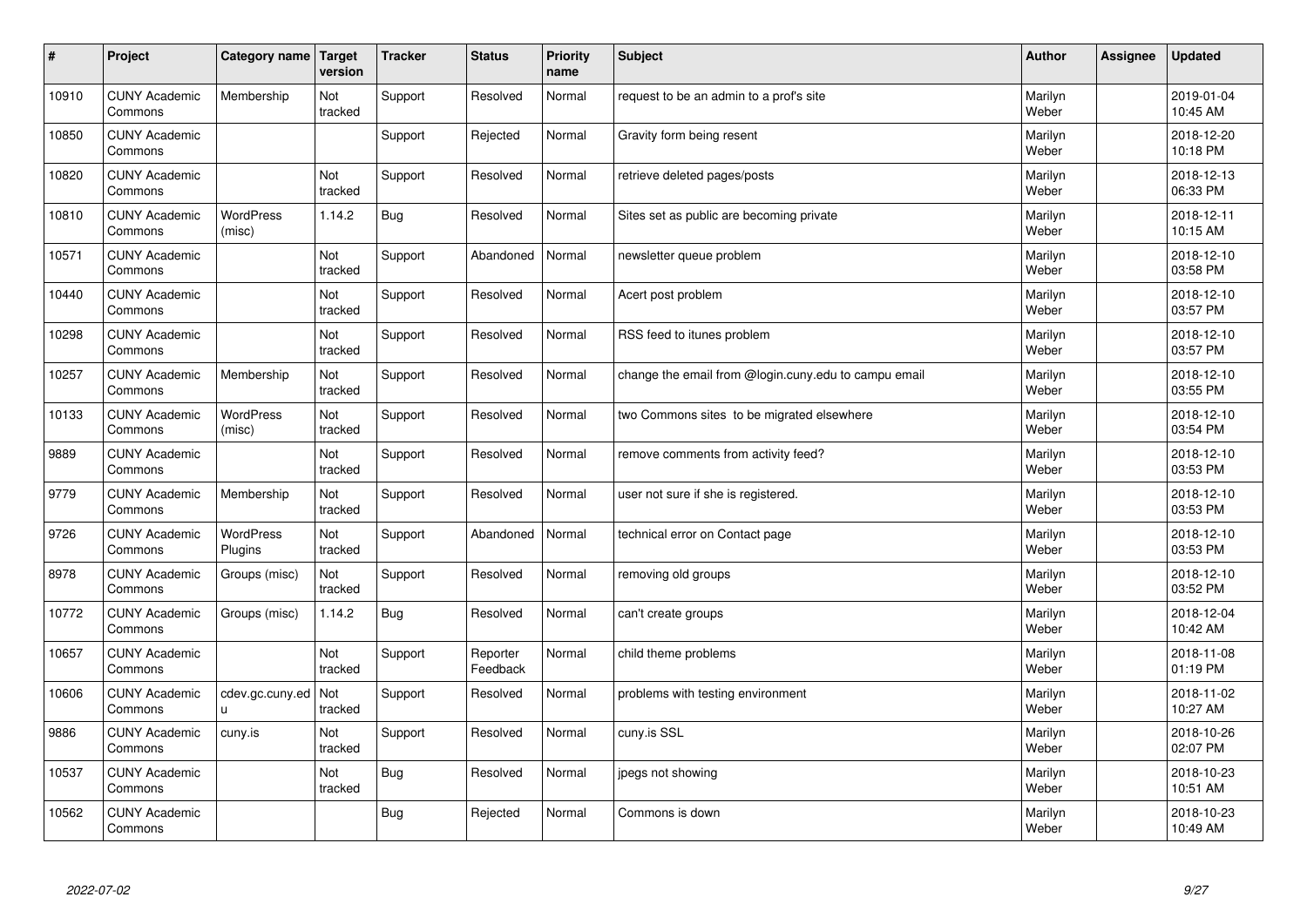| $\sharp$ | Project                         | Category name               | Target<br>version | <b>Tracker</b> | <b>Status</b>        | <b>Priority</b><br>name | <b>Subject</b>                                       | <b>Author</b>    | Assignee | <b>Updated</b>         |
|----------|---------------------------------|-----------------------------|-------------------|----------------|----------------------|-------------------------|------------------------------------------------------|------------------|----------|------------------------|
| 10910    | <b>CUNY Academic</b><br>Commons | Membership                  | Not<br>tracked    | Support        | Resolved             | Normal                  | request to be an admin to a prof's site              | Marilyn<br>Weber |          | 2019-01-04<br>10:45 AM |
| 10850    | <b>CUNY Academic</b><br>Commons |                             |                   | Support        | Rejected             | Normal                  | Gravity form being resent                            | Marilyn<br>Weber |          | 2018-12-20<br>10:18 PM |
| 10820    | <b>CUNY Academic</b><br>Commons |                             | Not<br>tracked    | Support        | Resolved             | Normal                  | retrieve deleted pages/posts                         | Marilyn<br>Weber |          | 2018-12-13<br>06:33 PM |
| 10810    | <b>CUNY Academic</b><br>Commons | <b>WordPress</b><br>(misc)  | 1.14.2            | <b>Bug</b>     | Resolved             | Normal                  | Sites set as public are becoming private             | Marilyn<br>Weber |          | 2018-12-11<br>10:15 AM |
| 10571    | <b>CUNY Academic</b><br>Commons |                             | Not<br>tracked    | Support        | Abandoned            | Normal                  | newsletter queue problem                             | Marilyn<br>Weber |          | 2018-12-10<br>03:58 PM |
| 10440    | <b>CUNY Academic</b><br>Commons |                             | Not<br>tracked    | Support        | Resolved             | Normal                  | Acert post problem                                   | Marilyn<br>Weber |          | 2018-12-10<br>03:57 PM |
| 10298    | <b>CUNY Academic</b><br>Commons |                             | Not<br>tracked    | Support        | Resolved             | Normal                  | RSS feed to itunes problem                           | Marilyn<br>Weber |          | 2018-12-10<br>03:57 PM |
| 10257    | <b>CUNY Academic</b><br>Commons | Membership                  | Not<br>tracked    | Support        | Resolved             | Normal                  | change the email from @login.cuny.edu to campu email | Marilyn<br>Weber |          | 2018-12-10<br>03:55 PM |
| 10133    | <b>CUNY Academic</b><br>Commons | WordPress<br>(misc)         | Not<br>tracked    | Support        | Resolved             | Normal                  | two Commons sites to be migrated elsewhere           | Marilyn<br>Weber |          | 2018-12-10<br>03:54 PM |
| 9889     | <b>CUNY Academic</b><br>Commons |                             | Not<br>tracked    | Support        | Resolved             | Normal                  | remove comments from activity feed?                  | Marilyn<br>Weber |          | 2018-12-10<br>03:53 PM |
| 9779     | <b>CUNY Academic</b><br>Commons | Membership                  | Not<br>tracked    | Support        | Resolved             | Normal                  | user not sure if she is registered.                  | Marilyn<br>Weber |          | 2018-12-10<br>03:53 PM |
| 9726     | <b>CUNY Academic</b><br>Commons | <b>WordPress</b><br>Plugins | Not<br>tracked    | Support        | Abandoned            | Normal                  | technical error on Contact page                      | Marilyn<br>Weber |          | 2018-12-10<br>03:53 PM |
| 8978     | <b>CUNY Academic</b><br>Commons | Groups (misc)               | Not<br>tracked    | Support        | Resolved             | Normal                  | removing old groups                                  | Marilyn<br>Weber |          | 2018-12-10<br>03:52 PM |
| 10772    | <b>CUNY Academic</b><br>Commons | Groups (misc)               | 1.14.2            | <b>Bug</b>     | Resolved             | Normal                  | can't create groups                                  | Marilyn<br>Weber |          | 2018-12-04<br>10:42 AM |
| 10657    | <b>CUNY Academic</b><br>Commons |                             | Not<br>tracked    | Support        | Reporter<br>Feedback | Normal                  | child theme problems                                 | Marilyn<br>Weber |          | 2018-11-08<br>01:19 PM |
| 10606    | <b>CUNY Academic</b><br>Commons | cdev.gc.cuny.ed<br>u.       | Not<br>tracked    | Support        | Resolved             | Normal                  | problems with testing environment                    | Marilyn<br>Weber |          | 2018-11-02<br>10:27 AM |
| 9886     | <b>CUNY Academic</b><br>Commons | cuny.is                     | Not<br>tracked    | Support        | Resolved             | Normal                  | cuny.is SSL                                          | Marilyn<br>Weber |          | 2018-10-26<br>02:07 PM |
| 10537    | <b>CUNY Academic</b><br>Commons |                             | Not<br>tracked    | Bug            | Resolved             | Normal                  | jpegs not showing                                    | Marilyn<br>Weber |          | 2018-10-23<br>10:51 AM |
| 10562    | <b>CUNY Academic</b><br>Commons |                             |                   | Bug            | Rejected             | Normal                  | Commons is down                                      | Marilyn<br>Weber |          | 2018-10-23<br>10:49 AM |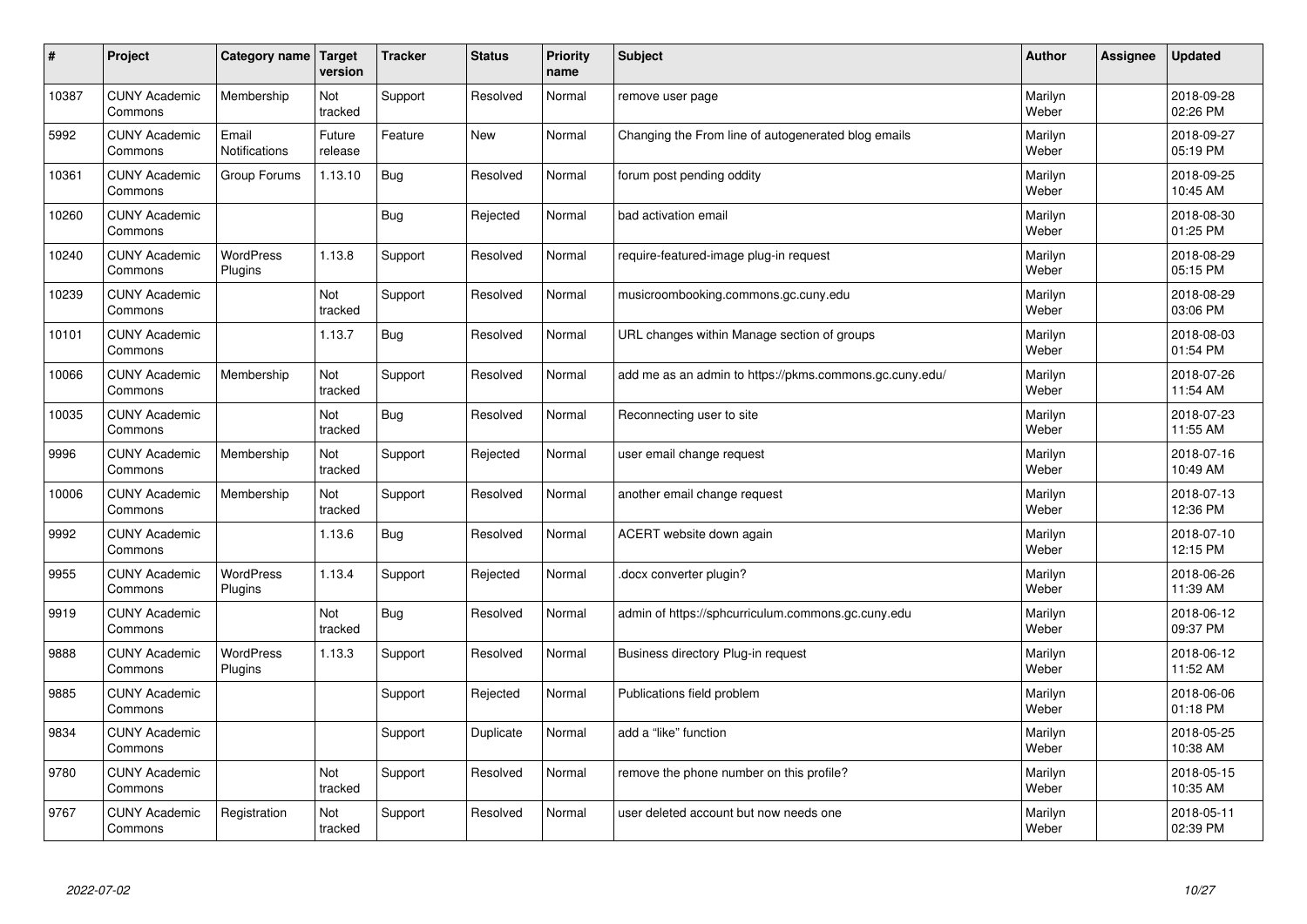| $\vert$ # | Project                         | <b>Category name</b>          | Target<br>version | <b>Tracker</b> | <b>Status</b> | <b>Priority</b><br>name | <b>Subject</b>                                          | <b>Author</b>    | Assignee | <b>Updated</b>         |
|-----------|---------------------------------|-------------------------------|-------------------|----------------|---------------|-------------------------|---------------------------------------------------------|------------------|----------|------------------------|
| 10387     | <b>CUNY Academic</b><br>Commons | Membership                    | Not<br>tracked    | Support        | Resolved      | Normal                  | remove user page                                        | Marilyn<br>Weber |          | 2018-09-28<br>02:26 PM |
| 5992      | <b>CUNY Academic</b><br>Commons | Email<br><b>Notifications</b> | Future<br>release | Feature        | New           | Normal                  | Changing the From line of autogenerated blog emails     | Marilyn<br>Weber |          | 2018-09-27<br>05:19 PM |
| 10361     | <b>CUNY Academic</b><br>Commons | Group Forums                  | 1.13.10           | Bug            | Resolved      | Normal                  | forum post pending oddity                               | Marilyn<br>Weber |          | 2018-09-25<br>10:45 AM |
| 10260     | <b>CUNY Academic</b><br>Commons |                               |                   | Bug            | Rejected      | Normal                  | bad activation email                                    | Marilyn<br>Weber |          | 2018-08-30<br>01:25 PM |
| 10240     | <b>CUNY Academic</b><br>Commons | <b>WordPress</b><br>Plugins   | 1.13.8            | Support        | Resolved      | Normal                  | require-featured-image plug-in request                  | Marilyn<br>Weber |          | 2018-08-29<br>05:15 PM |
| 10239     | <b>CUNY Academic</b><br>Commons |                               | Not<br>tracked    | Support        | Resolved      | Normal                  | musicroombooking.commons.gc.cuny.edu                    | Marilyn<br>Weber |          | 2018-08-29<br>03:06 PM |
| 10101     | <b>CUNY Academic</b><br>Commons |                               | 1.13.7            | Bug            | Resolved      | Normal                  | URL changes within Manage section of groups             | Marilyn<br>Weber |          | 2018-08-03<br>01:54 PM |
| 10066     | <b>CUNY Academic</b><br>Commons | Membership                    | Not<br>tracked    | Support        | Resolved      | Normal                  | add me as an admin to https://pkms.commons.gc.cuny.edu/ | Marilyn<br>Weber |          | 2018-07-26<br>11:54 AM |
| 10035     | <b>CUNY Academic</b><br>Commons |                               | Not<br>tracked    | Bug            | Resolved      | Normal                  | Reconnecting user to site                               | Marilyn<br>Weber |          | 2018-07-23<br>11:55 AM |
| 9996      | <b>CUNY Academic</b><br>Commons | Membership                    | Not<br>tracked    | Support        | Rejected      | Normal                  | user email change reguest                               | Marilyn<br>Weber |          | 2018-07-16<br>10:49 AM |
| 10006     | <b>CUNY Academic</b><br>Commons | Membership                    | Not<br>tracked    | Support        | Resolved      | Normal                  | another email change request                            | Marilyn<br>Weber |          | 2018-07-13<br>12:36 PM |
| 9992      | <b>CUNY Academic</b><br>Commons |                               | 1.13.6            | <b>Bug</b>     | Resolved      | Normal                  | ACERT website down again                                | Marilyn<br>Weber |          | 2018-07-10<br>12:15 PM |
| 9955      | <b>CUNY Academic</b><br>Commons | <b>WordPress</b><br>Plugins   | 1.13.4            | Support        | Rejected      | Normal                  | docx converter plugin?                                  | Marilyn<br>Weber |          | 2018-06-26<br>11:39 AM |
| 9919      | <b>CUNY Academic</b><br>Commons |                               | Not<br>tracked    | Bug            | Resolved      | Normal                  | admin of https://sphcurriculum.commons.gc.cuny.edu      | Marilyn<br>Weber |          | 2018-06-12<br>09:37 PM |
| 9888      | <b>CUNY Academic</b><br>Commons | WordPress<br>Plugins          | 1.13.3            | Support        | Resolved      | Normal                  | Business directory Plug-in request                      | Marilyn<br>Weber |          | 2018-06-12<br>11:52 AM |
| 9885      | <b>CUNY Academic</b><br>Commons |                               |                   | Support        | Rejected      | Normal                  | Publications field problem                              | Marilyn<br>Weber |          | 2018-06-06<br>01:18 PM |
| 9834      | <b>CUNY Academic</b><br>Commons |                               |                   | Support        | Duplicate     | Normal                  | add a "like" function                                   | Marilyn<br>Weber |          | 2018-05-25<br>10:38 AM |
| 9780      | <b>CUNY Academic</b><br>Commons |                               | Not<br>tracked    | Support        | Resolved      | Normal                  | remove the phone number on this profile?                | Marilyn<br>Weber |          | 2018-05-15<br>10:35 AM |
| 9767      | <b>CUNY Academic</b><br>Commons | Registration                  | Not<br>tracked    | Support        | Resolved      | Normal                  | user deleted account but now needs one                  | Marilyn<br>Weber |          | 2018-05-11<br>02:39 PM |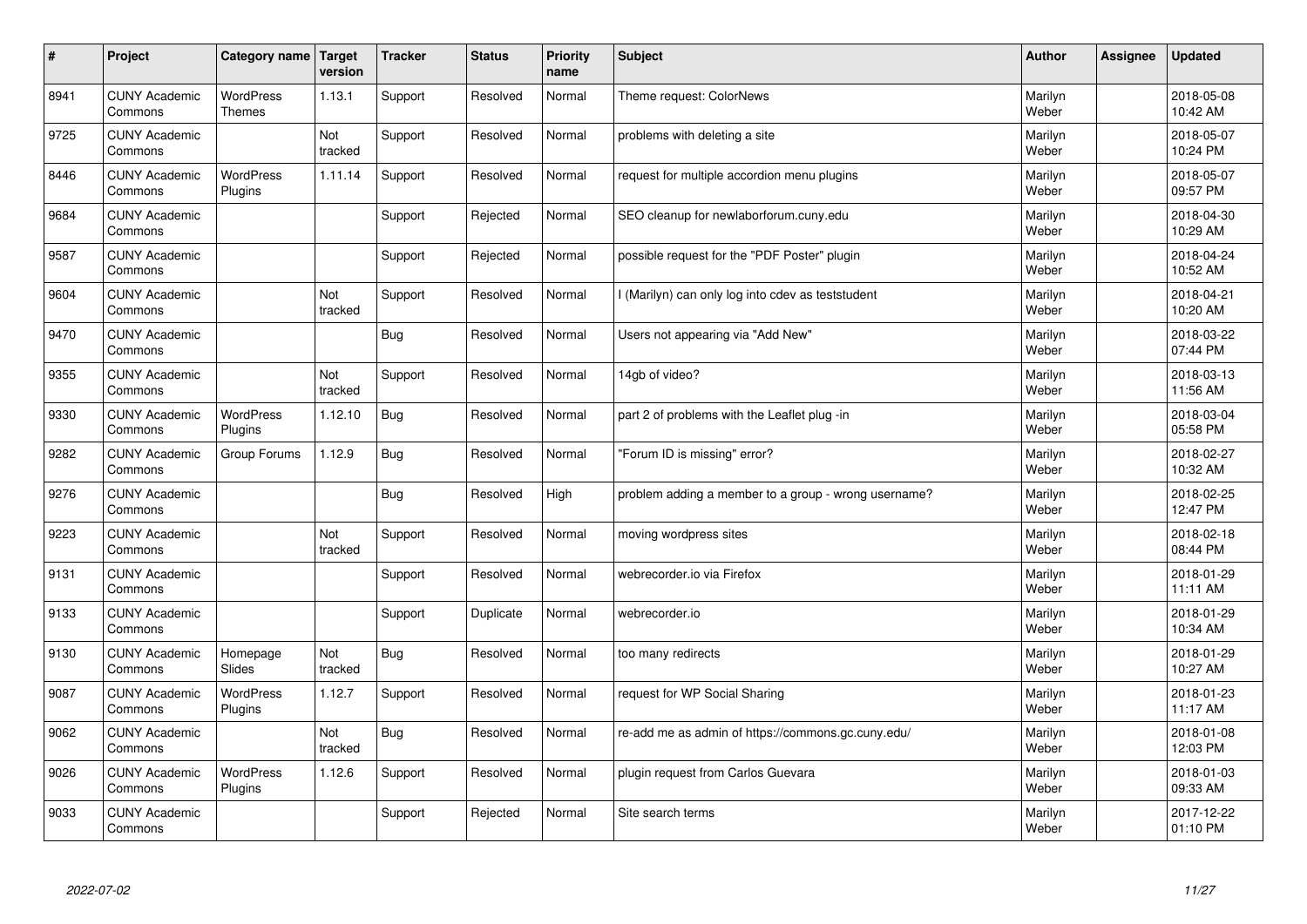| $\sharp$ | Project                         | Category name   Target            | version               | <b>Tracker</b> | <b>Status</b> | <b>Priority</b><br>name | <b>Subject</b>                                       | <b>Author</b>    | <b>Assignee</b> | <b>Updated</b>         |
|----------|---------------------------------|-----------------------------------|-----------------------|----------------|---------------|-------------------------|------------------------------------------------------|------------------|-----------------|------------------------|
| 8941     | <b>CUNY Academic</b><br>Commons | <b>WordPress</b><br><b>Themes</b> | 1.13.1                | Support        | Resolved      | Normal                  | Theme request: ColorNews                             | Marilyn<br>Weber |                 | 2018-05-08<br>10:42 AM |
| 9725     | <b>CUNY Academic</b><br>Commons |                                   | Not<br>tracked        | Support        | Resolved      | Normal                  | problems with deleting a site                        | Marilyn<br>Weber |                 | 2018-05-07<br>10:24 PM |
| 8446     | <b>CUNY Academic</b><br>Commons | <b>WordPress</b><br>Plugins       | 1.11.14               | Support        | Resolved      | Normal                  | request for multiple accordion menu plugins          | Marilyn<br>Weber |                 | 2018-05-07<br>09:57 PM |
| 9684     | <b>CUNY Academic</b><br>Commons |                                   |                       | Support        | Rejected      | Normal                  | SEO cleanup for newlaborforum.cuny.edu               | Marilyn<br>Weber |                 | 2018-04-30<br>10:29 AM |
| 9587     | <b>CUNY Academic</b><br>Commons |                                   |                       | Support        | Rejected      | Normal                  | possible request for the "PDF Poster" plugin         | Marilyn<br>Weber |                 | 2018-04-24<br>10:52 AM |
| 9604     | <b>CUNY Academic</b><br>Commons |                                   | <b>Not</b><br>tracked | Support        | Resolved      | Normal                  | (Marilyn) can only log into cdev as teststudent      | Marilyn<br>Weber |                 | 2018-04-21<br>10:20 AM |
| 9470     | <b>CUNY Academic</b><br>Commons |                                   |                       | Bug            | Resolved      | Normal                  | Users not appearing via "Add New"                    | Marilyn<br>Weber |                 | 2018-03-22<br>07:44 PM |
| 9355     | <b>CUNY Academic</b><br>Commons |                                   | Not<br>tracked        | Support        | Resolved      | Normal                  | 14gb of video?                                       | Marilyn<br>Weber |                 | 2018-03-13<br>11:56 AM |
| 9330     | <b>CUNY Academic</b><br>Commons | <b>WordPress</b><br>Plugins       | 1.12.10               | <b>Bug</b>     | Resolved      | Normal                  | part 2 of problems with the Leaflet plug -in         | Marilyn<br>Weber |                 | 2018-03-04<br>05:58 PM |
| 9282     | <b>CUNY Academic</b><br>Commons | Group Forums                      | 1.12.9                | Bug            | Resolved      | Normal                  | 'Forum ID is missing" error?                         | Marilyn<br>Weber |                 | 2018-02-27<br>10:32 AM |
| 9276     | <b>CUNY Academic</b><br>Commons |                                   |                       | <b>Bug</b>     | Resolved      | High                    | problem adding a member to a group - wrong username? | Marilyn<br>Weber |                 | 2018-02-25<br>12:47 PM |
| 9223     | <b>CUNY Academic</b><br>Commons |                                   | Not<br>tracked        | Support        | Resolved      | Normal                  | moving wordpress sites                               | Marilyn<br>Weber |                 | 2018-02-18<br>08:44 PM |
| 9131     | <b>CUNY Academic</b><br>Commons |                                   |                       | Support        | Resolved      | Normal                  | webrecorder.io via Firefox                           | Marilyn<br>Weber |                 | 2018-01-29<br>11:11 AM |
| 9133     | <b>CUNY Academic</b><br>Commons |                                   |                       | Support        | Duplicate     | Normal                  | webrecorder.io                                       | Marilyn<br>Weber |                 | 2018-01-29<br>10:34 AM |
| 9130     | <b>CUNY Academic</b><br>Commons | Homepage<br>Slides                | Not<br>tracked        | <b>Bug</b>     | Resolved      | Normal                  | too many redirects                                   | Marilyn<br>Weber |                 | 2018-01-29<br>10:27 AM |
| 9087     | <b>CUNY Academic</b><br>Commons | WordPress<br>Plugins              | 1.12.7                | Support        | Resolved      | Normal                  | request for WP Social Sharing                        | Marilyn<br>Weber |                 | 2018-01-23<br>11:17 AM |
| 9062     | <b>CUNY Academic</b><br>Commons |                                   | Not<br>tracked        | Bug            | Resolved      | Normal                  | re-add me as admin of https://commons.gc.cuny.edu/   | Marilyn<br>Weber |                 | 2018-01-08<br>12:03 PM |
| 9026     | <b>CUNY Academic</b><br>Commons | <b>WordPress</b><br>Plugins       | 1.12.6                | Support        | Resolved      | Normal                  | plugin request from Carlos Guevara                   | Marilyn<br>Weber |                 | 2018-01-03<br>09:33 AM |
| 9033     | <b>CUNY Academic</b><br>Commons |                                   |                       | Support        | Rejected      | Normal                  | Site search terms                                    | Marilyn<br>Weber |                 | 2017-12-22<br>01:10 PM |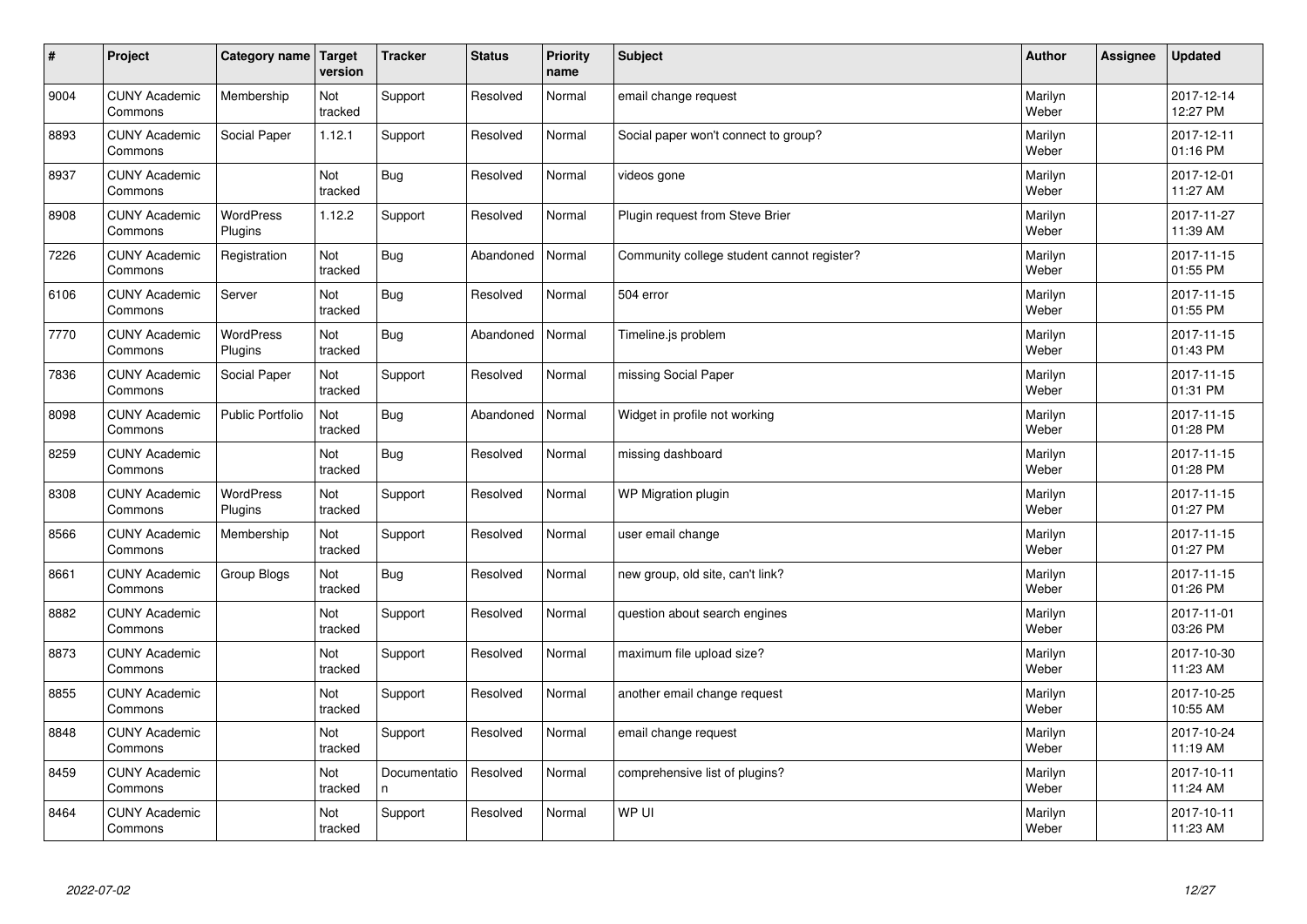| $\vert$ # | Project                         | Category name   Target      | version        | <b>Tracker</b>     | <b>Status</b> | <b>Priority</b><br>name | <b>Subject</b>                             | <b>Author</b>    | Assignee | <b>Updated</b>         |
|-----------|---------------------------------|-----------------------------|----------------|--------------------|---------------|-------------------------|--------------------------------------------|------------------|----------|------------------------|
| 9004      | <b>CUNY Academic</b><br>Commons | Membership                  | Not<br>tracked | Support            | Resolved      | Normal                  | email change request                       | Marilyn<br>Weber |          | 2017-12-14<br>12:27 PM |
| 8893      | <b>CUNY Academic</b><br>Commons | Social Paper                | 1.12.1         | Support            | Resolved      | Normal                  | Social paper won't connect to group?       | Marilyn<br>Weber |          | 2017-12-11<br>01:16 PM |
| 8937      | <b>CUNY Academic</b><br>Commons |                             | Not<br>tracked | <b>Bug</b>         | Resolved      | Normal                  | videos gone                                | Marilyn<br>Weber |          | 2017-12-01<br>11:27 AM |
| 8908      | <b>CUNY Academic</b><br>Commons | <b>WordPress</b><br>Plugins | 1.12.2         | Support            | Resolved      | Normal                  | Plugin request from Steve Brier            | Marilyn<br>Weber |          | 2017-11-27<br>11:39 AM |
| 7226      | <b>CUNY Academic</b><br>Commons | Registration                | Not<br>tracked | <b>Bug</b>         | Abandoned     | Normal                  | Community college student cannot register? | Marilyn<br>Weber |          | 2017-11-15<br>01:55 PM |
| 6106      | <b>CUNY Academic</b><br>Commons | Server                      | Not<br>tracked | <b>Bug</b>         | Resolved      | Normal                  | 504 error                                  | Marilyn<br>Weber |          | 2017-11-15<br>01:55 PM |
| 7770      | <b>CUNY Academic</b><br>Commons | <b>WordPress</b><br>Plugins | Not<br>tracked | <b>Bug</b>         | Abandoned     | Normal                  | Timeline.js problem                        | Marilyn<br>Weber |          | 2017-11-15<br>01:43 PM |
| 7836      | <b>CUNY Academic</b><br>Commons | Social Paper                | Not<br>tracked | Support            | Resolved      | Normal                  | missing Social Paper                       | Marilyn<br>Weber |          | 2017-11-15<br>01:31 PM |
| 8098      | <b>CUNY Academic</b><br>Commons | Public Portfolio            | Not<br>tracked | <b>Bug</b>         | Abandoned     | Normal                  | Widget in profile not working              | Marilyn<br>Weber |          | 2017-11-15<br>01:28 PM |
| 8259      | <b>CUNY Academic</b><br>Commons |                             | Not<br>tracked | <b>Bug</b>         | Resolved      | Normal                  | missing dashboard                          | Marilyn<br>Weber |          | 2017-11-15<br>01:28 PM |
| 8308      | <b>CUNY Academic</b><br>Commons | WordPress<br>Plugins        | Not<br>tracked | Support            | Resolved      | Normal                  | WP Migration plugin                        | Marilyn<br>Weber |          | 2017-11-15<br>01:27 PM |
| 8566      | <b>CUNY Academic</b><br>Commons | Membership                  | Not<br>tracked | Support            | Resolved      | Normal                  | user email change                          | Marilyn<br>Weber |          | 2017-11-15<br>01:27 PM |
| 8661      | <b>CUNY Academic</b><br>Commons | Group Blogs                 | Not<br>tracked | <b>Bug</b>         | Resolved      | Normal                  | new group, old site, can't link?           | Marilyn<br>Weber |          | 2017-11-15<br>01:26 PM |
| 8882      | <b>CUNY Academic</b><br>Commons |                             | Not<br>tracked | Support            | Resolved      | Normal                  | question about search engines              | Marilyn<br>Weber |          | 2017-11-01<br>03:26 PM |
| 8873      | <b>CUNY Academic</b><br>Commons |                             | Not<br>tracked | Support            | Resolved      | Normal                  | maximum file upload size?                  | Marilyn<br>Weber |          | 2017-10-30<br>11:23 AM |
| 8855      | <b>CUNY Academic</b><br>Commons |                             | Not<br>tracked | Support            | Resolved      | Normal                  | another email change request               | Marilyn<br>Weber |          | 2017-10-25<br>10:55 AM |
| 8848      | <b>CUNY Academic</b><br>Commons |                             | Not<br>tracked | Support            | Resolved      | Normal                  | email change request                       | Marilyn<br>Weber |          | 2017-10-24<br>11:19 AM |
| 8459      | <b>CUNY Academic</b><br>Commons |                             | Not<br>tracked | Documentatio<br>n. | Resolved      | Normal                  | comprehensive list of plugins?             | Marilyn<br>Weber |          | 2017-10-11<br>11:24 AM |
| 8464      | <b>CUNY Academic</b><br>Commons |                             | Not<br>tracked | Support            | Resolved      | Normal                  | WP UI                                      | Marilyn<br>Weber |          | 2017-10-11<br>11:23 AM |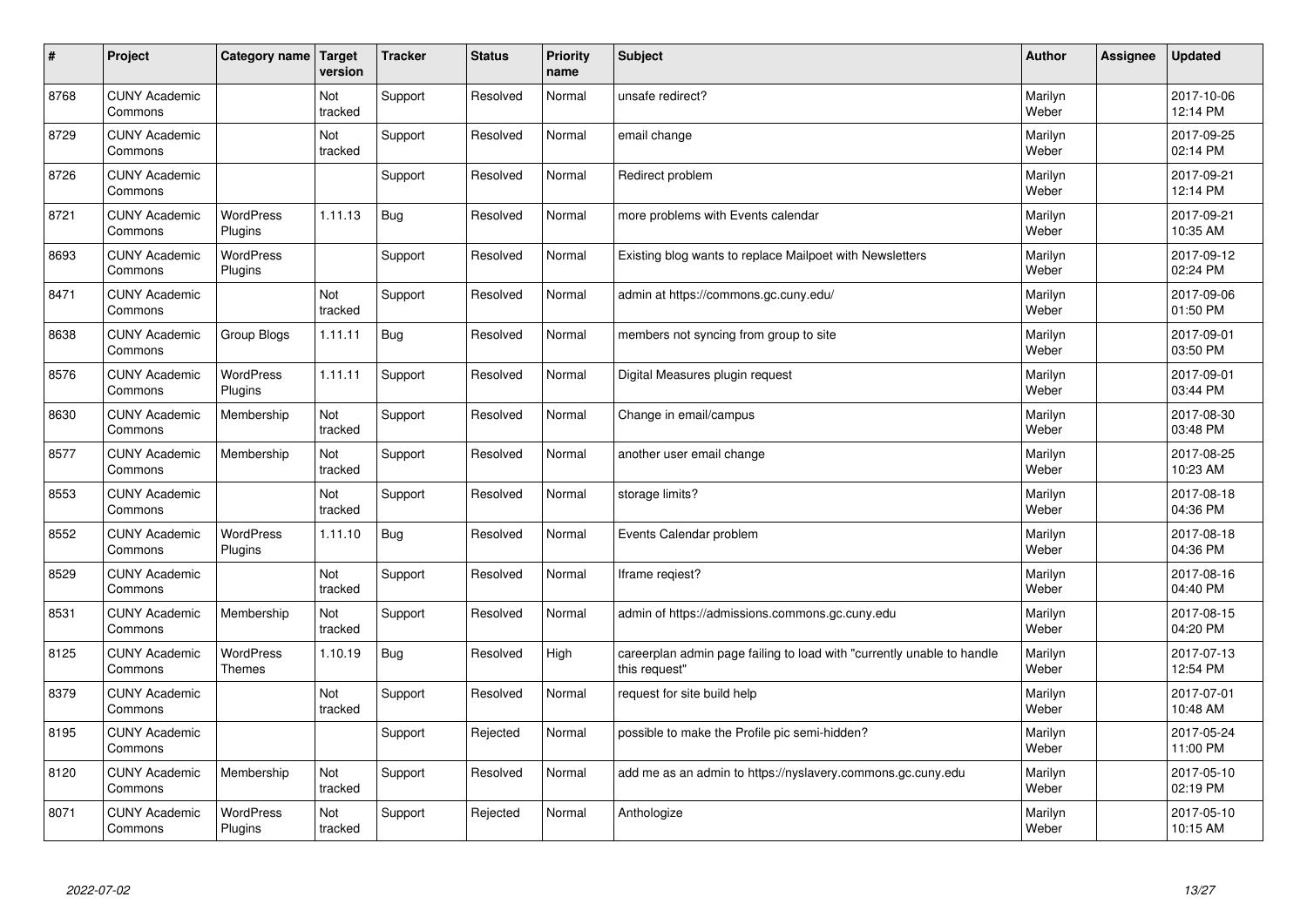| $\vert$ # | Project                         | Category name                     | Target<br>version | <b>Tracker</b> | <b>Status</b> | <b>Priority</b><br>name | <b>Subject</b>                                                                          | <b>Author</b>    | Assignee | <b>Updated</b>         |
|-----------|---------------------------------|-----------------------------------|-------------------|----------------|---------------|-------------------------|-----------------------------------------------------------------------------------------|------------------|----------|------------------------|
| 8768      | <b>CUNY Academic</b><br>Commons |                                   | Not<br>tracked    | Support        | Resolved      | Normal                  | unsafe redirect?                                                                        | Marilyn<br>Weber |          | 2017-10-06<br>12:14 PM |
| 8729      | <b>CUNY Academic</b><br>Commons |                                   | Not<br>tracked    | Support        | Resolved      | Normal                  | email change                                                                            | Marilyn<br>Weber |          | 2017-09-25<br>02:14 PM |
| 8726      | <b>CUNY Academic</b><br>Commons |                                   |                   | Support        | Resolved      | Normal                  | Redirect problem                                                                        | Marilyn<br>Weber |          | 2017-09-21<br>12:14 PM |
| 8721      | <b>CUNY Academic</b><br>Commons | <b>WordPress</b><br>Plugins       | 1.11.13           | Bug            | Resolved      | Normal                  | more problems with Events calendar                                                      | Marilyn<br>Weber |          | 2017-09-21<br>10:35 AM |
| 8693      | <b>CUNY Academic</b><br>Commons | <b>WordPress</b><br>Plugins       |                   | Support        | Resolved      | Normal                  | Existing blog wants to replace Mailpoet with Newsletters                                | Marilyn<br>Weber |          | 2017-09-12<br>02:24 PM |
| 8471      | <b>CUNY Academic</b><br>Commons |                                   | Not<br>tracked    | Support        | Resolved      | Normal                  | admin at https://commons.gc.cuny.edu/                                                   | Marilyn<br>Weber |          | 2017-09-06<br>01:50 PM |
| 8638      | <b>CUNY Academic</b><br>Commons | Group Blogs                       | 1.11.11           | <b>Bug</b>     | Resolved      | Normal                  | members not syncing from group to site                                                  | Marilyn<br>Weber |          | 2017-09-01<br>03:50 PM |
| 8576      | <b>CUNY Academic</b><br>Commons | <b>WordPress</b><br>Plugins       | 1.11.11           | Support        | Resolved      | Normal                  | Digital Measures plugin request                                                         | Marilyn<br>Weber |          | 2017-09-01<br>03:44 PM |
| 8630      | <b>CUNY Academic</b><br>Commons | Membership                        | Not<br>tracked    | Support        | Resolved      | Normal                  | Change in email/campus                                                                  | Marilyn<br>Weber |          | 2017-08-30<br>03:48 PM |
| 8577      | <b>CUNY Academic</b><br>Commons | Membership                        | Not<br>tracked    | Support        | Resolved      | Normal                  | another user email change                                                               | Marilyn<br>Weber |          | 2017-08-25<br>10:23 AM |
| 8553      | <b>CUNY Academic</b><br>Commons |                                   | Not<br>tracked    | Support        | Resolved      | Normal                  | storage limits?                                                                         | Marilyn<br>Weber |          | 2017-08-18<br>04:36 PM |
| 8552      | <b>CUNY Academic</b><br>Commons | <b>WordPress</b><br>Plugins       | 1.11.10           | Bug            | Resolved      | Normal                  | Events Calendar problem                                                                 | Marilyn<br>Weber |          | 2017-08-18<br>04:36 PM |
| 8529      | <b>CUNY Academic</b><br>Commons |                                   | Not<br>tracked    | Support        | Resolved      | Normal                  | Iframe regiest?                                                                         | Marilyn<br>Weber |          | 2017-08-16<br>04:40 PM |
| 8531      | <b>CUNY Academic</b><br>Commons | Membership                        | Not<br>tracked    | Support        | Resolved      | Normal                  | admin of https://admissions.commons.gc.cuny.edu                                         | Marilyn<br>Weber |          | 2017-08-15<br>04:20 PM |
| 8125      | <b>CUNY Academic</b><br>Commons | <b>WordPress</b><br><b>Themes</b> | 1.10.19           | <b>Bug</b>     | Resolved      | High                    | careerplan admin page failing to load with "currently unable to handle<br>this request" | Marilyn<br>Weber |          | 2017-07-13<br>12:54 PM |
| 8379      | <b>CUNY Academic</b><br>Commons |                                   | Not<br>tracked    | Support        | Resolved      | Normal                  | request for site build help                                                             | Marilyn<br>Weber |          | 2017-07-01<br>10:48 AM |
| 8195      | <b>CUNY Academic</b><br>Commons |                                   |                   | Support        | Rejected      | Normal                  | possible to make the Profile pic semi-hidden?                                           | Marilyn<br>Weber |          | 2017-05-24<br>11:00 PM |
| 8120      | <b>CUNY Academic</b><br>Commons | Membership                        | Not<br>tracked    | Support        | Resolved      | Normal                  | add me as an admin to https://nyslavery.commons.gc.cuny.edu                             | Marilyn<br>Weber |          | 2017-05-10<br>02:19 PM |
| 8071      | <b>CUNY Academic</b><br>Commons | <b>WordPress</b><br>Plugins       | Not<br>tracked    | Support        | Rejected      | Normal                  | Anthologize                                                                             | Marilyn<br>Weber |          | 2017-05-10<br>10:15 AM |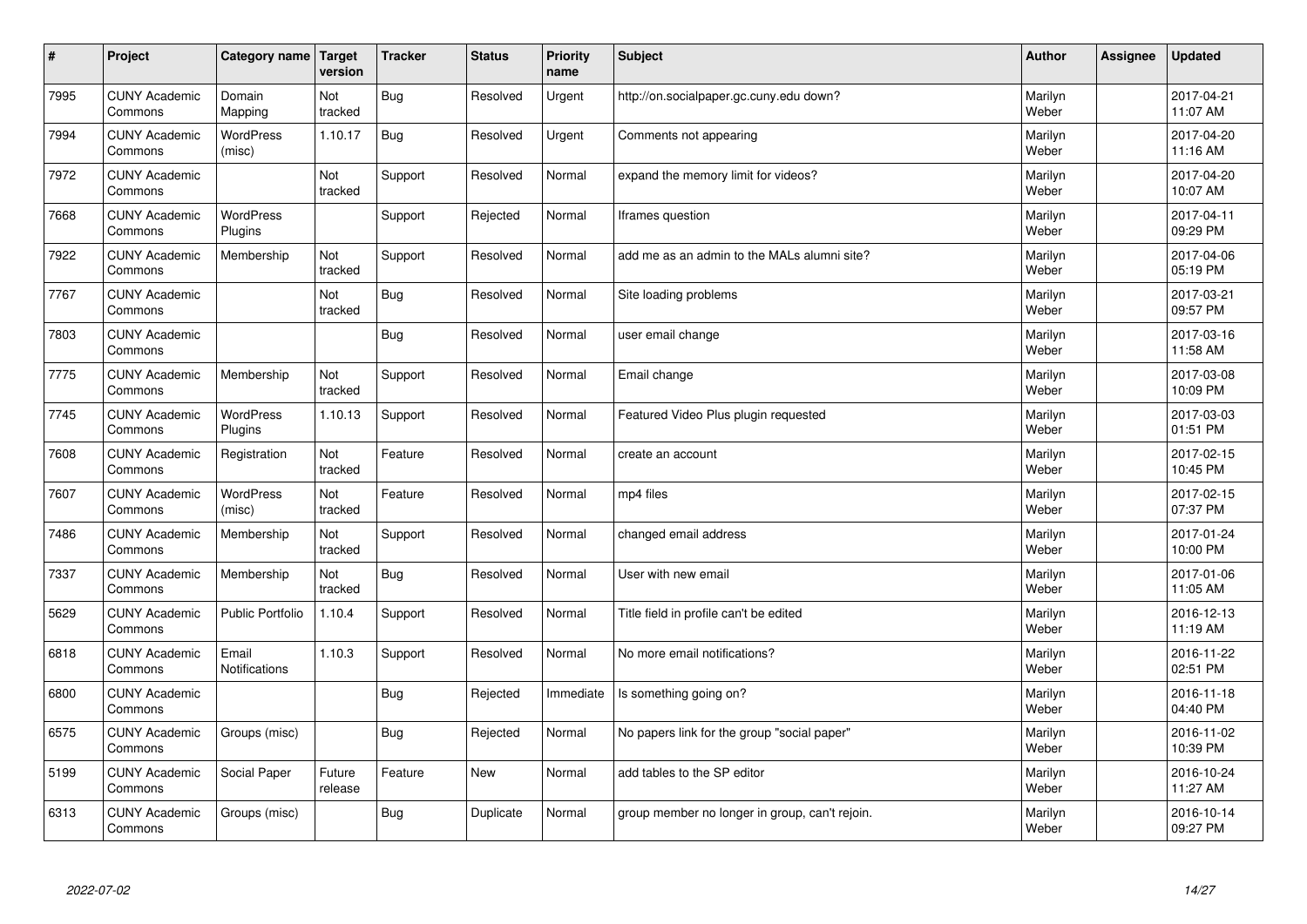| $\sharp$ | Project                         | Category name               | Target<br>version     | <b>Tracker</b> | <b>Status</b> | <b>Priority</b><br>name | <b>Subject</b>                                 | <b>Author</b>    | Assignee | <b>Updated</b>         |
|----------|---------------------------------|-----------------------------|-----------------------|----------------|---------------|-------------------------|------------------------------------------------|------------------|----------|------------------------|
| 7995     | <b>CUNY Academic</b><br>Commons | Domain<br>Mapping           | Not<br>tracked        | <b>Bug</b>     | Resolved      | Urgent                  | http://on.socialpaper.gc.cuny.edu down?        | Marilyn<br>Weber |          | 2017-04-21<br>11:07 AM |
| 7994     | <b>CUNY Academic</b><br>Commons | <b>WordPress</b><br>(misc)  | 1.10.17               | Bug            | Resolved      | Urgent                  | Comments not appearing                         | Marilyn<br>Weber |          | 2017-04-20<br>11:16 AM |
| 7972     | <b>CUNY Academic</b><br>Commons |                             | Not<br>tracked        | Support        | Resolved      | Normal                  | expand the memory limit for videos?            | Marilyn<br>Weber |          | 2017-04-20<br>10:07 AM |
| 7668     | <b>CUNY Academic</b><br>Commons | <b>WordPress</b><br>Plugins |                       | Support        | Rejected      | Normal                  | Iframes question                               | Marilyn<br>Weber |          | 2017-04-11<br>09:29 PM |
| 7922     | <b>CUNY Academic</b><br>Commons | Membership                  | Not<br>tracked        | Support        | Resolved      | Normal                  | add me as an admin to the MALs alumni site?    | Marilyn<br>Weber |          | 2017-04-06<br>05:19 PM |
| 7767     | <b>CUNY Academic</b><br>Commons |                             | Not<br>tracked        | Bug            | Resolved      | Normal                  | Site loading problems                          | Marilyn<br>Weber |          | 2017-03-21<br>09:57 PM |
| 7803     | <b>CUNY Academic</b><br>Commons |                             |                       | <b>Bug</b>     | Resolved      | Normal                  | user email change                              | Marilyn<br>Weber |          | 2017-03-16<br>11:58 AM |
| 7775     | <b>CUNY Academic</b><br>Commons | Membership                  | <b>Not</b><br>tracked | Support        | Resolved      | Normal                  | Email change                                   | Marilyn<br>Weber |          | 2017-03-08<br>10:09 PM |
| 7745     | <b>CUNY Academic</b><br>Commons | <b>WordPress</b><br>Plugins | 1.10.13               | Support        | Resolved      | Normal                  | Featured Video Plus plugin requested           | Marilyn<br>Weber |          | 2017-03-03<br>01:51 PM |
| 7608     | <b>CUNY Academic</b><br>Commons | Registration                | Not<br>tracked        | Feature        | Resolved      | Normal                  | create an account                              | Marilyn<br>Weber |          | 2017-02-15<br>10:45 PM |
| 7607     | <b>CUNY Academic</b><br>Commons | WordPress<br>(misc)         | Not<br>tracked        | Feature        | Resolved      | Normal                  | mp4 files                                      | Marilyn<br>Weber |          | 2017-02-15<br>07:37 PM |
| 7486     | <b>CUNY Academic</b><br>Commons | Membership                  | Not<br>tracked        | Support        | Resolved      | Normal                  | changed email address                          | Marilyn<br>Weber |          | 2017-01-24<br>10:00 PM |
| 7337     | <b>CUNY Academic</b><br>Commons | Membership                  | Not<br>tracked        | Bug            | Resolved      | Normal                  | User with new email                            | Marilyn<br>Weber |          | 2017-01-06<br>11:05 AM |
| 5629     | <b>CUNY Academic</b><br>Commons | Public Portfolio            | 1.10.4                | Support        | Resolved      | Normal                  | Title field in profile can't be edited         | Marilyn<br>Weber |          | 2016-12-13<br>11:19 AM |
| 6818     | <b>CUNY Academic</b><br>Commons | Email<br>Notifications      | 1.10.3                | Support        | Resolved      | Normal                  | No more email notifications?                   | Marilyn<br>Weber |          | 2016-11-22<br>02:51 PM |
| 6800     | <b>CUNY Academic</b><br>Commons |                             |                       | Bug            | Rejected      | Immediate               | Is something going on?                         | Marilyn<br>Weber |          | 2016-11-18<br>04:40 PM |
| 6575     | <b>CUNY Academic</b><br>Commons | Groups (misc)               |                       | <b>Bug</b>     | Rejected      | Normal                  | No papers link for the group "social paper"    | Marilyn<br>Weber |          | 2016-11-02<br>10:39 PM |
| 5199     | <b>CUNY Academic</b><br>Commons | Social Paper                | Future<br>release     | Feature        | <b>New</b>    | Normal                  | add tables to the SP editor                    | Marilyn<br>Weber |          | 2016-10-24<br>11:27 AM |
| 6313     | <b>CUNY Academic</b><br>Commons | Groups (misc)               |                       | Bug            | Duplicate     | Normal                  | group member no longer in group, can't rejoin. | Marilyn<br>Weber |          | 2016-10-14<br>09:27 PM |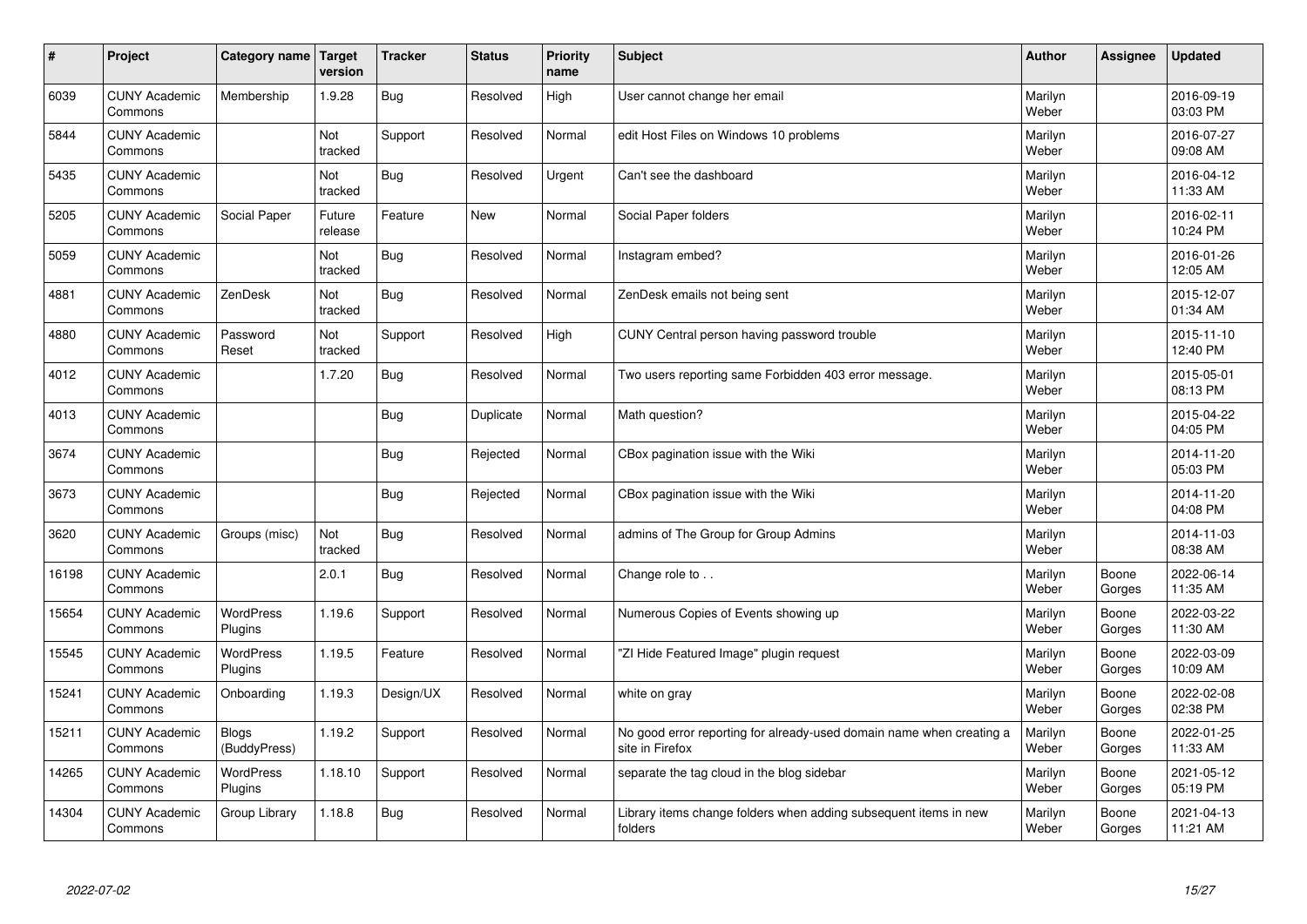| $\vert$ # | Project                         | Category name                | Target<br>version | <b>Tracker</b> | <b>Status</b> | <b>Priority</b><br>name | <b>Subject</b>                                                                          | <b>Author</b>    | Assignee        | <b>Updated</b>         |
|-----------|---------------------------------|------------------------------|-------------------|----------------|---------------|-------------------------|-----------------------------------------------------------------------------------------|------------------|-----------------|------------------------|
| 6039      | <b>CUNY Academic</b><br>Commons | Membership                   | 1.9.28            | Bug            | Resolved      | High                    | User cannot change her email                                                            | Marilyn<br>Weber |                 | 2016-09-19<br>03:03 PM |
| 5844      | <b>CUNY Academic</b><br>Commons |                              | Not<br>tracked    | Support        | Resolved      | Normal                  | edit Host Files on Windows 10 problems                                                  | Marilyn<br>Weber |                 | 2016-07-27<br>09:08 AM |
| 5435      | <b>CUNY Academic</b><br>Commons |                              | Not<br>tracked    | Bug            | Resolved      | Urgent                  | Can't see the dashboard                                                                 | Marilyn<br>Weber |                 | 2016-04-12<br>11:33 AM |
| 5205      | <b>CUNY Academic</b><br>Commons | Social Paper                 | Future<br>release | Feature        | <b>New</b>    | Normal                  | Social Paper folders                                                                    | Marilyn<br>Weber |                 | 2016-02-11<br>10:24 PM |
| 5059      | <b>CUNY Academic</b><br>Commons |                              | Not<br>tracked    | Bug            | Resolved      | Normal                  | Instagram embed?                                                                        | Marilyn<br>Weber |                 | 2016-01-26<br>12:05 AM |
| 4881      | <b>CUNY Academic</b><br>Commons | ZenDesk                      | Not<br>tracked    | Bug            | Resolved      | Normal                  | ZenDesk emails not being sent                                                           | Marilyn<br>Weber |                 | 2015-12-07<br>01:34 AM |
| 4880      | <b>CUNY Academic</b><br>Commons | Password<br>Reset            | Not<br>tracked    | Support        | Resolved      | High                    | CUNY Central person having password trouble                                             | Marilyn<br>Weber |                 | 2015-11-10<br>12:40 PM |
| 4012      | <b>CUNY Academic</b><br>Commons |                              | 1.7.20            | Bug            | Resolved      | Normal                  | Two users reporting same Forbidden 403 error message.                                   | Marilyn<br>Weber |                 | 2015-05-01<br>08:13 PM |
| 4013      | <b>CUNY Academic</b><br>Commons |                              |                   | Bug            | Duplicate     | Normal                  | Math question?                                                                          | Marilyn<br>Weber |                 | 2015-04-22<br>04:05 PM |
| 3674      | <b>CUNY Academic</b><br>Commons |                              |                   | Bug            | Rejected      | Normal                  | CBox pagination issue with the Wiki                                                     | Marilyn<br>Weber |                 | 2014-11-20<br>05:03 PM |
| 3673      | <b>CUNY Academic</b><br>Commons |                              |                   | <b>Bug</b>     | Rejected      | Normal                  | CBox pagination issue with the Wiki                                                     | Marilyn<br>Weber |                 | 2014-11-20<br>04:08 PM |
| 3620      | <b>CUNY Academic</b><br>Commons | Groups (misc)                | Not<br>tracked    | Bug            | Resolved      | Normal                  | admins of The Group for Group Admins                                                    | Marilyn<br>Weber |                 | 2014-11-03<br>08:38 AM |
| 16198     | <b>CUNY Academic</b><br>Commons |                              | 2.0.1             | Bug            | Resolved      | Normal                  | Change role to                                                                          | Marilyn<br>Weber | Boone<br>Gorges | 2022-06-14<br>11:35 AM |
| 15654     | <b>CUNY Academic</b><br>Commons | WordPress<br>Plugins         | 1.19.6            | Support        | Resolved      | Normal                  | Numerous Copies of Events showing up                                                    | Marilyn<br>Weber | Boone<br>Gorges | 2022-03-22<br>11:30 AM |
| 15545     | <b>CUNY Academic</b><br>Commons | <b>WordPress</b><br>Plugins  | 1.19.5            | Feature        | Resolved      | Normal                  | "ZI Hide Featured Image" plugin request                                                 | Marilyn<br>Weber | Boone<br>Gorges | 2022-03-09<br>10:09 AM |
| 15241     | <b>CUNY Academic</b><br>Commons | Onboarding                   | 1.19.3            | Design/UX      | Resolved      | Normal                  | white on gray                                                                           | Marilyn<br>Weber | Boone<br>Gorges | 2022-02-08<br>02:38 PM |
| 15211     | <b>CUNY Academic</b><br>Commons | <b>Blogs</b><br>(BuddyPress) | 1.19.2            | Support        | Resolved      | Normal                  | No good error reporting for already-used domain name when creating a<br>site in Firefox | Marilyn<br>Weber | Boone<br>Gorges | 2022-01-25<br>11:33 AM |
| 14265     | <b>CUNY Academic</b><br>Commons | WordPress<br>Plugins         | 1.18.10           | Support        | Resolved      | Normal                  | separate the tag cloud in the blog sidebar                                              | Marilyn<br>Weber | Boone<br>Gorges | 2021-05-12<br>05:19 PM |
| 14304     | <b>CUNY Academic</b><br>Commons | Group Library                | 1.18.8            | Bug            | Resolved      | Normal                  | Library items change folders when adding subsequent items in new<br>folders             | Marilyn<br>Weber | Boone<br>Gorges | 2021-04-13<br>11:21 AM |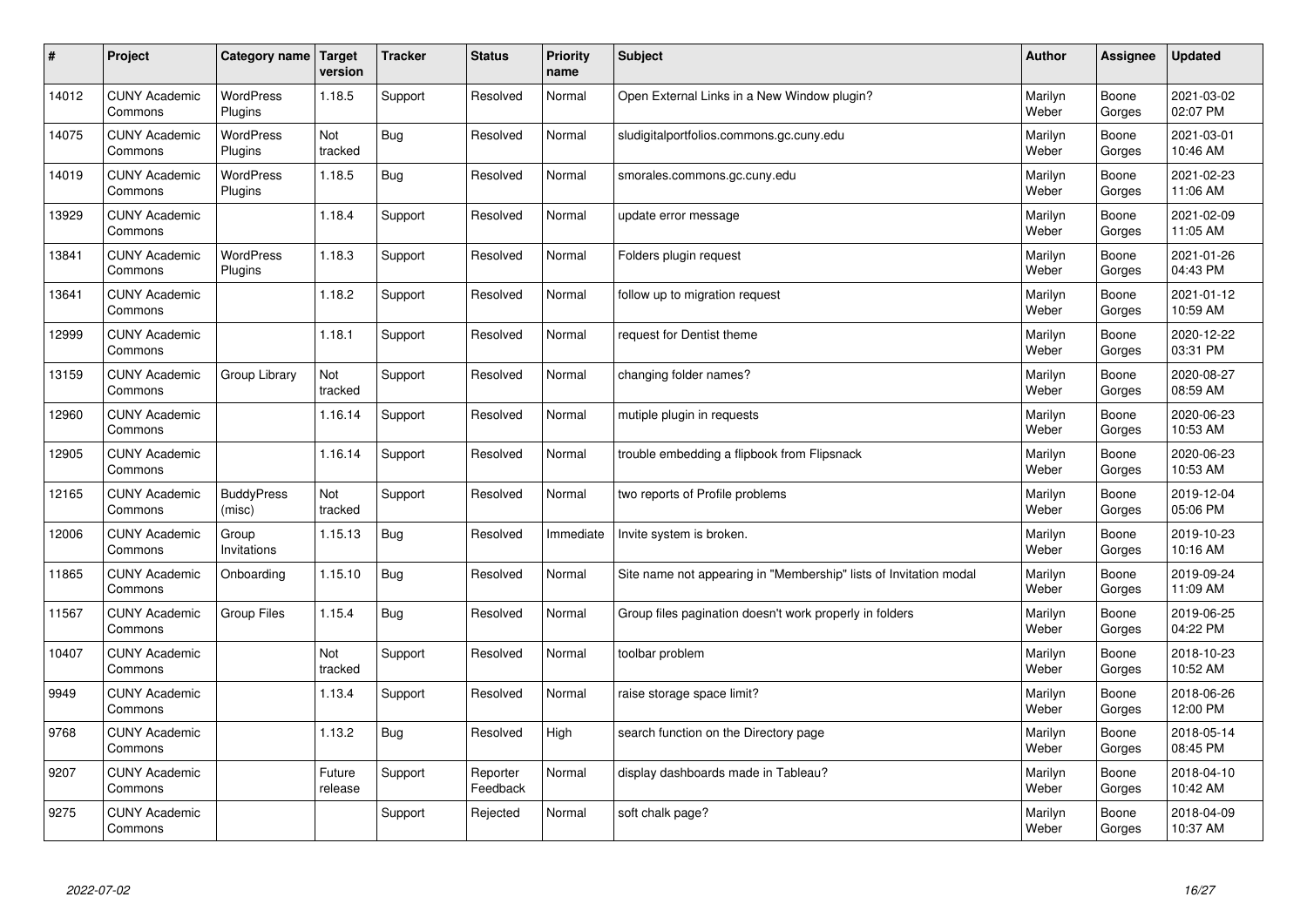| $\sharp$ | Project                         | Category name   Target      | version           | <b>Tracker</b> | <b>Status</b>        | <b>Priority</b><br>name | <b>Subject</b>                                                    | <b>Author</b>    | <b>Assignee</b> | <b>Updated</b>         |
|----------|---------------------------------|-----------------------------|-------------------|----------------|----------------------|-------------------------|-------------------------------------------------------------------|------------------|-----------------|------------------------|
| 14012    | <b>CUNY Academic</b><br>Commons | <b>WordPress</b><br>Plugins | 1.18.5            | Support        | Resolved             | Normal                  | Open External Links in a New Window plugin?                       | Marilyn<br>Weber | Boone<br>Gorges | 2021-03-02<br>02:07 PM |
| 14075    | <b>CUNY Academic</b><br>Commons | WordPress<br>Plugins        | Not<br>tracked    | <b>Bug</b>     | Resolved             | Normal                  | sludigitalportfolios.commons.gc.cuny.edu                          | Marilyn<br>Weber | Boone<br>Gorges | 2021-03-01<br>10:46 AM |
| 14019    | <b>CUNY Academic</b><br>Commons | <b>WordPress</b><br>Plugins | 1.18.5            | Bug            | Resolved             | Normal                  | smorales.commons.gc.cuny.edu                                      | Marilyn<br>Weber | Boone<br>Gorges | 2021-02-23<br>11:06 AM |
| 13929    | <b>CUNY Academic</b><br>Commons |                             | 1.18.4            | Support        | Resolved             | Normal                  | update error message                                              | Marilyn<br>Weber | Boone<br>Gorges | 2021-02-09<br>11:05 AM |
| 13841    | <b>CUNY Academic</b><br>Commons | <b>WordPress</b><br>Plugins | 1.18.3            | Support        | Resolved             | Normal                  | Folders plugin request                                            | Marilyn<br>Weber | Boone<br>Gorges | 2021-01-26<br>04:43 PM |
| 13641    | <b>CUNY Academic</b><br>Commons |                             | 1.18.2            | Support        | Resolved             | Normal                  | follow up to migration request                                    | Marilyn<br>Weber | Boone<br>Gorges | 2021-01-12<br>10:59 AM |
| 12999    | <b>CUNY Academic</b><br>Commons |                             | 1.18.1            | Support        | Resolved             | Normal                  | request for Dentist theme                                         | Marilyn<br>Weber | Boone<br>Gorges | 2020-12-22<br>03:31 PM |
| 13159    | <b>CUNY Academic</b><br>Commons | Group Library               | Not<br>tracked    | Support        | Resolved             | Normal                  | changing folder names?                                            | Marilyn<br>Weber | Boone<br>Gorges | 2020-08-27<br>08:59 AM |
| 12960    | <b>CUNY Academic</b><br>Commons |                             | 1.16.14           | Support        | Resolved             | Normal                  | mutiple plugin in requests                                        | Marilyn<br>Weber | Boone<br>Gorges | 2020-06-23<br>10:53 AM |
| 12905    | <b>CUNY Academic</b><br>Commons |                             | 1.16.14           | Support        | Resolved             | Normal                  | trouble embedding a flipbook from Flipsnack                       | Marilyn<br>Weber | Boone<br>Gorges | 2020-06-23<br>10:53 AM |
| 12165    | <b>CUNY Academic</b><br>Commons | <b>BuddyPress</b><br>(misc) | Not<br>tracked    | Support        | Resolved             | Normal                  | two reports of Profile problems                                   | Marilyn<br>Weber | Boone<br>Gorges | 2019-12-04<br>05:06 PM |
| 12006    | <b>CUNY Academic</b><br>Commons | Group<br>Invitations        | 1.15.13           | Bug            | Resolved             | Immediate               | Invite system is broken.                                          | Marilyn<br>Weber | Boone<br>Gorges | 2019-10-23<br>10:16 AM |
| 11865    | <b>CUNY Academic</b><br>Commons | Onboarding                  | 1.15.10           | Bug            | Resolved             | Normal                  | Site name not appearing in "Membership" lists of Invitation modal | Marilyn<br>Weber | Boone<br>Gorges | 2019-09-24<br>11:09 AM |
| 11567    | <b>CUNY Academic</b><br>Commons | Group Files                 | 1.15.4            | <b>Bug</b>     | Resolved             | Normal                  | Group files pagination doesn't work properly in folders           | Marilyn<br>Weber | Boone<br>Gorges | 2019-06-25<br>04:22 PM |
| 10407    | <b>CUNY Academic</b><br>Commons |                             | Not<br>tracked    | Support        | Resolved             | Normal                  | toolbar problem                                                   | Marilyn<br>Weber | Boone<br>Gorges | 2018-10-23<br>10:52 AM |
| 9949     | <b>CUNY Academic</b><br>Commons |                             | 1.13.4            | Support        | Resolved             | Normal                  | raise storage space limit?                                        | Marilyn<br>Weber | Boone<br>Gorges | 2018-06-26<br>12:00 PM |
| 9768     | <b>CUNY Academic</b><br>Commons |                             | 1.13.2            | Bug            | Resolved             | High                    | search function on the Directory page                             | Marilyn<br>Weber | Boone<br>Gorges | 2018-05-14<br>08:45 PM |
| 9207     | <b>CUNY Academic</b><br>Commons |                             | Future<br>release | Support        | Reporter<br>Feedback | Normal                  | display dashboards made in Tableau?                               | Marilyn<br>Weber | Boone<br>Gorges | 2018-04-10<br>10:42 AM |
| 9275     | <b>CUNY Academic</b><br>Commons |                             |                   | Support        | Rejected             | Normal                  | soft chalk page?                                                  | Marilyn<br>Weber | Boone<br>Gorges | 2018-04-09<br>10:37 AM |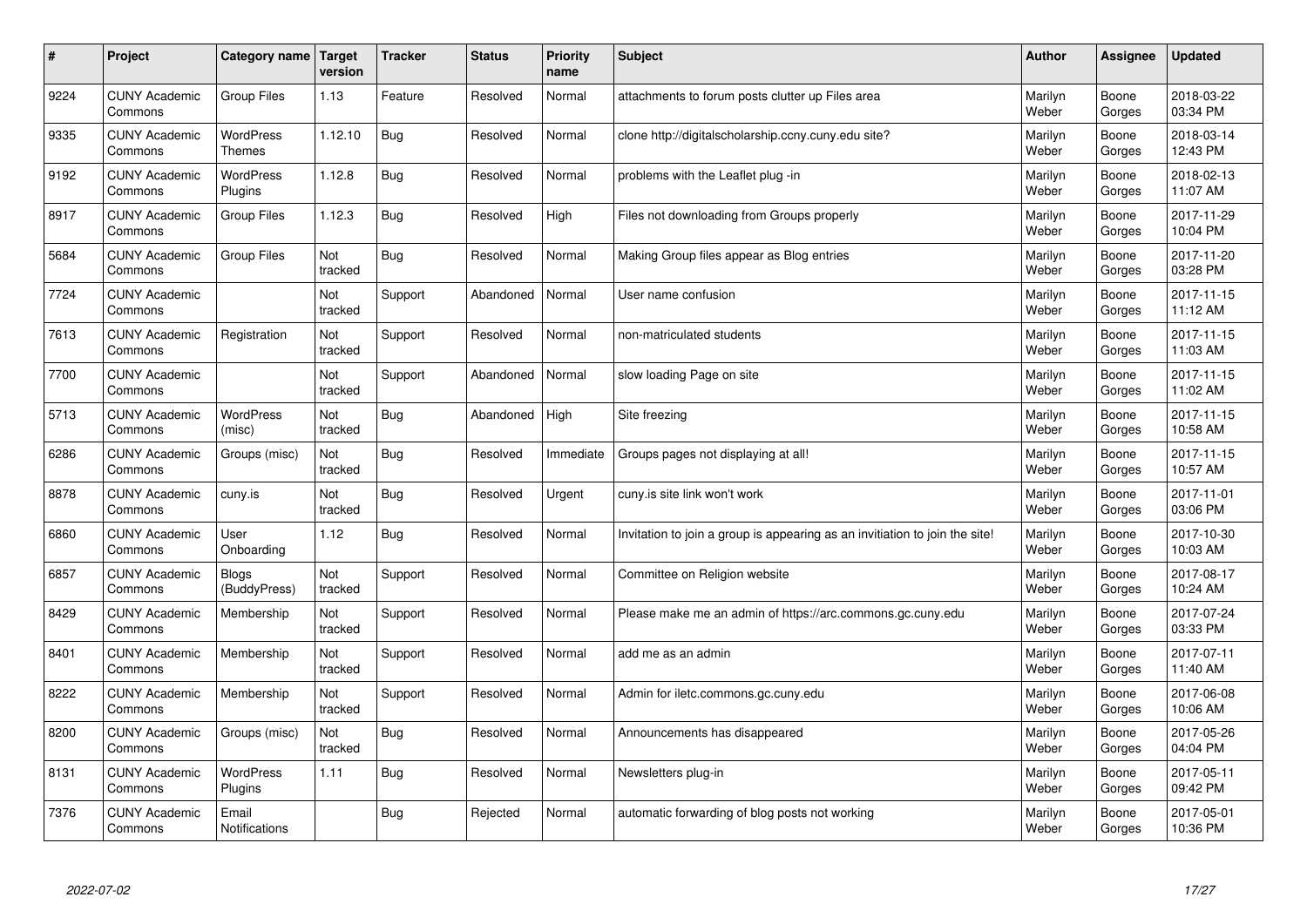| $\vert$ # | Project                         | Category name                     | <b>Target</b><br>version | <b>Tracker</b> | <b>Status</b> | <b>Priority</b><br>name | <b>Subject</b>                                                              | <b>Author</b>    | <b>Assignee</b> | <b>Updated</b>         |
|-----------|---------------------------------|-----------------------------------|--------------------------|----------------|---------------|-------------------------|-----------------------------------------------------------------------------|------------------|-----------------|------------------------|
| 9224      | <b>CUNY Academic</b><br>Commons | <b>Group Files</b>                | 1.13                     | Feature        | Resolved      | Normal                  | attachments to forum posts clutter up Files area                            | Marilyn<br>Weber | Boone<br>Gorges | 2018-03-22<br>03:34 PM |
| 9335      | <b>CUNY Academic</b><br>Commons | <b>WordPress</b><br><b>Themes</b> | 1.12.10                  | <b>Bug</b>     | Resolved      | Normal                  | clone http://digitalscholarship.ccny.cuny.edu site?                         | Marilyn<br>Weber | Boone<br>Gorges | 2018-03-14<br>12:43 PM |
| 9192      | <b>CUNY Academic</b><br>Commons | <b>WordPress</b><br>Plugins       | 1.12.8                   | Bug            | Resolved      | Normal                  | problems with the Leaflet plug -in                                          | Marilyn<br>Weber | Boone<br>Gorges | 2018-02-13<br>11:07 AM |
| 8917      | <b>CUNY Academic</b><br>Commons | <b>Group Files</b>                | 1.12.3                   | Bug            | Resolved      | High                    | Files not downloading from Groups properly                                  | Marilyn<br>Weber | Boone<br>Gorges | 2017-11-29<br>10:04 PM |
| 5684      | <b>CUNY Academic</b><br>Commons | <b>Group Files</b>                | Not<br>tracked           | Bug            | Resolved      | Normal                  | Making Group files appear as Blog entries                                   | Marilyn<br>Weber | Boone<br>Gorges | 2017-11-20<br>03:28 PM |
| 7724      | <b>CUNY Academic</b><br>Commons |                                   | Not<br>tracked           | Support        | Abandoned     | Normal                  | User name confusion                                                         | Marilyn<br>Weber | Boone<br>Gorges | 2017-11-15<br>11:12 AM |
| 7613      | <b>CUNY Academic</b><br>Commons | Registration                      | Not<br>tracked           | Support        | Resolved      | Normal                  | non-matriculated students                                                   | Marilyn<br>Weber | Boone<br>Gorges | 2017-11-15<br>11:03 AM |
| 7700      | <b>CUNY Academic</b><br>Commons |                                   | Not<br>tracked           | Support        | Abandoned     | Normal                  | slow loading Page on site                                                   | Marilyn<br>Weber | Boone<br>Gorges | 2017-11-15<br>11:02 AM |
| 5713      | <b>CUNY Academic</b><br>Commons | WordPress<br>(misc)               | Not<br>tracked           | Bug            | Abandoned     | High                    | Site freezing                                                               | Marilyn<br>Weber | Boone<br>Gorges | 2017-11-15<br>10:58 AM |
| 6286      | <b>CUNY Academic</b><br>Commons | Groups (misc)                     | Not<br>tracked           | Bug            | Resolved      | Immediate               | Groups pages not displaying at all!                                         | Marilyn<br>Weber | Boone<br>Gorges | 2017-11-15<br>10:57 AM |
| 8878      | <b>CUNY Academic</b><br>Commons | cuny.is                           | Not<br>tracked           | Bug            | Resolved      | Urgent                  | cuny.is site link won't work                                                | Marilyn<br>Weber | Boone<br>Gorges | 2017-11-01<br>03:06 PM |
| 6860      | <b>CUNY Academic</b><br>Commons | User<br>Onboarding                | 1.12                     | Bug            | Resolved      | Normal                  | Invitation to join a group is appearing as an invitiation to join the site! | Marilyn<br>Weber | Boone<br>Gorges | 2017-10-30<br>10:03 AM |
| 6857      | <b>CUNY Academic</b><br>Commons | <b>Blogs</b><br>(BuddyPress)      | Not<br>tracked           | Support        | Resolved      | Normal                  | Committee on Religion website                                               | Marilyn<br>Weber | Boone<br>Gorges | 2017-08-17<br>10:24 AM |
| 8429      | <b>CUNY Academic</b><br>Commons | Membership                        | Not<br>tracked           | Support        | Resolved      | Normal                  | Please make me an admin of https://arc.commons.gc.cuny.edu                  | Marilyn<br>Weber | Boone<br>Gorges | 2017-07-24<br>03:33 PM |
| 8401      | <b>CUNY Academic</b><br>Commons | Membership                        | Not<br>tracked           | Support        | Resolved      | Normal                  | add me as an admin                                                          | Marilyn<br>Weber | Boone<br>Gorges | 2017-07-11<br>11:40 AM |
| 8222      | <b>CUNY Academic</b><br>Commons | Membership                        | Not<br>tracked           | Support        | Resolved      | Normal                  | Admin for iletc.commons.gc.cuny.edu                                         | Marilyn<br>Weber | Boone<br>Gorges | 2017-06-08<br>10:06 AM |
| 8200      | <b>CUNY Academic</b><br>Commons | Groups (misc)                     | Not<br>tracked           | <b>Bug</b>     | Resolved      | Normal                  | Announcements has disappeared                                               | Marilyn<br>Weber | Boone<br>Gorges | 2017-05-26<br>04:04 PM |
| 8131      | <b>CUNY Academic</b><br>Commons | WordPress<br>Plugins              | 1.11                     | Bug            | Resolved      | Normal                  | Newsletters plug-in                                                         | Marilyn<br>Weber | Boone<br>Gorges | 2017-05-11<br>09:42 PM |
| 7376      | <b>CUNY Academic</b><br>Commons | Email<br><b>Notifications</b>     |                          | Bug            | Rejected      | Normal                  | automatic forwarding of blog posts not working                              | Marilyn<br>Weber | Boone<br>Gorges | 2017-05-01<br>10:36 PM |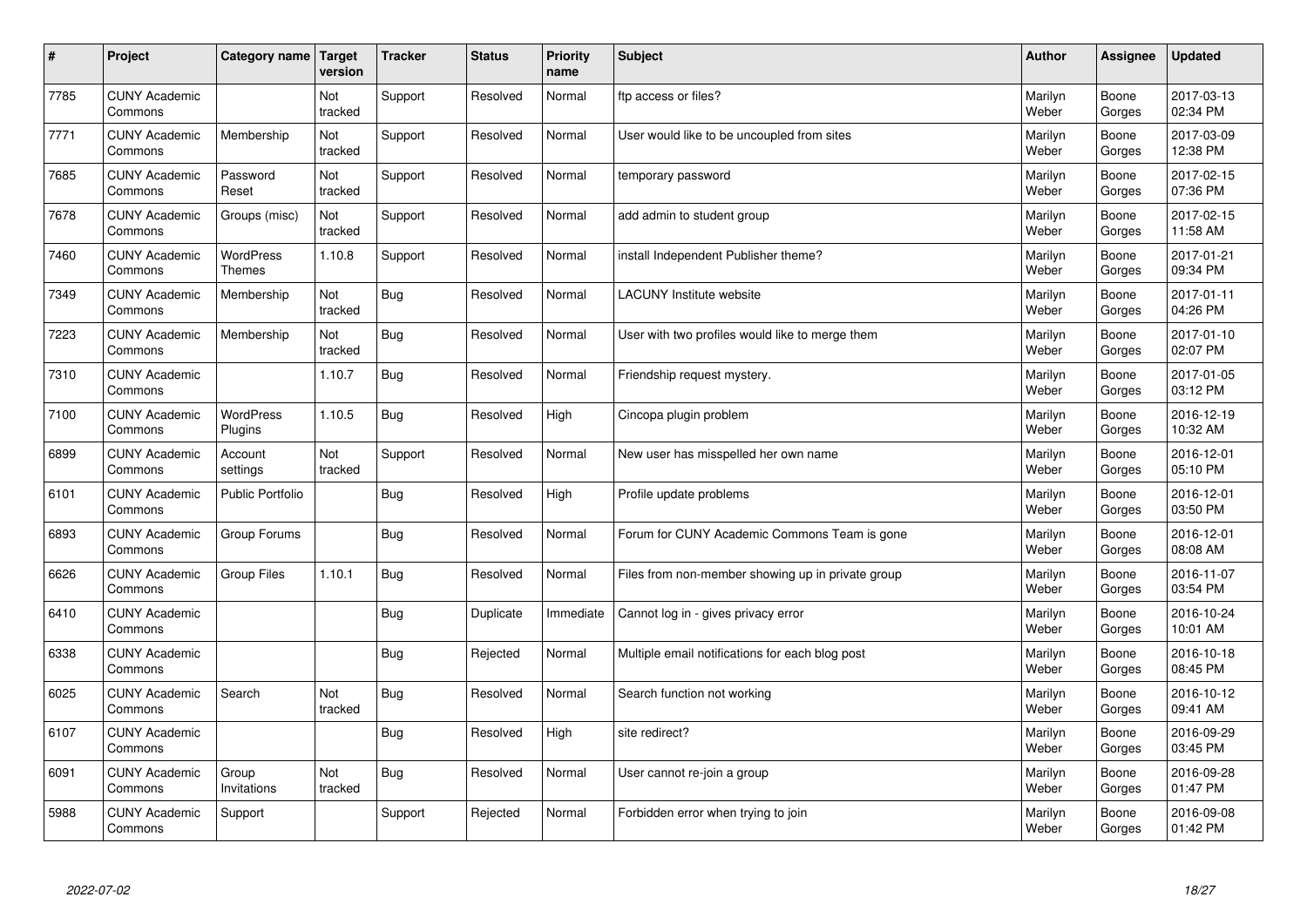| $\vert$ # | Project                         | Category name                     | <b>Target</b><br>version | <b>Tracker</b> | <b>Status</b> | <b>Priority</b><br>name | <b>Subject</b>                                    | <b>Author</b>    | Assignee        | <b>Updated</b>         |
|-----------|---------------------------------|-----------------------------------|--------------------------|----------------|---------------|-------------------------|---------------------------------------------------|------------------|-----------------|------------------------|
| 7785      | <b>CUNY Academic</b><br>Commons |                                   | Not<br>tracked           | Support        | Resolved      | Normal                  | ftp access or files?                              | Marilyn<br>Weber | Boone<br>Gorges | 2017-03-13<br>02:34 PM |
| 7771      | <b>CUNY Academic</b><br>Commons | Membership                        | Not<br>tracked           | Support        | Resolved      | Normal                  | User would like to be uncoupled from sites        | Marilyn<br>Weber | Boone<br>Gorges | 2017-03-09<br>12:38 PM |
| 7685      | <b>CUNY Academic</b><br>Commons | Password<br>Reset                 | Not<br>tracked           | Support        | Resolved      | Normal                  | temporary password                                | Marilyn<br>Weber | Boone<br>Gorges | 2017-02-15<br>07:36 PM |
| 7678      | <b>CUNY Academic</b><br>Commons | Groups (misc)                     | Not<br>tracked           | Support        | Resolved      | Normal                  | add admin to student group                        | Marilyn<br>Weber | Boone<br>Gorges | 2017-02-15<br>11:58 AM |
| 7460      | <b>CUNY Academic</b><br>Commons | <b>WordPress</b><br><b>Themes</b> | 1.10.8                   | Support        | Resolved      | Normal                  | install Independent Publisher theme?              | Marilyn<br>Weber | Boone<br>Gorges | 2017-01-21<br>09:34 PM |
| 7349      | <b>CUNY Academic</b><br>Commons | Membership                        | Not<br>tracked           | <b>Bug</b>     | Resolved      | Normal                  | <b>LACUNY</b> Institute website                   | Marilyn<br>Weber | Boone<br>Gorges | 2017-01-11<br>04:26 PM |
| 7223      | <b>CUNY Academic</b><br>Commons | Membership                        | Not<br>tracked           | <b>Bug</b>     | Resolved      | Normal                  | User with two profiles would like to merge them   | Marilyn<br>Weber | Boone<br>Gorges | 2017-01-10<br>02:07 PM |
| 7310      | <b>CUNY Academic</b><br>Commons |                                   | 1.10.7                   | <b>Bug</b>     | Resolved      | Normal                  | Friendship request mystery.                       | Marilyn<br>Weber | Boone<br>Gorges | 2017-01-05<br>03:12 PM |
| 7100      | <b>CUNY Academic</b><br>Commons | WordPress<br>Plugins              | 1.10.5                   | Bug            | Resolved      | High                    | Cincopa plugin problem                            | Marilyn<br>Weber | Boone<br>Gorges | 2016-12-19<br>10:32 AM |
| 6899      | <b>CUNY Academic</b><br>Commons | Account<br>settings               | Not<br>tracked           | Support        | Resolved      | Normal                  | New user has misspelled her own name              | Marilyn<br>Weber | Boone<br>Gorges | 2016-12-01<br>05:10 PM |
| 6101      | <b>CUNY Academic</b><br>Commons | <b>Public Portfolio</b>           |                          | Bug            | Resolved      | High                    | Profile update problems                           | Marilyn<br>Weber | Boone<br>Gorges | 2016-12-01<br>03:50 PM |
| 6893      | <b>CUNY Academic</b><br>Commons | Group Forums                      |                          | <b>Bug</b>     | Resolved      | Normal                  | Forum for CUNY Academic Commons Team is gone      | Marilyn<br>Weber | Boone<br>Gorges | 2016-12-01<br>08:08 AM |
| 6626      | <b>CUNY Academic</b><br>Commons | <b>Group Files</b>                | 1.10.1                   | Bug            | Resolved      | Normal                  | Files from non-member showing up in private group | Marilyn<br>Weber | Boone<br>Gorges | 2016-11-07<br>03:54 PM |
| 6410      | <b>CUNY Academic</b><br>Commons |                                   |                          | <b>Bug</b>     | Duplicate     | Immediate               | Cannot log in - gives privacy error               | Marilyn<br>Weber | Boone<br>Gorges | 2016-10-24<br>10:01 AM |
| 6338      | <b>CUNY Academic</b><br>Commons |                                   |                          | Bug            | Rejected      | Normal                  | Multiple email notifications for each blog post   | Marilyn<br>Weber | Boone<br>Gorges | 2016-10-18<br>08:45 PM |
| 6025      | <b>CUNY Academic</b><br>Commons | Search                            | Not<br>tracked           | <b>Bug</b>     | Resolved      | Normal                  | Search function not working                       | Marilyn<br>Weber | Boone<br>Gorges | 2016-10-12<br>09:41 AM |
| 6107      | <b>CUNY Academic</b><br>Commons |                                   |                          | Bug            | Resolved      | High                    | site redirect?                                    | Marilyn<br>Weber | Boone<br>Gorges | 2016-09-29<br>03:45 PM |
| 6091      | <b>CUNY Academic</b><br>Commons | Group<br>Invitations              | Not<br>tracked           | <b>Bug</b>     | Resolved      | Normal                  | User cannot re-join a group                       | Marilyn<br>Weber | Boone<br>Gorges | 2016-09-28<br>01:47 PM |
| 5988      | <b>CUNY Academic</b><br>Commons | Support                           |                          | Support        | Rejected      | Normal                  | Forbidden error when trying to join               | Marilyn<br>Weber | Boone<br>Gorges | 2016-09-08<br>01:42 PM |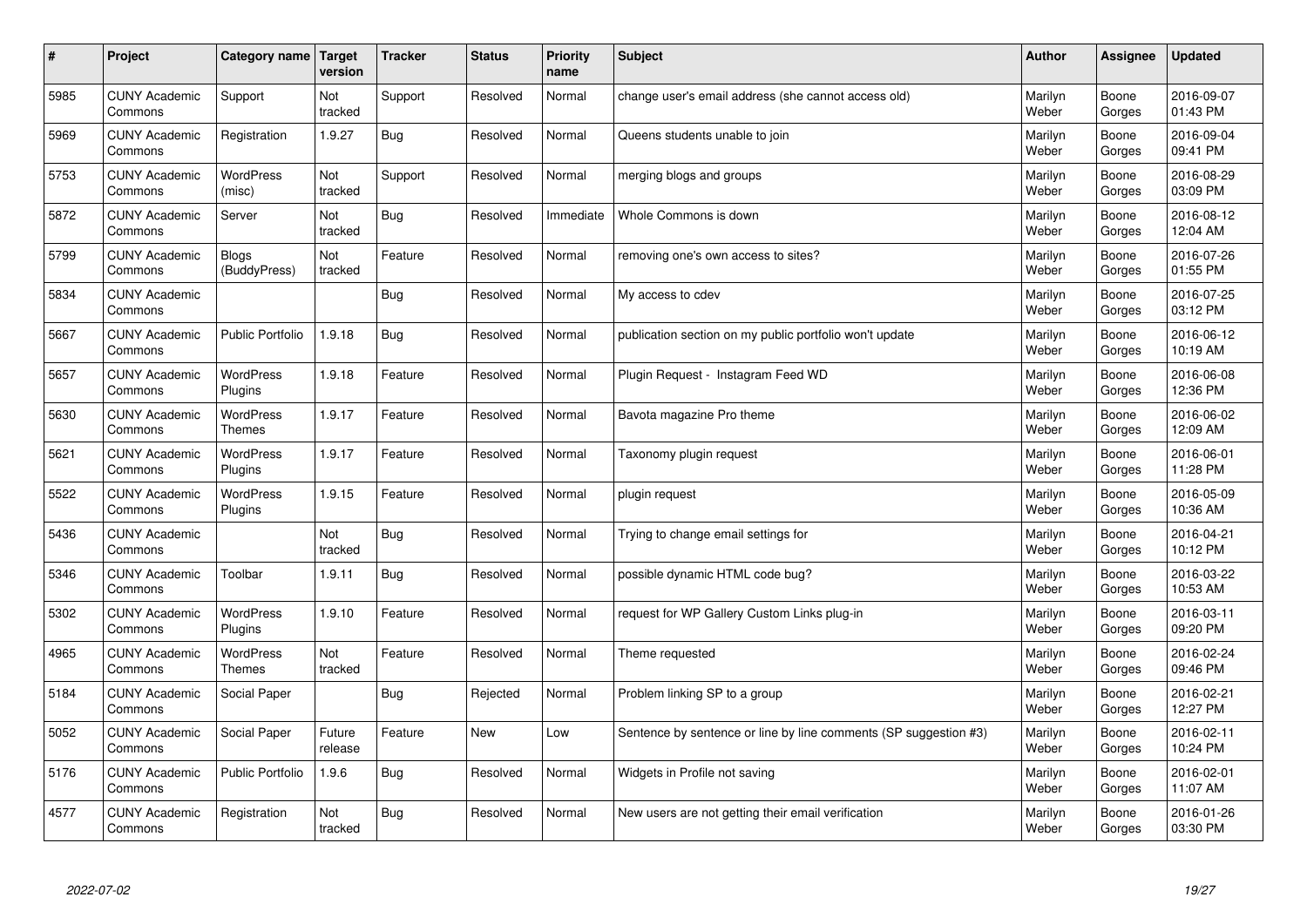| $\sharp$ | Project                         | Category name                     | Target<br>version | <b>Tracker</b> | <b>Status</b> | <b>Priority</b><br>name | <b>Subject</b>                                                   | <b>Author</b>    | Assignee        | <b>Updated</b>         |
|----------|---------------------------------|-----------------------------------|-------------------|----------------|---------------|-------------------------|------------------------------------------------------------------|------------------|-----------------|------------------------|
| 5985     | <b>CUNY Academic</b><br>Commons | Support                           | Not<br>tracked    | Support        | Resolved      | Normal                  | change user's email address (she cannot access old)              | Marilyn<br>Weber | Boone<br>Gorges | 2016-09-07<br>01:43 PM |
| 5969     | <b>CUNY Academic</b><br>Commons | Registration                      | 1.9.27            | Bug            | Resolved      | Normal                  | Queens students unable to join                                   | Marilyn<br>Weber | Boone<br>Gorges | 2016-09-04<br>09:41 PM |
| 5753     | <b>CUNY Academic</b><br>Commons | WordPress<br>(misc)               | Not<br>tracked    | Support        | Resolved      | Normal                  | merging blogs and groups                                         | Marilyn<br>Weber | Boone<br>Gorges | 2016-08-29<br>03:09 PM |
| 5872     | <b>CUNY Academic</b><br>Commons | Server                            | Not<br>tracked    | Bug            | Resolved      | Immediate               | Whole Commons is down                                            | Marilyn<br>Weber | Boone<br>Gorges | 2016-08-12<br>12:04 AM |
| 5799     | <b>CUNY Academic</b><br>Commons | <b>Blogs</b><br>(BuddyPress)      | Not<br>tracked    | Feature        | Resolved      | Normal                  | removing one's own access to sites?                              | Marilyn<br>Weber | Boone<br>Gorges | 2016-07-26<br>01:55 PM |
| 5834     | <b>CUNY Academic</b><br>Commons |                                   |                   | Bug            | Resolved      | Normal                  | My access to cdev                                                | Marilyn<br>Weber | Boone<br>Gorges | 2016-07-25<br>03:12 PM |
| 5667     | <b>CUNY Academic</b><br>Commons | <b>Public Portfolio</b>           | 1.9.18            | <b>Bug</b>     | Resolved      | Normal                  | publication section on my public portfolio won't update          | Marilyn<br>Weber | Boone<br>Gorges | 2016-06-12<br>10:19 AM |
| 5657     | <b>CUNY Academic</b><br>Commons | WordPress<br>Plugins              | 1.9.18            | Feature        | Resolved      | Normal                  | Plugin Reguest - Instagram Feed WD                               | Marilyn<br>Weber | Boone<br>Gorges | 2016-06-08<br>12:36 PM |
| 5630     | <b>CUNY Academic</b><br>Commons | <b>WordPress</b><br><b>Themes</b> | 1.9.17            | Feature        | Resolved      | Normal                  | Bavota magazine Pro theme                                        | Marilyn<br>Weber | Boone<br>Gorges | 2016-06-02<br>12:09 AM |
| 5621     | <b>CUNY Academic</b><br>Commons | WordPress<br>Plugins              | 1.9.17            | Feature        | Resolved      | Normal                  | Taxonomy plugin request                                          | Marilyn<br>Weber | Boone<br>Gorges | 2016-06-01<br>11:28 PM |
| 5522     | <b>CUNY Academic</b><br>Commons | WordPress<br>Plugins              | 1.9.15            | Feature        | Resolved      | Normal                  | plugin request                                                   | Marilyn<br>Weber | Boone<br>Gorges | 2016-05-09<br>10:36 AM |
| 5436     | <b>CUNY Academic</b><br>Commons |                                   | Not<br>tracked    | <b>Bug</b>     | Resolved      | Normal                  | Trying to change email settings for                              | Marilyn<br>Weber | Boone<br>Gorges | 2016-04-21<br>10:12 PM |
| 5346     | <b>CUNY Academic</b><br>Commons | Toolbar                           | 1.9.11            | Bug            | Resolved      | Normal                  | possible dynamic HTML code bug?                                  | Marilyn<br>Weber | Boone<br>Gorges | 2016-03-22<br>10:53 AM |
| 5302     | <b>CUNY Academic</b><br>Commons | WordPress<br>Plugins              | 1.9.10            | Feature        | Resolved      | Normal                  | request for WP Gallery Custom Links plug-in                      | Marilyn<br>Weber | Boone<br>Gorges | 2016-03-11<br>09:20 PM |
| 4965     | <b>CUNY Academic</b><br>Commons | WordPress<br><b>Themes</b>        | Not<br>tracked    | Feature        | Resolved      | Normal                  | Theme requested                                                  | Marilyn<br>Weber | Boone<br>Gorges | 2016-02-24<br>09:46 PM |
| 5184     | <b>CUNY Academic</b><br>Commons | Social Paper                      |                   | Bug            | Rejected      | Normal                  | Problem linking SP to a group                                    | Marilyn<br>Weber | Boone<br>Gorges | 2016-02-21<br>12:27 PM |
| 5052     | <b>CUNY Academic</b><br>Commons | Social Paper                      | Future<br>release | Feature        | New           | Low                     | Sentence by sentence or line by line comments (SP suggestion #3) | Marilyn<br>Weber | Boone<br>Gorges | 2016-02-11<br>10:24 PM |
| 5176     | <b>CUNY Academic</b><br>Commons | Public Portfolio                  | 1.9.6             | Bug            | Resolved      | Normal                  | Widgets in Profile not saving                                    | Marilyn<br>Weber | Boone<br>Gorges | 2016-02-01<br>11:07 AM |
| 4577     | <b>CUNY Academic</b><br>Commons | Registration                      | Not<br>tracked    | Bug            | Resolved      | Normal                  | New users are not getting their email verification               | Marilyn<br>Weber | Boone<br>Gorges | 2016-01-26<br>03:30 PM |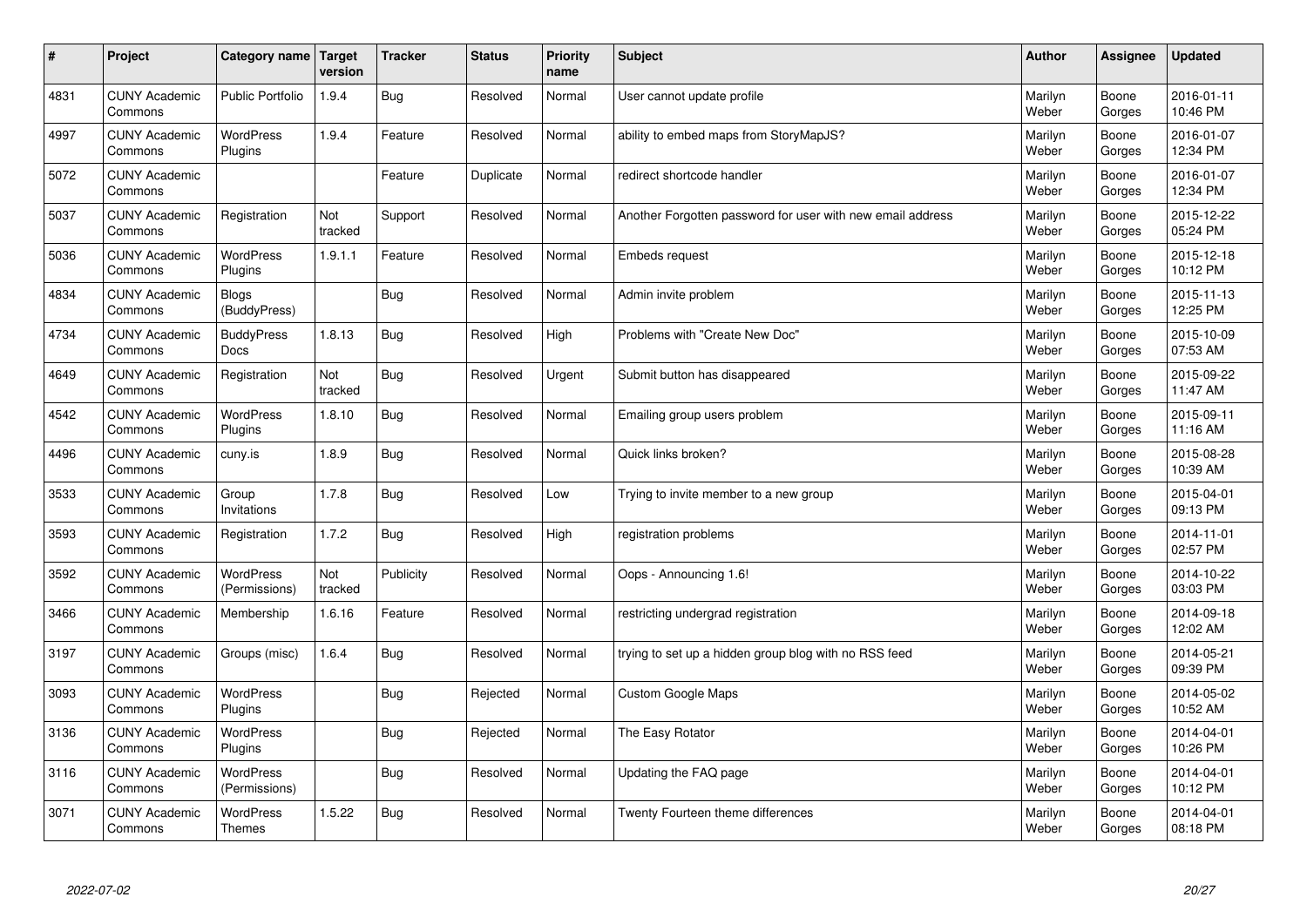| $\pmb{\#}$ | Project                         | Category name                     | Target<br>version | <b>Tracker</b> | <b>Status</b> | <b>Priority</b><br>name | <b>Subject</b>                                             | <b>Author</b>    | Assignee        | <b>Updated</b>         |
|------------|---------------------------------|-----------------------------------|-------------------|----------------|---------------|-------------------------|------------------------------------------------------------|------------------|-----------------|------------------------|
| 4831       | <b>CUNY Academic</b><br>Commons | <b>Public Portfolio</b>           | 1.9.4             | <b>Bug</b>     | Resolved      | Normal                  | User cannot update profile                                 | Marilyn<br>Weber | Boone<br>Gorges | 2016-01-11<br>10:46 PM |
| 4997       | <b>CUNY Academic</b><br>Commons | <b>WordPress</b><br>Plugins       | 1.9.4             | Feature        | Resolved      | Normal                  | ability to embed maps from StoryMapJS?                     | Marilyn<br>Weber | Boone<br>Gorges | 2016-01-07<br>12:34 PM |
| 5072       | <b>CUNY Academic</b><br>Commons |                                   |                   | Feature        | Duplicate     | Normal                  | redirect shortcode handler                                 | Marilyn<br>Weber | Boone<br>Gorges | 2016-01-07<br>12:34 PM |
| 5037       | <b>CUNY Academic</b><br>Commons | Registration                      | Not<br>tracked    | Support        | Resolved      | Normal                  | Another Forgotten password for user with new email address | Marilyn<br>Weber | Boone<br>Gorges | 2015-12-22<br>05:24 PM |
| 5036       | <b>CUNY Academic</b><br>Commons | <b>WordPress</b><br>Plugins       | 1.9.1.1           | Feature        | Resolved      | Normal                  | Embeds request                                             | Marilyn<br>Weber | Boone<br>Gorges | 2015-12-18<br>10:12 PM |
| 4834       | <b>CUNY Academic</b><br>Commons | <b>Blogs</b><br>(BuddyPress)      |                   | Bug            | Resolved      | Normal                  | Admin invite problem                                       | Marilyn<br>Weber | Boone<br>Gorges | 2015-11-13<br>12:25 PM |
| 4734       | <b>CUNY Academic</b><br>Commons | <b>BuddyPress</b><br>Docs         | 1.8.13            | Bug            | Resolved      | High                    | Problems with "Create New Doc"                             | Marilyn<br>Weber | Boone<br>Gorges | 2015-10-09<br>07:53 AM |
| 4649       | <b>CUNY Academic</b><br>Commons | Registration                      | Not<br>tracked    | <b>Bug</b>     | Resolved      | Urgent                  | Submit button has disappeared                              | Marilyn<br>Weber | Boone<br>Gorges | 2015-09-22<br>11:47 AM |
| 4542       | <b>CUNY Academic</b><br>Commons | <b>WordPress</b><br>Plugins       | 1.8.10            | <b>Bug</b>     | Resolved      | Normal                  | Emailing group users problem                               | Marilyn<br>Weber | Boone<br>Gorges | 2015-09-11<br>11:16 AM |
| 4496       | <b>CUNY Academic</b><br>Commons | cuny.is                           | 1.8.9             | <b>Bug</b>     | Resolved      | Normal                  | Quick links broken?                                        | Marilyn<br>Weber | Boone<br>Gorges | 2015-08-28<br>10:39 AM |
| 3533       | <b>CUNY Academic</b><br>Commons | Group<br>Invitations              | 1.7.8             | Bug            | Resolved      | Low                     | Trying to invite member to a new group                     | Marilyn<br>Weber | Boone<br>Gorges | 2015-04-01<br>09:13 PM |
| 3593       | <b>CUNY Academic</b><br>Commons | Registration                      | 1.7.2             | <b>Bug</b>     | Resolved      | High                    | registration problems                                      | Marilyn<br>Weber | Boone<br>Gorges | 2014-11-01<br>02:57 PM |
| 3592       | <b>CUNY Academic</b><br>Commons | WordPress<br>(Permissions)        | Not<br>tracked    | Publicity      | Resolved      | Normal                  | Oops - Announcing 1.6!                                     | Marilyn<br>Weber | Boone<br>Gorges | 2014-10-22<br>03:03 PM |
| 3466       | <b>CUNY Academic</b><br>Commons | Membership                        | 1.6.16            | Feature        | Resolved      | Normal                  | restricting undergrad registration                         | Marilyn<br>Weber | Boone<br>Gorges | 2014-09-18<br>12:02 AM |
| 3197       | <b>CUNY Academic</b><br>Commons | Groups (misc)                     | 1.6.4             | Bug            | Resolved      | Normal                  | trying to set up a hidden group blog with no RSS feed      | Marilyn<br>Weber | Boone<br>Gorges | 2014-05-21<br>09:39 PM |
| 3093       | <b>CUNY Academic</b><br>Commons | <b>WordPress</b><br>Plugins       |                   | <b>Bug</b>     | Rejected      | Normal                  | <b>Custom Google Maps</b>                                  | Marilyn<br>Weber | Boone<br>Gorges | 2014-05-02<br>10:52 AM |
| 3136       | <b>CUNY Academic</b><br>Commons | WordPress<br>Plugins              |                   | <b>Bug</b>     | Rejected      | Normal                  | The Easy Rotator                                           | Marilyn<br>Weber | Boone<br>Gorges | 2014-04-01<br>10:26 PM |
| 3116       | <b>CUNY Academic</b><br>Commons | WordPress<br>(Permissions)        |                   | <b>Bug</b>     | Resolved      | Normal                  | Updating the FAQ page                                      | Marilyn<br>Weber | Boone<br>Gorges | 2014-04-01<br>10:12 PM |
| 3071       | <b>CUNY Academic</b><br>Commons | <b>WordPress</b><br><b>Themes</b> | 1.5.22            | Bug            | Resolved      | Normal                  | Twenty Fourteen theme differences                          | Marilyn<br>Weber | Boone<br>Gorges | 2014-04-01<br>08:18 PM |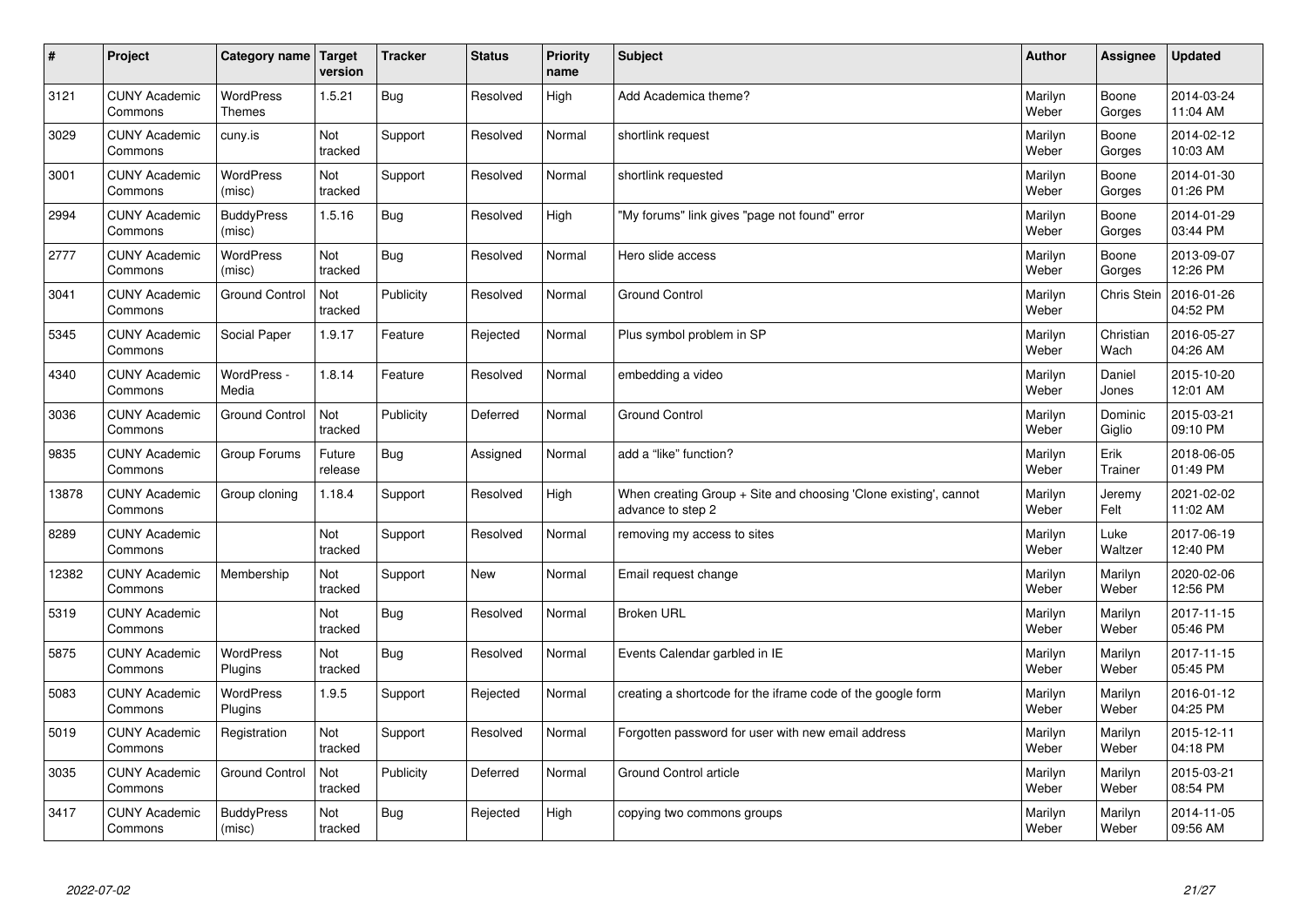| $\sharp$ | Project                         | Category name   Target            | version           | <b>Tracker</b> | <b>Status</b> | <b>Priority</b><br>name | <b>Subject</b>                                                                        | <b>Author</b>    | Assignee           | <b>Updated</b>         |
|----------|---------------------------------|-----------------------------------|-------------------|----------------|---------------|-------------------------|---------------------------------------------------------------------------------------|------------------|--------------------|------------------------|
| 3121     | <b>CUNY Academic</b><br>Commons | <b>WordPress</b><br><b>Themes</b> | 1.5.21            | Bug            | Resolved      | High                    | Add Academica theme?                                                                  | Marilyn<br>Weber | Boone<br>Gorges    | 2014-03-24<br>11:04 AM |
| 3029     | <b>CUNY Academic</b><br>Commons | cuny.is                           | Not<br>tracked    | Support        | Resolved      | Normal                  | shortlink request                                                                     | Marilyn<br>Weber | Boone<br>Gorges    | 2014-02-12<br>10:03 AM |
| 3001     | <b>CUNY Academic</b><br>Commons | <b>WordPress</b><br>(misc)        | Not<br>tracked    | Support        | Resolved      | Normal                  | shortlink requested                                                                   | Marilyn<br>Weber | Boone<br>Gorges    | 2014-01-30<br>01:26 PM |
| 2994     | <b>CUNY Academic</b><br>Commons | <b>BuddyPress</b><br>(misc)       | 1.5.16            | Bug            | Resolved      | High                    | "My forums" link gives "page not found" error                                         | Marilyn<br>Weber | Boone<br>Gorges    | 2014-01-29<br>03:44 PM |
| 2777     | <b>CUNY Academic</b><br>Commons | <b>WordPress</b><br>(misc)        | Not<br>tracked    | Bug            | Resolved      | Normal                  | Hero slide access                                                                     | Marilyn<br>Weber | Boone<br>Gorges    | 2013-09-07<br>12:26 PM |
| 3041     | <b>CUNY Academic</b><br>Commons | <b>Ground Control</b>             | Not<br>tracked    | Publicity      | Resolved      | Normal                  | Ground Control                                                                        | Marilyn<br>Weber | <b>Chris Stein</b> | 2016-01-26<br>04:52 PM |
| 5345     | <b>CUNY Academic</b><br>Commons | Social Paper                      | 1.9.17            | Feature        | Rejected      | Normal                  | Plus symbol problem in SP                                                             | Marilyn<br>Weber | Christian<br>Wach  | 2016-05-27<br>04:26 AM |
| 4340     | <b>CUNY Academic</b><br>Commons | WordPress -<br>Media              | 1.8.14            | Feature        | Resolved      | Normal                  | embedding a video                                                                     | Marilyn<br>Weber | Daniel<br>Jones    | 2015-10-20<br>12:01 AM |
| 3036     | <b>CUNY Academic</b><br>Commons | <b>Ground Control</b>             | Not<br>tracked    | Publicity      | Deferred      | Normal                  | <b>Ground Control</b>                                                                 | Marilyn<br>Weber | Dominic<br>Giglio  | 2015-03-21<br>09:10 PM |
| 9835     | <b>CUNY Academic</b><br>Commons | Group Forums                      | Future<br>release | Bug            | Assigned      | Normal                  | add a "like" function?                                                                | Marilyn<br>Weber | Erik<br>Trainer    | 2018-06-05<br>01:49 PM |
| 13878    | <b>CUNY Academic</b><br>Commons | Group cloning                     | 1.18.4            | Support        | Resolved      | High                    | When creating Group + Site and choosing 'Clone existing', cannot<br>advance to step 2 | Marilyn<br>Weber | Jeremy<br>Felt     | 2021-02-02<br>11:02 AM |
| 8289     | <b>CUNY Academic</b><br>Commons |                                   | Not<br>tracked    | Support        | Resolved      | Normal                  | removing my access to sites                                                           | Marilyn<br>Weber | Luke<br>Waltzer    | 2017-06-19<br>12:40 PM |
| 12382    | <b>CUNY Academic</b><br>Commons | Membership                        | Not<br>tracked    | Support        | New           | Normal                  | Email request change                                                                  | Marilyn<br>Weber | Marilyn<br>Weber   | 2020-02-06<br>12:56 PM |
| 5319     | <b>CUNY Academic</b><br>Commons |                                   | Not<br>tracked    | Bug            | Resolved      | Normal                  | <b>Broken URL</b>                                                                     | Marilyn<br>Weber | Marilyn<br>Weber   | 2017-11-15<br>05:46 PM |
| 5875     | <b>CUNY Academic</b><br>Commons | <b>WordPress</b><br>Plugins       | Not<br>tracked    | <b>Bug</b>     | Resolved      | Normal                  | Events Calendar garbled in IE                                                         | Marilyn<br>Weber | Marilyn<br>Weber   | 2017-11-15<br>05:45 PM |
| 5083     | <b>CUNY Academic</b><br>Commons | <b>WordPress</b><br>Plugins       | 1.9.5             | Support        | Rejected      | Normal                  | creating a shortcode for the iframe code of the google form                           | Marilyn<br>Weber | Marilyn<br>Weber   | 2016-01-12<br>04:25 PM |
| 5019     | <b>CUNY Academic</b><br>Commons | Registration                      | Not<br>tracked    | Support        | Resolved      | Normal                  | Forgotten password for user with new email address                                    | Marilyn<br>Weber | Marilyn<br>Weber   | 2015-12-11<br>04:18 PM |
| 3035     | <b>CUNY Academic</b><br>Commons | <b>Ground Control</b>             | Not<br>tracked    | Publicity      | Deferred      | Normal                  | Ground Control article                                                                | Marilyn<br>Weber | Marilyn<br>Weber   | 2015-03-21<br>08:54 PM |
| 3417     | <b>CUNY Academic</b><br>Commons | <b>BuddyPress</b><br>(misc)       | Not<br>tracked    | Bug            | Rejected      | High                    | copying two commons groups                                                            | Marilyn<br>Weber | Marilyn<br>Weber   | 2014-11-05<br>09:56 AM |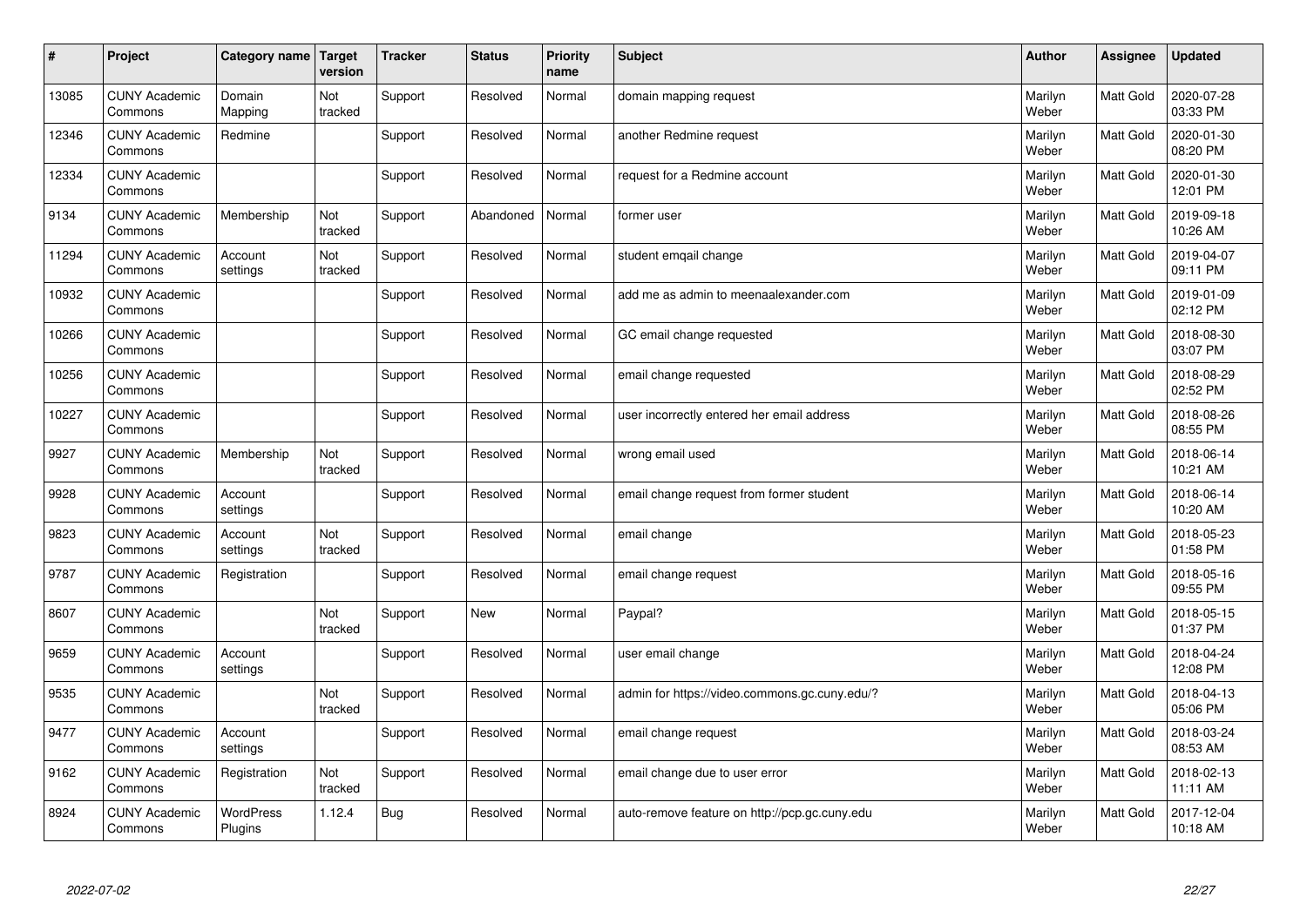| $\pmb{\#}$ | Project                         | Category name               | Target<br>version | <b>Tracker</b> | <b>Status</b> | <b>Priority</b><br>name | <b>Subject</b>                                | <b>Author</b>    | <b>Assignee</b>  | <b>Updated</b>         |
|------------|---------------------------------|-----------------------------|-------------------|----------------|---------------|-------------------------|-----------------------------------------------|------------------|------------------|------------------------|
| 13085      | <b>CUNY Academic</b><br>Commons | Domain<br>Mapping           | Not<br>tracked    | Support        | Resolved      | Normal                  | domain mapping request                        | Marilyn<br>Weber | <b>Matt Gold</b> | 2020-07-28<br>03:33 PM |
| 12346      | <b>CUNY Academic</b><br>Commons | Redmine                     |                   | Support        | Resolved      | Normal                  | another Redmine request                       | Marilyn<br>Weber | Matt Gold        | 2020-01-30<br>08:20 PM |
| 12334      | <b>CUNY Academic</b><br>Commons |                             |                   | Support        | Resolved      | Normal                  | request for a Redmine account                 | Marilyn<br>Weber | Matt Gold        | 2020-01-30<br>12:01 PM |
| 9134       | <b>CUNY Academic</b><br>Commons | Membership                  | Not<br>tracked    | Support        | Abandoned     | Normal                  | former user                                   | Marilyn<br>Weber | Matt Gold        | 2019-09-18<br>10:26 AM |
| 11294      | <b>CUNY Academic</b><br>Commons | Account<br>settings         | Not<br>tracked    | Support        | Resolved      | Normal                  | student emgail change                         | Marilyn<br>Weber | Matt Gold        | 2019-04-07<br>09:11 PM |
| 10932      | <b>CUNY Academic</b><br>Commons |                             |                   | Support        | Resolved      | Normal                  | add me as admin to meenaalexander.com         | Marilyn<br>Weber | Matt Gold        | 2019-01-09<br>02:12 PM |
| 10266      | <b>CUNY Academic</b><br>Commons |                             |                   | Support        | Resolved      | Normal                  | GC email change requested                     | Marilyn<br>Weber | Matt Gold        | 2018-08-30<br>03:07 PM |
| 10256      | <b>CUNY Academic</b><br>Commons |                             |                   | Support        | Resolved      | Normal                  | email change requested                        | Marilyn<br>Weber | Matt Gold        | 2018-08-29<br>02:52 PM |
| 10227      | <b>CUNY Academic</b><br>Commons |                             |                   | Support        | Resolved      | Normal                  | user incorrectly entered her email address    | Marilyn<br>Weber | <b>Matt Gold</b> | 2018-08-26<br>08:55 PM |
| 9927       | <b>CUNY Academic</b><br>Commons | Membership                  | Not<br>tracked    | Support        | Resolved      | Normal                  | wrong email used                              | Marilyn<br>Weber | <b>Matt Gold</b> | 2018-06-14<br>10:21 AM |
| 9928       | <b>CUNY Academic</b><br>Commons | Account<br>settings         |                   | Support        | Resolved      | Normal                  | email change request from former student      | Marilyn<br>Weber | Matt Gold        | 2018-06-14<br>10:20 AM |
| 9823       | <b>CUNY Academic</b><br>Commons | Account<br>settings         | Not<br>tracked    | Support        | Resolved      | Normal                  | email change                                  | Marilyn<br>Weber | Matt Gold        | 2018-05-23<br>01:58 PM |
| 9787       | <b>CUNY Academic</b><br>Commons | Registration                |                   | Support        | Resolved      | Normal                  | email change request                          | Marilyn<br>Weber | Matt Gold        | 2018-05-16<br>09:55 PM |
| 8607       | <b>CUNY Academic</b><br>Commons |                             | Not<br>tracked    | Support        | <b>New</b>    | Normal                  | Paypal?                                       | Marilyn<br>Weber | Matt Gold        | 2018-05-15<br>01:37 PM |
| 9659       | <b>CUNY Academic</b><br>Commons | Account<br>settings         |                   | Support        | Resolved      | Normal                  | user email change                             | Marilyn<br>Weber | Matt Gold        | 2018-04-24<br>12:08 PM |
| 9535       | <b>CUNY Academic</b><br>Commons |                             | Not<br>tracked    | Support        | Resolved      | Normal                  | admin for https://video.commons.gc.cuny.edu/? | Marilyn<br>Weber | Matt Gold        | 2018-04-13<br>05:06 PM |
| 9477       | <b>CUNY Academic</b><br>Commons | Account<br>settings         |                   | Support        | Resolved      | Normal                  | email change request                          | Marilyn<br>Weber | <b>Matt Gold</b> | 2018-03-24<br>08:53 AM |
| 9162       | <b>CUNY Academic</b><br>Commons | Registration                | Not<br>tracked    | Support        | Resolved      | Normal                  | email change due to user error                | Marilyn<br>Weber | Matt Gold        | 2018-02-13<br>11:11 AM |
| 8924       | <b>CUNY Academic</b><br>Commons | <b>WordPress</b><br>Plugins | 1.12.4            | Bug            | Resolved      | Normal                  | auto-remove feature on http://pcp.gc.cuny.edu | Marilyn<br>Weber | <b>Matt Gold</b> | 2017-12-04<br>10:18 AM |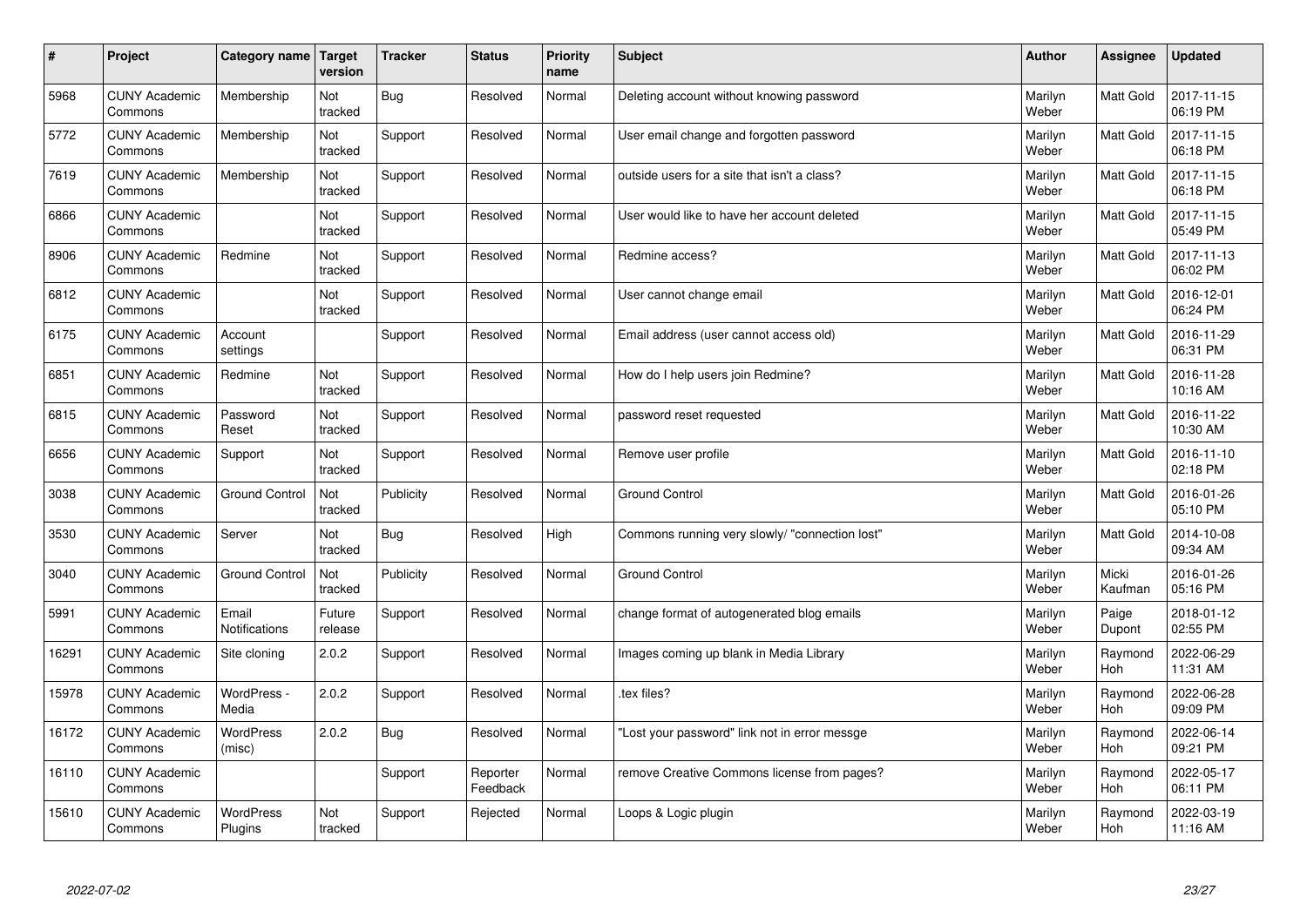| #     | Project                         | Category name               | <b>Target</b><br>version | <b>Tracker</b> | <b>Status</b>        | <b>Priority</b><br>name | <b>Subject</b>                                 | <b>Author</b>    | Assignee         | <b>Updated</b>         |
|-------|---------------------------------|-----------------------------|--------------------------|----------------|----------------------|-------------------------|------------------------------------------------|------------------|------------------|------------------------|
| 5968  | <b>CUNY Academic</b><br>Commons | Membership                  | Not<br>tracked           | Bug            | Resolved             | Normal                  | Deleting account without knowing password      | Marilyn<br>Weber | Matt Gold        | 2017-11-15<br>06:19 PM |
| 5772  | <b>CUNY Academic</b><br>Commons | Membership                  | Not<br>tracked           | Support        | Resolved             | Normal                  | User email change and forgotten password       | Marilyn<br>Weber | Matt Gold        | 2017-11-15<br>06:18 PM |
| 7619  | <b>CUNY Academic</b><br>Commons | Membership                  | Not<br>tracked           | Support        | Resolved             | Normal                  | outside users for a site that isn't a class?   | Marilyn<br>Weber | Matt Gold        | 2017-11-15<br>06:18 PM |
| 6866  | <b>CUNY Academic</b><br>Commons |                             | Not<br>tracked           | Support        | Resolved             | Normal                  | User would like to have her account deleted    | Marilyn<br>Weber | Matt Gold        | 2017-11-15<br>05:49 PM |
| 8906  | <b>CUNY Academic</b><br>Commons | Redmine                     | Not<br>tracked           | Support        | Resolved             | Normal                  | Redmine access?                                | Marilyn<br>Weber | Matt Gold        | 2017-11-13<br>06:02 PM |
| 6812  | <b>CUNY Academic</b><br>Commons |                             | Not<br>tracked           | Support        | Resolved             | Normal                  | User cannot change email                       | Marilyn<br>Weber | Matt Gold        | 2016-12-01<br>06:24 PM |
| 6175  | <b>CUNY Academic</b><br>Commons | Account<br>settings         |                          | Support        | Resolved             | Normal                  | Email address (user cannot access old)         | Marilyn<br>Weber | Matt Gold        | 2016-11-29<br>06:31 PM |
| 6851  | <b>CUNY Academic</b><br>Commons | Redmine                     | Not<br>tracked           | Support        | Resolved             | Normal                  | How do I help users join Redmine?              | Marilyn<br>Weber | Matt Gold        | 2016-11-28<br>10:16 AM |
| 6815  | <b>CUNY Academic</b><br>Commons | Password<br>Reset           | Not<br>tracked           | Support        | Resolved             | Normal                  | password reset requested                       | Marilyn<br>Weber | Matt Gold        | 2016-11-22<br>10:30 AM |
| 6656  | <b>CUNY Academic</b><br>Commons | Support                     | Not<br>tracked           | Support        | Resolved             | Normal                  | Remove user profile                            | Marilyn<br>Weber | Matt Gold        | 2016-11-10<br>02:18 PM |
| 3038  | <b>CUNY Academic</b><br>Commons | <b>Ground Control</b>       | Not<br>tracked           | Publicity      | Resolved             | Normal                  | <b>Ground Control</b>                          | Marilyn<br>Weber | Matt Gold        | 2016-01-26<br>05:10 PM |
| 3530  | <b>CUNY Academic</b><br>Commons | Server                      | Not<br>tracked           | <b>Bug</b>     | Resolved             | High                    | Commons running very slowly/ "connection lost" | Marilyn<br>Weber | Matt Gold        | 2014-10-08<br>09:34 AM |
| 3040  | <b>CUNY Academic</b><br>Commons | <b>Ground Control</b>       | Not<br>tracked           | Publicity      | Resolved             | Normal                  | <b>Ground Control</b>                          | Marilyn<br>Weber | Micki<br>Kaufman | 2016-01-26<br>05:16 PM |
| 5991  | <b>CUNY Academic</b><br>Commons | Email<br>Notifications      | Future<br>release        | Support        | Resolved             | Normal                  | change format of autogenerated blog emails     | Marilyn<br>Weber | Paige<br>Dupont  | 2018-01-12<br>02:55 PM |
| 16291 | <b>CUNY Academic</b><br>Commons | Site cloning                | 2.0.2                    | Support        | Resolved             | Normal                  | Images coming up blank in Media Library        | Marilyn<br>Weber | Raymond<br>Hoh   | 2022-06-29<br>11:31 AM |
| 15978 | <b>CUNY Academic</b><br>Commons | WordPress -<br>Media        | 2.0.2                    | Support        | Resolved             | Normal                  | tex files?                                     | Marilyn<br>Weber | Raymond<br>Hoh   | 2022-06-28<br>09:09 PM |
| 16172 | <b>CUNY Academic</b><br>Commons | WordPress<br>(misc)         | 2.0.2                    | <b>Bug</b>     | Resolved             | Normal                  | Lost your password" link not in error messge   | Marilyn<br>Weber | Raymond<br>Hoh   | 2022-06-14<br>09:21 PM |
| 16110 | <b>CUNY Academic</b><br>Commons |                             |                          | Support        | Reporter<br>Feedback | Normal                  | remove Creative Commons license from pages?    | Marilyn<br>Weber | Raymond<br>Hoh   | 2022-05-17<br>06:11 PM |
| 15610 | <b>CUNY Academic</b><br>Commons | <b>WordPress</b><br>Plugins | Not<br>tracked           | Support        | Rejected             | Normal                  | Loops & Logic plugin                           | Marilyn<br>Weber | Raymond<br>Hoh   | 2022-03-19<br>11:16 AM |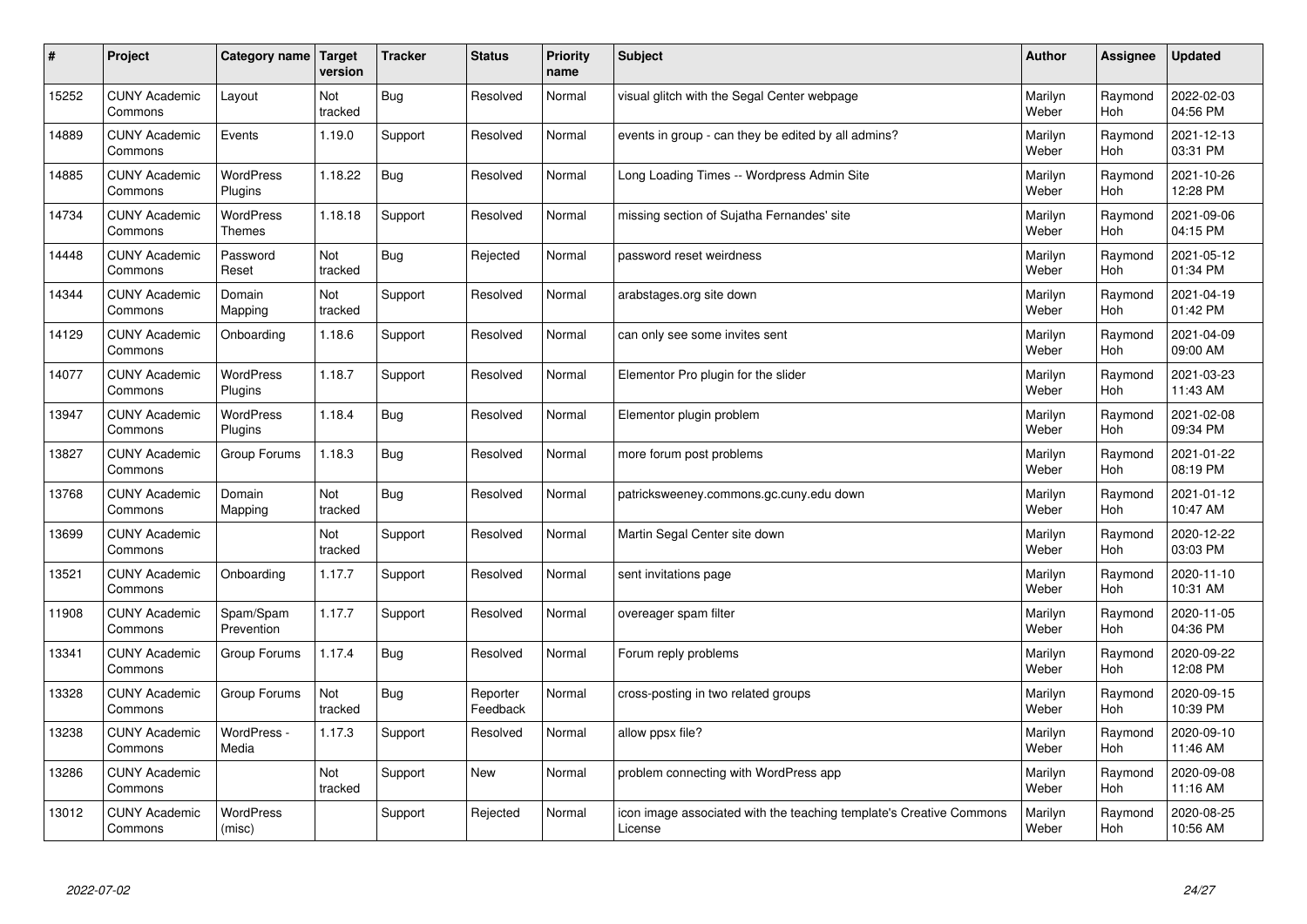| $\pmb{\#}$ | Project                         | Category name                     | Target<br>version | <b>Tracker</b> | <b>Status</b>        | <b>Priority</b><br>name | <b>Subject</b>                                                                 | <b>Author</b>    | Assignee       | <b>Updated</b>         |
|------------|---------------------------------|-----------------------------------|-------------------|----------------|----------------------|-------------------------|--------------------------------------------------------------------------------|------------------|----------------|------------------------|
| 15252      | <b>CUNY Academic</b><br>Commons | Layout                            | Not<br>tracked    | <b>Bug</b>     | Resolved             | Normal                  | visual glitch with the Segal Center webpage                                    | Marilyn<br>Weber | Raymond<br>Hoh | 2022-02-03<br>04:56 PM |
| 14889      | <b>CUNY Academic</b><br>Commons | Events                            | 1.19.0            | Support        | Resolved             | Normal                  | events in group - can they be edited by all admins?                            | Marilyn<br>Weber | Raymond<br>Hoh | 2021-12-13<br>03:31 PM |
| 14885      | <b>CUNY Academic</b><br>Commons | WordPress<br>Plugins              | 1.18.22           | Bug            | Resolved             | Normal                  | Long Loading Times -- Wordpress Admin Site                                     | Marilyn<br>Weber | Raymond<br>Hoh | 2021-10-26<br>12:28 PM |
| 14734      | <b>CUNY Academic</b><br>Commons | <b>WordPress</b><br><b>Themes</b> | 1.18.18           | Support        | Resolved             | Normal                  | missing section of Sujatha Fernandes' site                                     | Marilyn<br>Weber | Raymond<br>Hoh | 2021-09-06<br>04:15 PM |
| 14448      | <b>CUNY Academic</b><br>Commons | Password<br>Reset                 | Not<br>tracked    | <b>Bug</b>     | Rejected             | Normal                  | password reset weirdness                                                       | Marilyn<br>Weber | Raymond<br>Hoh | 2021-05-12<br>01:34 PM |
| 14344      | <b>CUNY Academic</b><br>Commons | Domain<br>Mapping                 | Not<br>tracked    | Support        | Resolved             | Normal                  | arabstages.org site down                                                       | Marilyn<br>Weber | Raymond<br>Hoh | 2021-04-19<br>01:42 PM |
| 14129      | <b>CUNY Academic</b><br>Commons | Onboarding                        | 1.18.6            | Support        | Resolved             | Normal                  | can only see some invites sent                                                 | Marilyn<br>Weber | Raymond<br>Hoh | 2021-04-09<br>09:00 AM |
| 14077      | <b>CUNY Academic</b><br>Commons | WordPress<br>Plugins              | 1.18.7            | Support        | Resolved             | Normal                  | Elementor Pro plugin for the slider                                            | Marilyn<br>Weber | Raymond<br>Hoh | 2021-03-23<br>11:43 AM |
| 13947      | <b>CUNY Academic</b><br>Commons | <b>WordPress</b><br>Plugins       | 1.18.4            | <b>Bug</b>     | Resolved             | Normal                  | Elementor plugin problem                                                       | Marilyn<br>Weber | Raymond<br>Hoh | 2021-02-08<br>09:34 PM |
| 13827      | <b>CUNY Academic</b><br>Commons | Group Forums                      | 1.18.3            | Bug            | Resolved             | Normal                  | more forum post problems                                                       | Marilyn<br>Weber | Raymond<br>Hoh | 2021-01-22<br>08:19 PM |
| 13768      | <b>CUNY Academic</b><br>Commons | Domain<br>Mapping                 | Not<br>tracked    | Bug            | Resolved             | Normal                  | patricksweeney.commons.gc.cuny.edu down                                        | Marilyn<br>Weber | Raymond<br>Hoh | 2021-01-12<br>10:47 AM |
| 13699      | <b>CUNY Academic</b><br>Commons |                                   | Not<br>tracked    | Support        | Resolved             | Normal                  | Martin Segal Center site down                                                  | Marilyn<br>Weber | Raymond<br>Hoh | 2020-12-22<br>03:03 PM |
| 13521      | <b>CUNY Academic</b><br>Commons | Onboarding                        | 1.17.7            | Support        | Resolved             | Normal                  | sent invitations page                                                          | Marilyn<br>Weber | Raymond<br>Hoh | 2020-11-10<br>10:31 AM |
| 11908      | <b>CUNY Academic</b><br>Commons | Spam/Spam<br>Prevention           | 1.17.7            | Support        | Resolved             | Normal                  | overeager spam filter                                                          | Marilyn<br>Weber | Raymond<br>Hoh | 2020-11-05<br>04:36 PM |
| 13341      | <b>CUNY Academic</b><br>Commons | Group Forums                      | 1.17.4            | <b>Bug</b>     | Resolved             | Normal                  | Forum reply problems                                                           | Marilyn<br>Weber | Raymond<br>Hoh | 2020-09-22<br>12:08 PM |
| 13328      | <b>CUNY Academic</b><br>Commons | Group Forums                      | Not<br>tracked    | <b>Bug</b>     | Reporter<br>Feedback | Normal                  | cross-posting in two related groups                                            | Marilyn<br>Weber | Raymond<br>Hoh | 2020-09-15<br>10:39 PM |
| 13238      | <b>CUNY Academic</b><br>Commons | WordPress -<br>Media              | 1.17.3            | Support        | Resolved             | Normal                  | allow ppsx file?                                                               | Marilyn<br>Weber | Raymond<br>Hoh | 2020-09-10<br>11:46 AM |
| 13286      | <b>CUNY Academic</b><br>Commons |                                   | Not<br>tracked    | Support        | New                  | Normal                  | problem connecting with WordPress app                                          | Marilyn<br>Weber | Raymond<br>Hoh | 2020-09-08<br>11:16 AM |
| 13012      | <b>CUNY Academic</b><br>Commons | <b>WordPress</b><br>(misc)        |                   | Support        | Rejected             | Normal                  | icon image associated with the teaching template's Creative Commons<br>License | Marilyn<br>Weber | Raymond<br>Hoh | 2020-08-25<br>10:56 AM |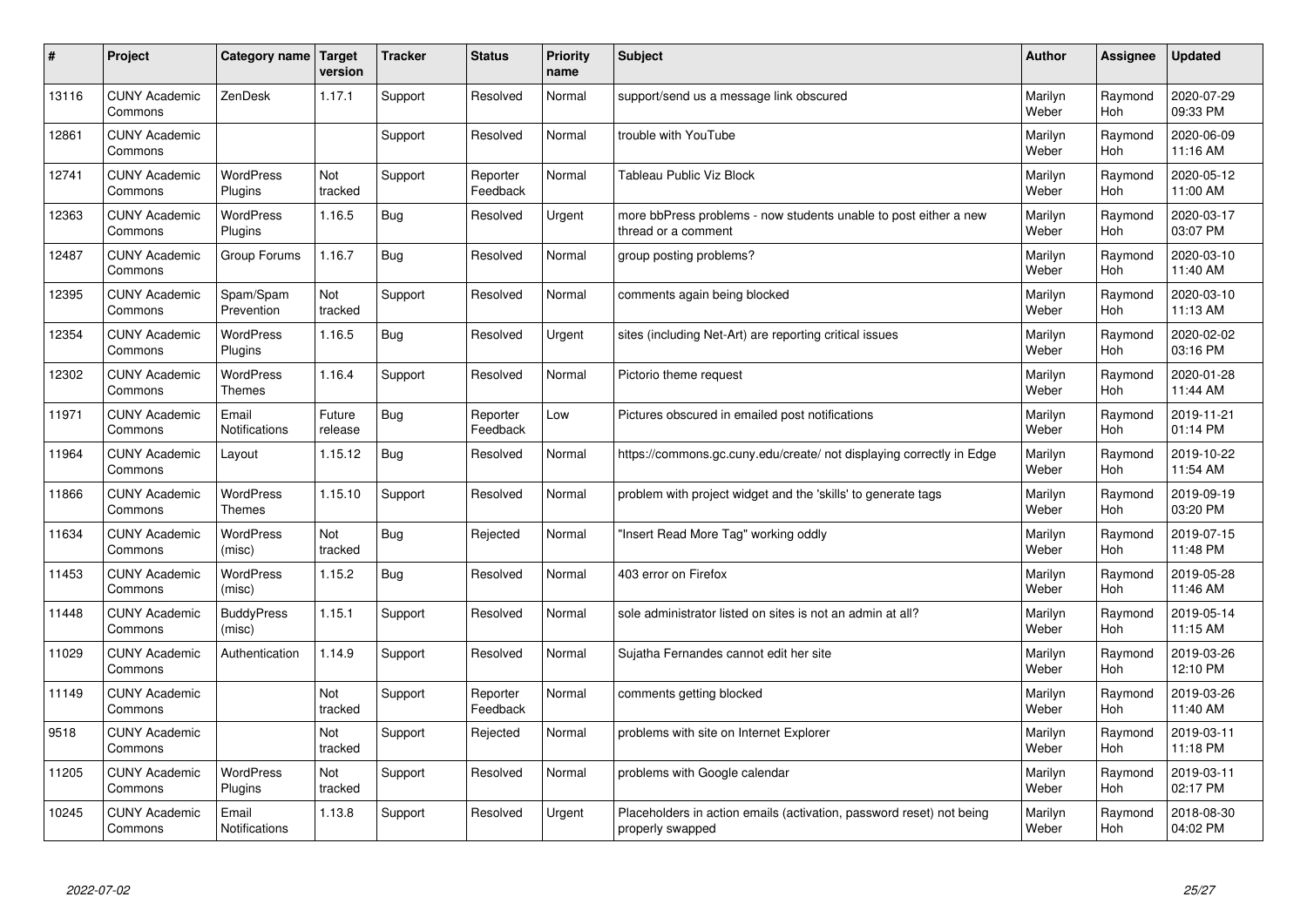| #     | Project                         | Category name                     | Target<br>version | <b>Tracker</b> | <b>Status</b>        | <b>Priority</b><br>name | <b>Subject</b>                                                                           | <b>Author</b>    | <b>Assignee</b> | <b>Updated</b>         |
|-------|---------------------------------|-----------------------------------|-------------------|----------------|----------------------|-------------------------|------------------------------------------------------------------------------------------|------------------|-----------------|------------------------|
| 13116 | <b>CUNY Academic</b><br>Commons | ZenDesk                           | 1.17.1            | Support        | Resolved             | Normal                  | support/send us a message link obscured                                                  | Marilyn<br>Weber | Raymond<br>Hoh  | 2020-07-29<br>09:33 PM |
| 12861 | <b>CUNY Academic</b><br>Commons |                                   |                   | Support        | Resolved             | Normal                  | trouble with YouTube                                                                     | Marilyn<br>Weber | Raymond<br>Hoh  | 2020-06-09<br>11:16 AM |
| 12741 | <b>CUNY Academic</b><br>Commons | <b>WordPress</b><br>Plugins       | Not<br>tracked    | Support        | Reporter<br>Feedback | Normal                  | Tableau Public Viz Block                                                                 | Marilyn<br>Weber | Raymond<br>Hoh  | 2020-05-12<br>11:00 AM |
| 12363 | <b>CUNY Academic</b><br>Commons | <b>WordPress</b><br>Plugins       | 1.16.5            | Bug            | Resolved             | Urgent                  | more bbPress problems - now students unable to post either a new<br>thread or a comment  | Marilyn<br>Weber | Raymond<br>Hoh  | 2020-03-17<br>03:07 PM |
| 12487 | <b>CUNY Academic</b><br>Commons | Group Forums                      | 1.16.7            | <b>Bug</b>     | Resolved             | Normal                  | group posting problems?                                                                  | Marilyn<br>Weber | Raymond<br>Hoh  | 2020-03-10<br>11:40 AM |
| 12395 | <b>CUNY Academic</b><br>Commons | Spam/Spam<br>Prevention           | Not<br>tracked    | Support        | Resolved             | Normal                  | comments again being blocked                                                             | Marilyn<br>Weber | Raymond<br>Hoh  | 2020-03-10<br>11:13 AM |
| 12354 | <b>CUNY Academic</b><br>Commons | <b>WordPress</b><br>Plugins       | 1.16.5            | Bug            | Resolved             | Urgent                  | sites (including Net-Art) are reporting critical issues                                  | Marilyn<br>Weber | Raymond<br>Hoh  | 2020-02-02<br>03:16 PM |
| 12302 | <b>CUNY Academic</b><br>Commons | <b>WordPress</b><br><b>Themes</b> | 1.16.4            | Support        | Resolved             | Normal                  | Pictorio theme request                                                                   | Marilyn<br>Weber | Raymond<br>Hoh  | 2020-01-28<br>11:44 AM |
| 11971 | <b>CUNY Academic</b><br>Commons | Email<br><b>Notifications</b>     | Future<br>release | <b>Bug</b>     | Reporter<br>Feedback | Low                     | Pictures obscured in emailed post notifications                                          | Marilyn<br>Weber | Raymond<br>Hoh  | 2019-11-21<br>01:14 PM |
| 11964 | <b>CUNY Academic</b><br>Commons | Layout                            | 1.15.12           | Bug            | Resolved             | Normal                  | https://commons.gc.cuny.edu/create/ not displaying correctly in Edge                     | Marilyn<br>Weber | Raymond<br>Hoh  | 2019-10-22<br>11:54 AM |
| 11866 | <b>CUNY Academic</b><br>Commons | <b>WordPress</b><br><b>Themes</b> | 1.15.10           | Support        | Resolved             | Normal                  | problem with project widget and the 'skills' to generate tags                            | Marilyn<br>Weber | Raymond<br>Hoh  | 2019-09-19<br>03:20 PM |
| 11634 | <b>CUNY Academic</b><br>Commons | <b>WordPress</b><br>(misc)        | Not<br>tracked    | <b>Bug</b>     | Rejected             | Normal                  | 'Insert Read More Tag" working oddly                                                     | Marilyn<br>Weber | Raymond<br>Hoh  | 2019-07-15<br>11:48 PM |
| 11453 | <b>CUNY Academic</b><br>Commons | <b>WordPress</b><br>(misc)        | 1.15.2            | Bug            | Resolved             | Normal                  | 403 error on Firefox                                                                     | Marilyn<br>Weber | Raymond<br>Hoh  | 2019-05-28<br>11:46 AM |
| 11448 | <b>CUNY Academic</b><br>Commons | <b>BuddyPress</b><br>(misc)       | 1.15.1            | Support        | Resolved             | Normal                  | sole administrator listed on sites is not an admin at all?                               | Marilyn<br>Weber | Raymond<br>Hoh  | 2019-05-14<br>11:15 AM |
| 11029 | <b>CUNY Academic</b><br>Commons | Authentication                    | 1.14.9            | Support        | Resolved             | Normal                  | Sujatha Fernandes cannot edit her site                                                   | Marilyn<br>Weber | Raymond<br>Hoh  | 2019-03-26<br>12:10 PM |
| 11149 | <b>CUNY Academic</b><br>Commons |                                   | Not<br>tracked    | Support        | Reporter<br>Feedback | Normal                  | comments getting blocked                                                                 | Marilyn<br>Weber | Raymond<br>Hoh  | 2019-03-26<br>11:40 AM |
| 9518  | <b>CUNY Academic</b><br>Commons |                                   | Not<br>tracked    | Support        | Rejected             | Normal                  | problems with site on Internet Explorer                                                  | Marilyn<br>Weber | Raymond<br>Hoh  | 2019-03-11<br>11:18 PM |
| 11205 | <b>CUNY Academic</b><br>Commons | <b>WordPress</b><br>Plugins       | Not<br>tracked    | Support        | Resolved             | Normal                  | problems with Google calendar                                                            | Marilyn<br>Weber | Raymond<br>Hoh  | 2019-03-11<br>02:17 PM |
| 10245 | <b>CUNY Academic</b><br>Commons | Email<br>Notifications            | 1.13.8            | Support        | Resolved             | Urgent                  | Placeholders in action emails (activation, password reset) not being<br>properly swapped | Marilyn<br>Weber | Raymond<br>Hoh  | 2018-08-30<br>04:02 PM |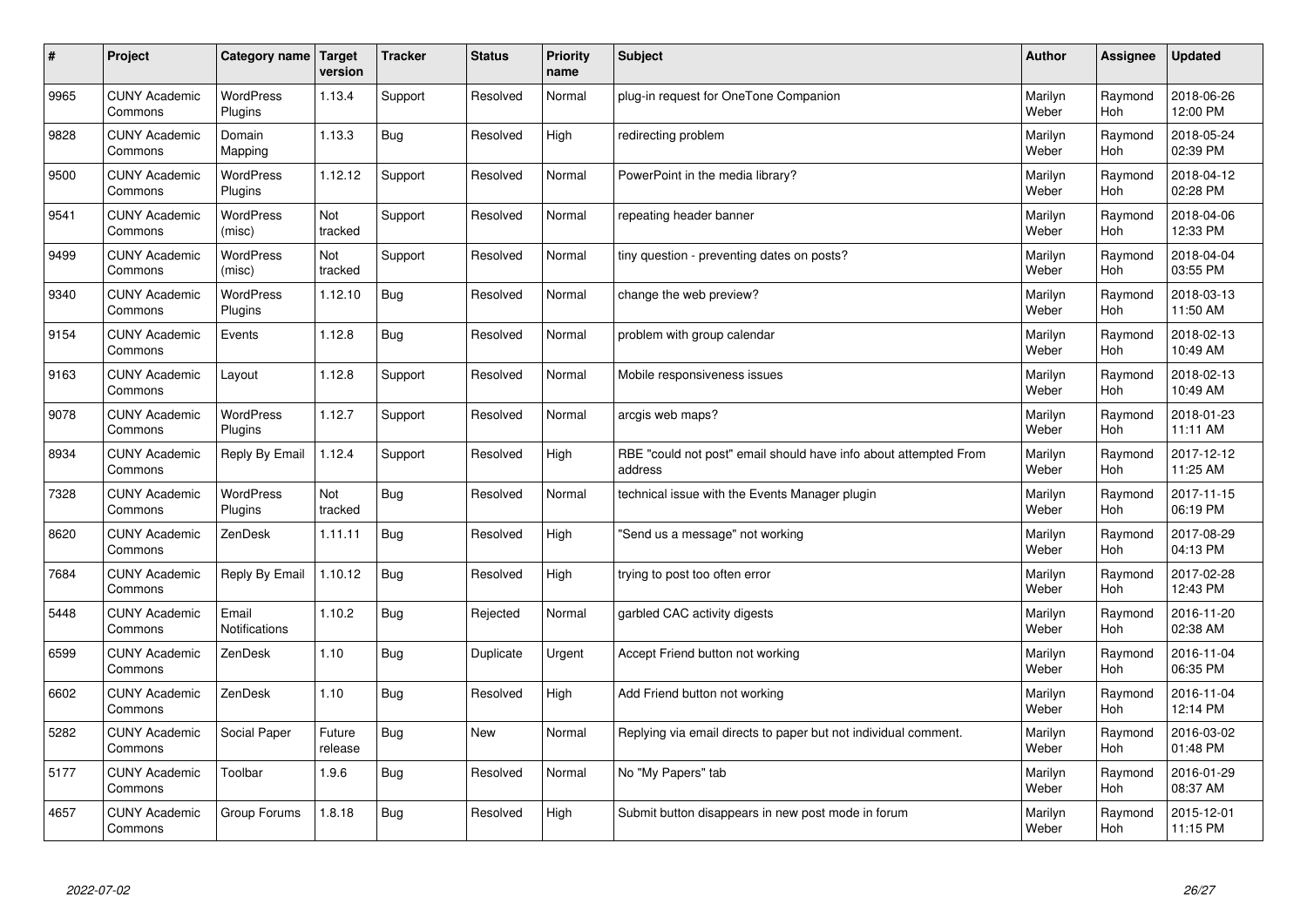| $\sharp$ | Project                         | <b>Category name</b>        | Target<br>version | <b>Tracker</b> | <b>Status</b> | <b>Priority</b><br>name | <b>Subject</b>                                                              | <b>Author</b>    | Assignee       | <b>Updated</b>         |
|----------|---------------------------------|-----------------------------|-------------------|----------------|---------------|-------------------------|-----------------------------------------------------------------------------|------------------|----------------|------------------------|
| 9965     | <b>CUNY Academic</b><br>Commons | <b>WordPress</b><br>Plugins | 1.13.4            | Support        | Resolved      | Normal                  | plug-in request for OneTone Companion                                       | Marilyn<br>Weber | Raymond<br>Hoh | 2018-06-26<br>12:00 PM |
| 9828     | <b>CUNY Academic</b><br>Commons | Domain<br>Mapping           | 1.13.3            | Bug            | Resolved      | High                    | redirecting problem                                                         | Marilyn<br>Weber | Raymond<br>Hoh | 2018-05-24<br>02:39 PM |
| 9500     | <b>CUNY Academic</b><br>Commons | <b>WordPress</b><br>Plugins | 1.12.12           | Support        | Resolved      | Normal                  | PowerPoint in the media library?                                            | Marilyn<br>Weber | Raymond<br>Hoh | 2018-04-12<br>02:28 PM |
| 9541     | <b>CUNY Academic</b><br>Commons | <b>WordPress</b><br>(misc)  | Not<br>tracked    | Support        | Resolved      | Normal                  | repeating header banner                                                     | Marilyn<br>Weber | Raymond<br>Hoh | 2018-04-06<br>12:33 PM |
| 9499     | <b>CUNY Academic</b><br>Commons | <b>WordPress</b><br>(misc)  | Not<br>tracked    | Support        | Resolved      | Normal                  | tiny question - preventing dates on posts?                                  | Marilyn<br>Weber | Raymond<br>Hoh | 2018-04-04<br>03:55 PM |
| 9340     | <b>CUNY Academic</b><br>Commons | WordPress<br>Plugins        | 1.12.10           | <b>Bug</b>     | Resolved      | Normal                  | change the web preview?                                                     | Marilyn<br>Weber | Raymond<br>Hoh | 2018-03-13<br>11:50 AM |
| 9154     | <b>CUNY Academic</b><br>Commons | Events                      | 1.12.8            | <b>Bug</b>     | Resolved      | Normal                  | problem with group calendar                                                 | Marilyn<br>Weber | Raymond<br>Hoh | 2018-02-13<br>10:49 AM |
| 9163     | <b>CUNY Academic</b><br>Commons | Layout                      | 1.12.8            | Support        | Resolved      | Normal                  | Mobile responsiveness issues                                                | Marilyn<br>Weber | Raymond<br>Hoh | 2018-02-13<br>10:49 AM |
| 9078     | <b>CUNY Academic</b><br>Commons | <b>WordPress</b><br>Plugins | 1.12.7            | Support        | Resolved      | Normal                  | arcgis web maps?                                                            | Marilyn<br>Weber | Raymond<br>Hoh | 2018-01-23<br>11:11 AM |
| 8934     | <b>CUNY Academic</b><br>Commons | Reply By Email              | 1.12.4            | Support        | Resolved      | High                    | RBE "could not post" email should have info about attempted From<br>address | Marilyn<br>Weber | Raymond<br>Hoh | 2017-12-12<br>11:25 AM |
| 7328     | <b>CUNY Academic</b><br>Commons | WordPress<br>Plugins        | Not<br>tracked    | <b>Bug</b>     | Resolved      | Normal                  | technical issue with the Events Manager plugin                              | Marilyn<br>Weber | Raymond<br>Hoh | 2017-11-15<br>06:19 PM |
| 8620     | <b>CUNY Academic</b><br>Commons | ZenDesk                     | 1.11.11           | Bug            | Resolved      | High                    | 'Send us a message" not working                                             | Marilyn<br>Weber | Raymond<br>Hoh | 2017-08-29<br>04:13 PM |
| 7684     | <b>CUNY Academic</b><br>Commons | Reply By Email              | 1.10.12           | <b>Bug</b>     | Resolved      | High                    | trying to post too often error                                              | Marilyn<br>Weber | Raymond<br>Hoh | 2017-02-28<br>12:43 PM |
| 5448     | <b>CUNY Academic</b><br>Commons | Email<br>Notifications      | 1.10.2            | <b>Bug</b>     | Rejected      | Normal                  | garbled CAC activity digests                                                | Marilyn<br>Weber | Raymond<br>Hoh | 2016-11-20<br>02:38 AM |
| 6599     | <b>CUNY Academic</b><br>Commons | ZenDesk                     | 1.10              | <b>Bug</b>     | Duplicate     | Urgent                  | Accept Friend button not working                                            | Marilyn<br>Weber | Raymond<br>Hoh | 2016-11-04<br>06:35 PM |
| 6602     | <b>CUNY Academic</b><br>Commons | ZenDesk                     | 1.10              | <b>Bug</b>     | Resolved      | High                    | Add Friend button not working                                               | Marilyn<br>Weber | Raymond<br>Hoh | 2016-11-04<br>12:14 PM |
| 5282     | <b>CUNY Academic</b><br>Commons | Social Paper                | Future<br>release | Bug            | <b>New</b>    | Normal                  | Replying via email directs to paper but not individual comment.             | Marilyn<br>Weber | Raymond<br>Hoh | 2016-03-02<br>01:48 PM |
| 5177     | <b>CUNY Academic</b><br>Commons | Toolbar                     | 1.9.6             | Bug            | Resolved      | Normal                  | No "My Papers" tab                                                          | Marilyn<br>Weber | Raymond<br>Hoh | 2016-01-29<br>08:37 AM |
| 4657     | <b>CUNY Academic</b><br>Commons | Group Forums                | 1.8.18            | Bug            | Resolved      | High                    | Submit button disappears in new post mode in forum                          | Marilyn<br>Weber | Raymond<br>Hoh | 2015-12-01<br>11:15 PM |